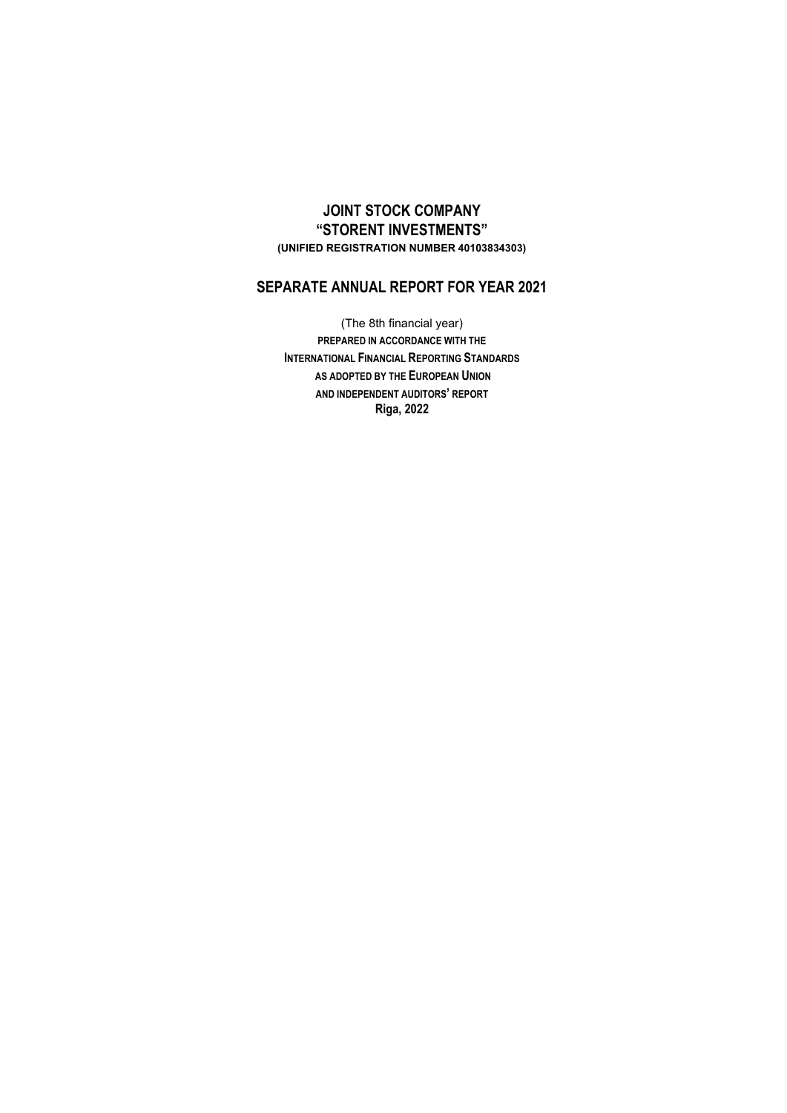## **JOINT STOCK COMPANY "STORENT INVESTMENTS" (UNIFIED REGISTRATION NUMBER 40103834303)**

## **SEPARATE ANNUAL REPORT FOR YEAR 2021**

(The 8th financial year) **PREPARED IN ACCORDANCE WITH THE INTERNATIONAL FINANCIAL REPORTING STANDARDS AS ADOPTED BY THE EUROPEAN UNION AND INDEPENDENT AUDITORS' REPORT Riga, 2022**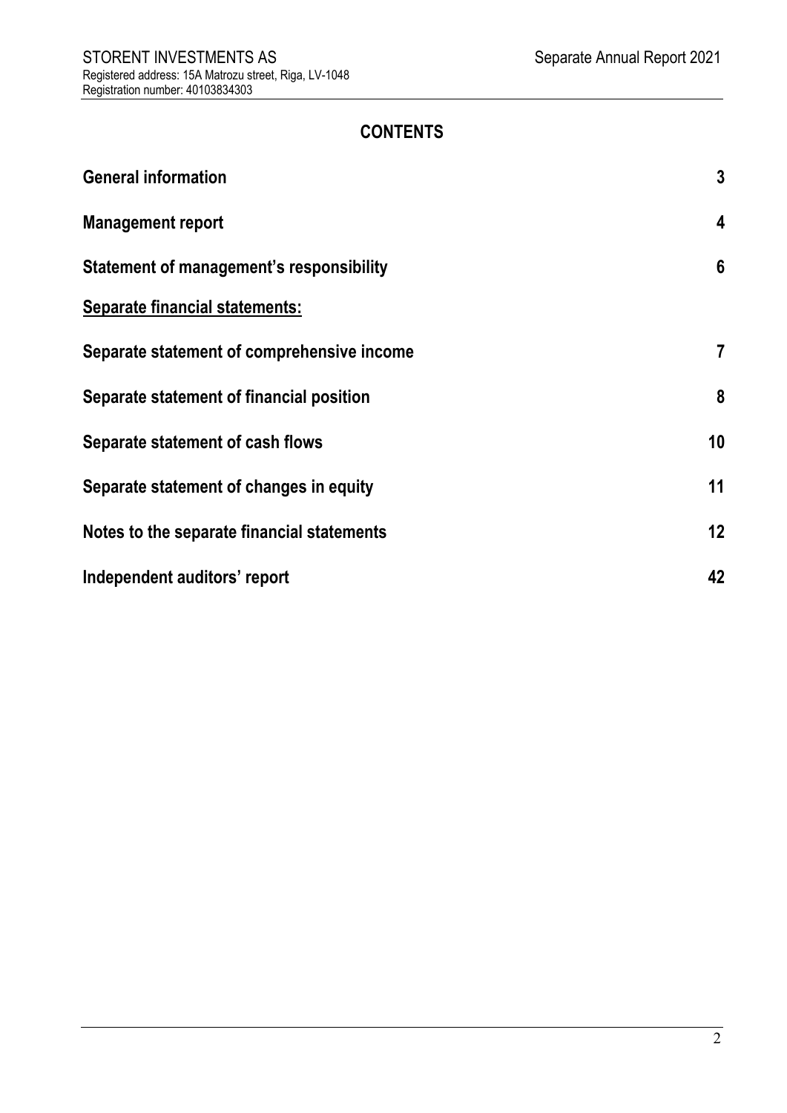# **CONTENTS**

| <b>General information</b>                 | $\mathbf{3}$   |
|--------------------------------------------|----------------|
| <b>Management report</b>                   | 4              |
| Statement of management's responsibility   | 6              |
| <b>Separate financial statements:</b>      |                |
| Separate statement of comprehensive income | $\overline{7}$ |
| Separate statement of financial position   | 8              |
| Separate statement of cash flows           | 10             |
| Separate statement of changes in equity    | 11             |
| Notes to the separate financial statements | 12             |
| Independent auditors' report               | 42             |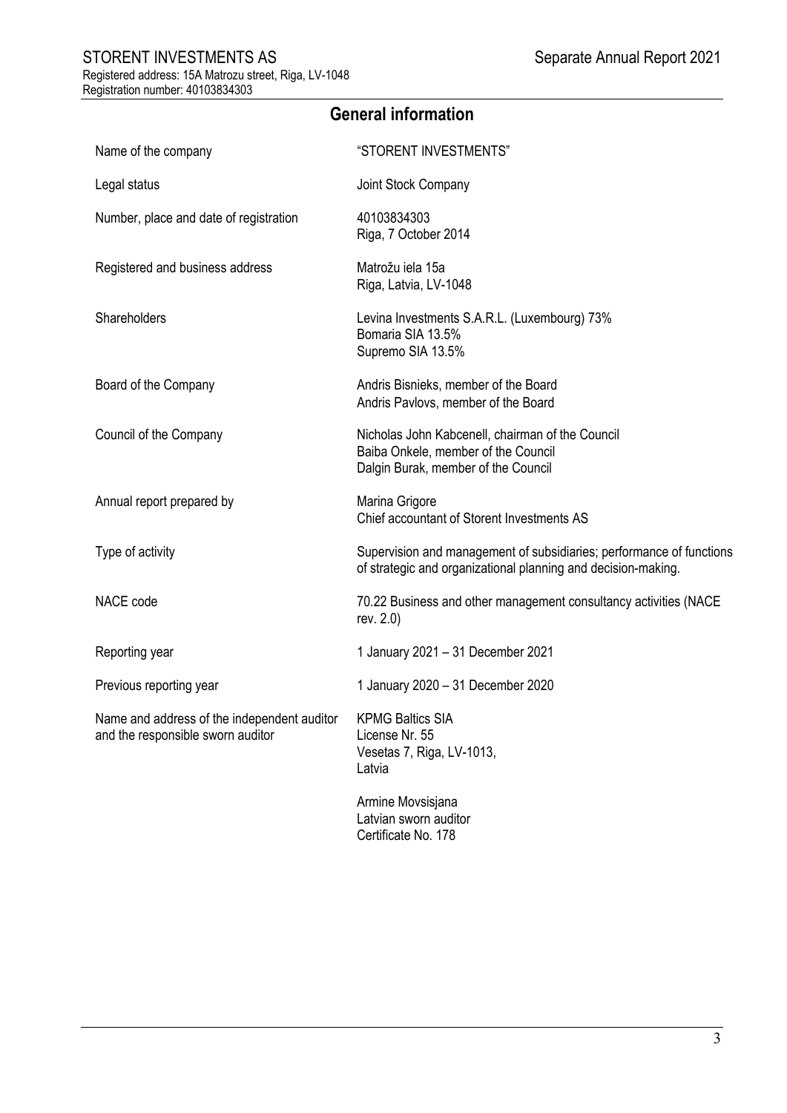| Name of the company                                                              | "STORENT INVESTMENTS"                                                                                                                 |
|----------------------------------------------------------------------------------|---------------------------------------------------------------------------------------------------------------------------------------|
| Legal status                                                                     | Joint Stock Company                                                                                                                   |
| Number, place and date of registration                                           | 40103834303<br>Riga, 7 October 2014                                                                                                   |
| Registered and business address                                                  | Matrožu iela 15a<br>Riga, Latvia, LV-1048                                                                                             |
| Shareholders                                                                     | Levina Investments S.A.R.L. (Luxembourg) 73%<br>Bomaria SIA 13.5%<br>Supremo SIA 13.5%                                                |
| Board of the Company                                                             | Andris Bisnieks, member of the Board<br>Andris Pavlovs, member of the Board                                                           |
| Council of the Company                                                           | Nicholas John Kabcenell, chairman of the Council<br>Baiba Onkele, member of the Council<br>Dalgin Burak, member of the Council        |
| Annual report prepared by                                                        | Marina Grigore<br>Chief accountant of Storent Investments AS                                                                          |
| Type of activity                                                                 | Supervision and management of subsidiaries; performance of functions<br>of strategic and organizational planning and decision-making. |
| NACE code                                                                        | 70.22 Business and other management consultancy activities (NACE<br>rev. 2.0)                                                         |
| Reporting year                                                                   | 1 January 2021 - 31 December 2021                                                                                                     |
| Previous reporting year                                                          | 1 January 2020 - 31 December 2020                                                                                                     |
| Name and address of the independent auditor<br>and the responsible sworn auditor | <b>KPMG Baltics SIA</b><br>License Nr. 55<br>Vesetas 7, Riga, LV-1013,<br>Latvia                                                      |
|                                                                                  | Armine Movsisjana<br>Latvian sworn auditor<br>Certificate No. 178                                                                     |

# **General information**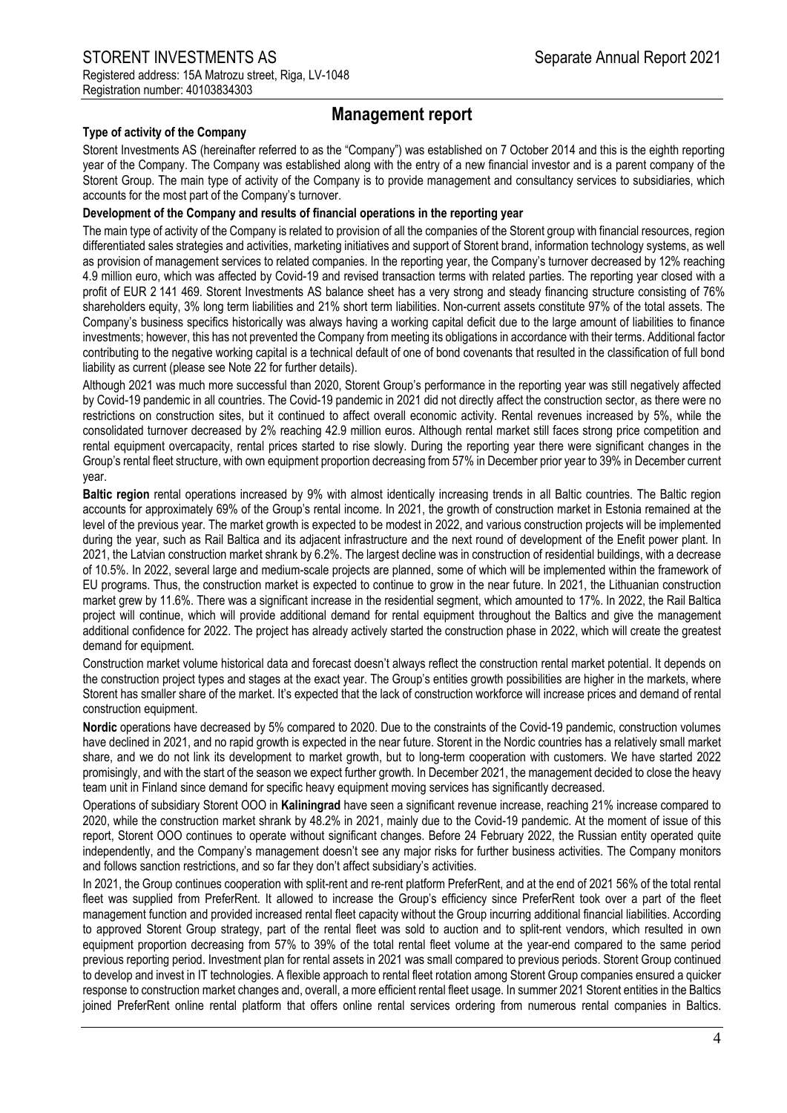## **Management report**

## **Type of activity of the Company**

Storent Investments AS (hereinafter referred to as the "Company") was established on 7 October 2014 and this is the eighth reporting year of the Company. The Company was established along with the entry of a new financial investor and is a parent company of the Storent Group. The main type of activity of the Company is to provide management and consultancy services to subsidiaries, which accounts for the most part of the Company's turnover.

#### **Development of the Company and results of financial operations in the reporting year**

The main type of activity of the Company is related to provision of all the companies of the Storent group with financial resources, region differentiated sales strategies and activities, marketing initiatives and support of Storent brand, information technology systems, as well as provision of management services to related companies. In the reporting year, the Company's turnover decreased by 12% reaching 4.9 million euro, which was affected by Covid-19 and revised transaction terms with related parties. The reporting year closed with a profit of EUR 2 141 469. Storent Investments AS balance sheet has a very strong and steady financing structure consisting of 76% shareholders equity, 3% long term liabilities and 21% short term liabilities. Non-current assets constitute 97% of the total assets. The Company's business specifics historically was always having a working capital deficit due to the large amount of liabilities to finance investments; however, this has not prevented the Company from meeting its obligations in accordance with their terms. Additional factor contributing to the negative working capital is a technical default of one of bond covenants that resulted in the classification of full bond liability as current (please see Note 22 for further details).

Although 2021 was much more successful than 2020, Storent Group's performance in the reporting year was still negatively affected by Covid-19 pandemic in all countries. The Covid-19 pandemic in 2021 did not directly affect the construction sector, as there were no restrictions on construction sites, but it continued to affect overall economic activity. Rental revenues increased by 5%, while the consolidated turnover decreased by 2% reaching 42.9 million euros. Although rental market still faces strong price competition and rental equipment overcapacity, rental prices started to rise slowly. During the reporting year there were significant changes in the Group's rental fleet structure, with own equipment proportion decreasing from 57% in December prior year to 39% in December current year.

**Baltic region** rental operations increased by 9% with almost identically increasing trends in all Baltic countries. The Baltic region accounts for approximately 69% of the Group's rental income. In 2021, the growth of construction market in Estonia remained at the level of the previous year. The market growth is expected to be modest in 2022, and various construction projects will be implemented during the year, such as Rail Baltica and its adjacent infrastructure and the next round of development of the Enefit power plant. In 2021, the Latvian construction market shrank by 6.2%. The largest decline was in construction of residential buildings, with a decrease of 10.5%. In 2022, several large and medium-scale projects are planned, some of which will be implemented within the framework of EU programs. Thus, the construction market is expected to continue to grow in the near future. In 2021, the Lithuanian construction market grew by 11.6%. There was a significant increase in the residential segment, which amounted to 17%. In 2022, the Rail Baltica project will continue, which will provide additional demand for rental equipment throughout the Baltics and give the management additional confidence for 2022. The project has already actively started the construction phase in 2022, which will create the greatest demand for equipment.

Construction market volume historical data and forecast doesn't always reflect the construction rental market potential. It depends on the construction project types and stages at the exact year. The Group's entities growth possibilities are higher in the markets, where Storent has smaller share of the market. It's expected that the lack of construction workforce will increase prices and demand of rental construction equipment.

**Nordic** operations have decreased by 5% compared to 2020. Due to the constraints of the Covid-19 pandemic, construction volumes have declined in 2021, and no rapid growth is expected in the near future. Storent in the Nordic countries has a relatively small market share, and we do not link its development to market growth, but to long-term cooperation with customers. We have started 2022 promisingly, and with the start of the season we expect further growth. In December 2021, the management decided to close the heavy team unit in Finland since demand for specific heavy equipment moving services has significantly decreased.

Operations of subsidiary Storent OOO in **Kaliningrad** have seen a significant revenue increase, reaching 21% increase compared to 2020, while the construction market shrank by 48.2% in 2021, mainly due to the Covid-19 pandemic. At the moment of issue of this report, Storent OOO continues to operate without significant changes. Before 24 February 2022, the Russian entity operated quite independently, and the Company's management doesn't see any major risks for further business activities. The Company monitors and follows sanction restrictions, and so far they don't affect subsidiary's activities.

In 2021, the Group continues cooperation with split-rent and re-rent platform PreferRent, and at the end of 2021 56% of the total rental fleet was supplied from PreferRent. It allowed to increase the Group's efficiency since PreferRent took over a part of the fleet management function and provided increased rental fleet capacity without the Group incurring additional financial liabilities. According to approved Storent Group strategy, part of the rental fleet was sold to auction and to split-rent vendors, which resulted in own equipment proportion decreasing from 57% to 39% of the total rental fleet volume at the year-end compared to the same period previous reporting period. Investment plan for rental assets in 2021 was small compared to previous periods. Storent Group continued to develop and invest in IT technologies. A flexible approach to rental fleet rotation among Storent Group companies ensured a quicker response to construction market changes and, overall, a more efficient rental fleet usage. In summer 2021 Storent entities in the Baltics joined PreferRent online rental platform that offers online rental services ordering from numerous rental companies in Baltics.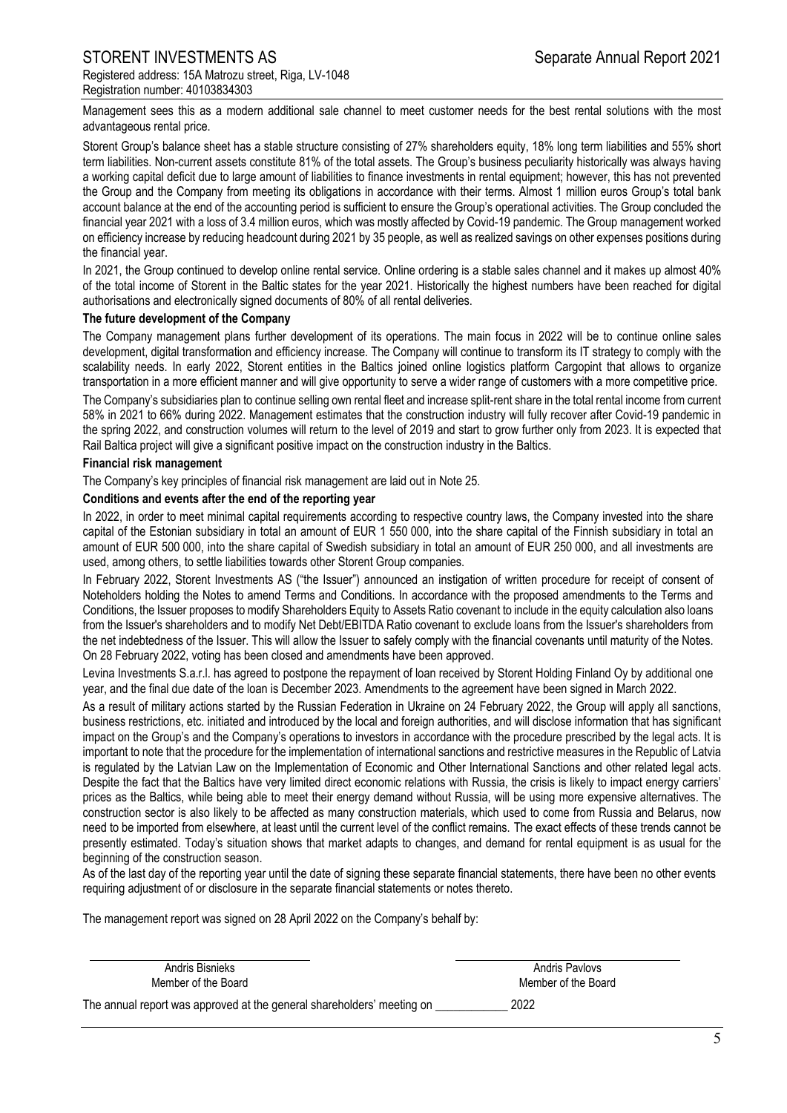Management sees this as a modern additional sale channel to meet customer needs for the best rental solutions with the most advantageous rental price.

Storent Group's balance sheet has a stable structure consisting of 27% shareholders equity, 18% long term liabilities and 55% short term liabilities. Non-current assets constitute 81% of the total assets. The Group's business peculiarity historically was always having a working capital deficit due to large amount of liabilities to finance investments in rental equipment; however, this has not prevented the Group and the Company from meeting its obligations in accordance with their terms. Almost 1 million euros Group's total bank account balance at the end of the accounting period is sufficient to ensure the Group's operational activities. The Group concluded the financial year 2021 with a loss of 3.4 million euros, which was mostly affected by Covid-19 pandemic. The Group management worked on efficiency increase by reducing headcount during 2021 by 35 people, as well as realized savings on other expenses positions during the financial year.

In 2021, the Group continued to develop online rental service. Online ordering is a stable sales channel and it makes up almost 40% of the total income of Storent in the Baltic states for the year 2021. Historically the highest numbers have been reached for digital authorisations and electronically signed documents of 80% of all rental deliveries.

#### **The future development of the Company**

The Company management plans further development of its operations. The main focus in 2022 will be to continue online sales development, digital transformation and efficiency increase. The Company will continue to transform its IT strategy to comply with the scalability needs. In early 2022, Storent entities in the Baltics joined online logistics platform Cargopint that allows to organize transportation in a more efficient manner and will give opportunity to serve a wider range of customers with a more competitive price.

The Company's subsidiaries plan to continue selling own rental fleet and increase split-rent share in the total rental income from current 58% in 2021 to 66% during 2022. Management estimates that the construction industry will fully recover after Covid-19 pandemic in the spring 2022, and construction volumes will return to the level of 2019 and start to grow further only from 2023. It is expected that Rail Baltica project will give a significant positive impact on the construction industry in the Baltics.

#### **Financial risk management**

The Company's key principles of financial risk management are laid out in Note 25.

#### **Conditions and events after the end of the reporting year**

In 2022, in order to meet minimal capital requirements according to respective country laws, the Company invested into the share capital of the Estonian subsidiary in total an amount of EUR 1 550 000, into the share capital of the Finnish subsidiary in total an amount of EUR 500 000, into the share capital of Swedish subsidiary in total an amount of EUR 250 000, and all investments are used, among others, to settle liabilities towards other Storent Group companies.

In February 2022, Storent Investments AS ("the Issuer") announced an instigation of written procedure for receipt of consent of Noteholders holding the Notes to amend Terms and Conditions. In accordance with the proposed amendments to the Terms and Conditions, the Issuer proposes to modify Shareholders Equity to Assets Ratio covenant to include in the equity calculation also loans from the Issuer's shareholders and to modify Net Debt/EBITDA Ratio covenant to exclude loans from the Issuer's shareholders from the net indebtedness of the Issuer. This will allow the Issuer to safely comply with the financial covenants until maturity of the Notes. On 28 February 2022, voting has been closed and amendments have been approved.

Levina Investments S.a.r.l. has agreed to postpone the repayment of loan received by Storent Holding Finland Oy by additional one year, and the final due date of the loan is December 2023. Amendments to the agreement have been signed in March 2022.

As a result of military actions started by the Russian Federation in Ukraine on 24 February 2022, the Group will apply all sanctions, business restrictions, etc. initiated and introduced by the local and foreign authorities, and will disclose information that has significant impact on the Group's and the Company's operations to investors in accordance with the procedure prescribed by the legal acts. It is important to note that the procedure for the implementation of international sanctions and restrictive measures in the Republic of Latvia is regulated by the Latvian Law on the Implementation of Economic and Other International Sanctions and other related legal acts. Despite the fact that the Baltics have very limited direct economic relations with Russia, the crisis is likely to impact energy carriers' prices as the Baltics, while being able to meet their energy demand without Russia, will be using more expensive alternatives. The construction sector is also likely to be affected as many construction materials, which used to come from Russia and Belarus, now need to be imported from elsewhere, at least until the current level of the conflict remains. The exact effects of these trends cannot be presently estimated. Today's situation shows that market adapts to changes, and demand for rental equipment is as usual for the beginning of the construction season.

As of the last day of the reporting year until the date of signing these separate financial statements, there have been no other events requiring adjustment of or disclosure in the separate financial statements or notes thereto.

The management report was signed on 28 April 2022 on the Company's behalf by:

| Andris Bisnieks                                                        | Andris Pavlovs      |
|------------------------------------------------------------------------|---------------------|
| Member of the Board                                                    | Member of the Board |
| The annual report was approved at the general shareholders' meeting on | 2022                |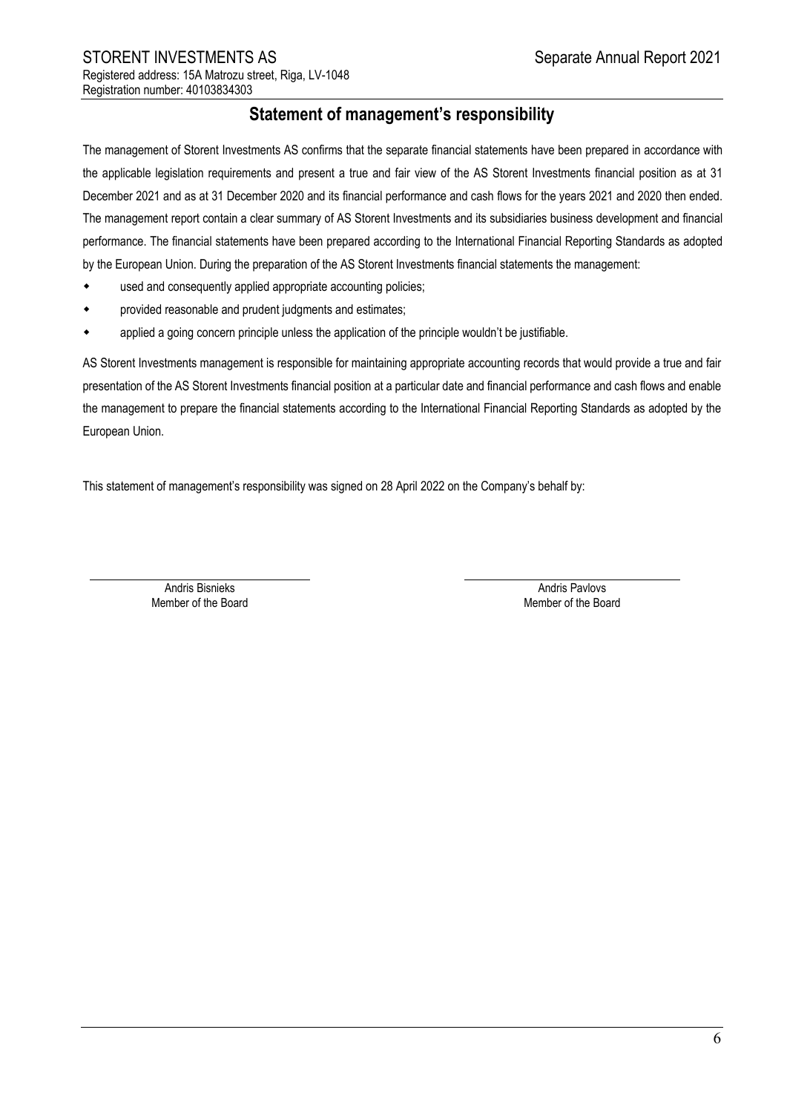## **Statement of management's responsibility**

The management of Storent Investments AS confirms that the separate financial statements have been prepared in accordance with the applicable legislation requirements and present a true and fair view of the AS Storent Investments financial position as at 31 December 2021 and as at 31 December 2020 and its financial performance and cash flows for the years 2021 and 2020 then ended. The management report contain a clear summary of AS Storent Investments and its subsidiaries business development and financial performance. The financial statements have been prepared according to the International Financial Reporting Standards as adopted by the European Union. During the preparation of the AS Storent Investments financial statements the management:

- used and consequently applied appropriate accounting policies;
- provided reasonable and prudent judgments and estimates;
- applied a going concern principle unless the application of the principle wouldn't be justifiable.

AS Storent Investments management is responsible for maintaining appropriate accounting records that would provide a true and fair presentation of the AS Storent Investments financial position at a particular date and financial performance and cash flows and enable the management to prepare the financial statements according to the International Financial Reporting Standards as adopted by the European Union.

This statement of management's responsibility was signed on 28 April 2022 on the Company's behalf by:

Andris Bisnieks **Andris Pavlovs** Andris Pavlovs Member of the Board News 2008 and Member of the Board Member of the Board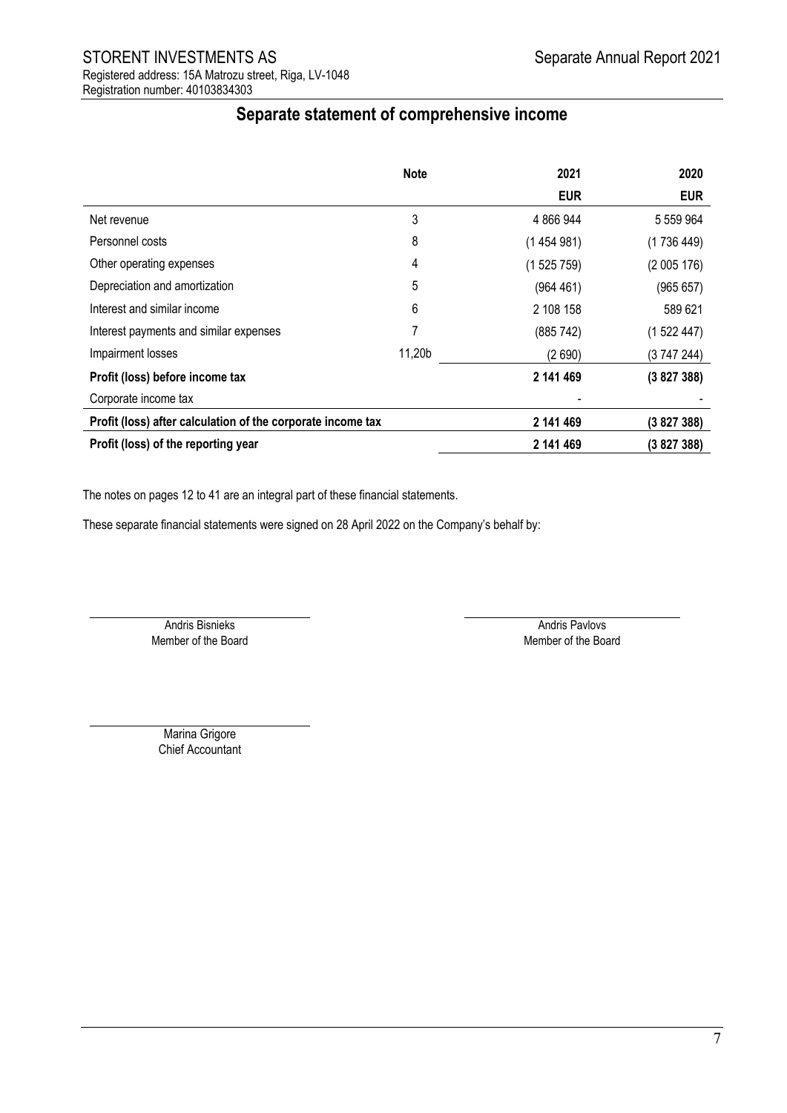|                                                             | <b>Note</b> | 2021       | 2020       |
|-------------------------------------------------------------|-------------|------------|------------|
|                                                             |             | <b>EUR</b> | <b>EUR</b> |
| Net revenue                                                 | 3           | 4 866 944  | 5 559 964  |
| Personnel costs                                             | 8           | (1454981)  | (1736449)  |
| Other operating expenses                                    | 4           | (1525759)  | (2005176)  |
| Depreciation and amortization                               | 5           | (964 461)  | (96565)    |
| Interest and similar income                                 | 6           | 2 108 158  | 589 621    |
| Interest payments and similar expenses                      | 7           | (885 742)  | (1522447)  |
| Impairment losses                                           | 11,20b      | (2690)     | (3747244)  |
| Profit (loss) before income tax                             |             | 2 141 469  | (3827388)  |
| Corporate income tax                                        |             |            |            |
| Profit (loss) after calculation of the corporate income tax |             | 2 141 469  | (3827388)  |
| Profit (loss) of the reporting year                         |             | 2 141 469  | (3827388)  |

The notes on pages 12 to 41 are an integral part of these financial statements.

These separate financial statements were signed on 28 April 2022 on the Company's behalf by:

Andris Bisnieks **Andris Pavlovs** Andris Pavlovs Member of the Board Member of the Board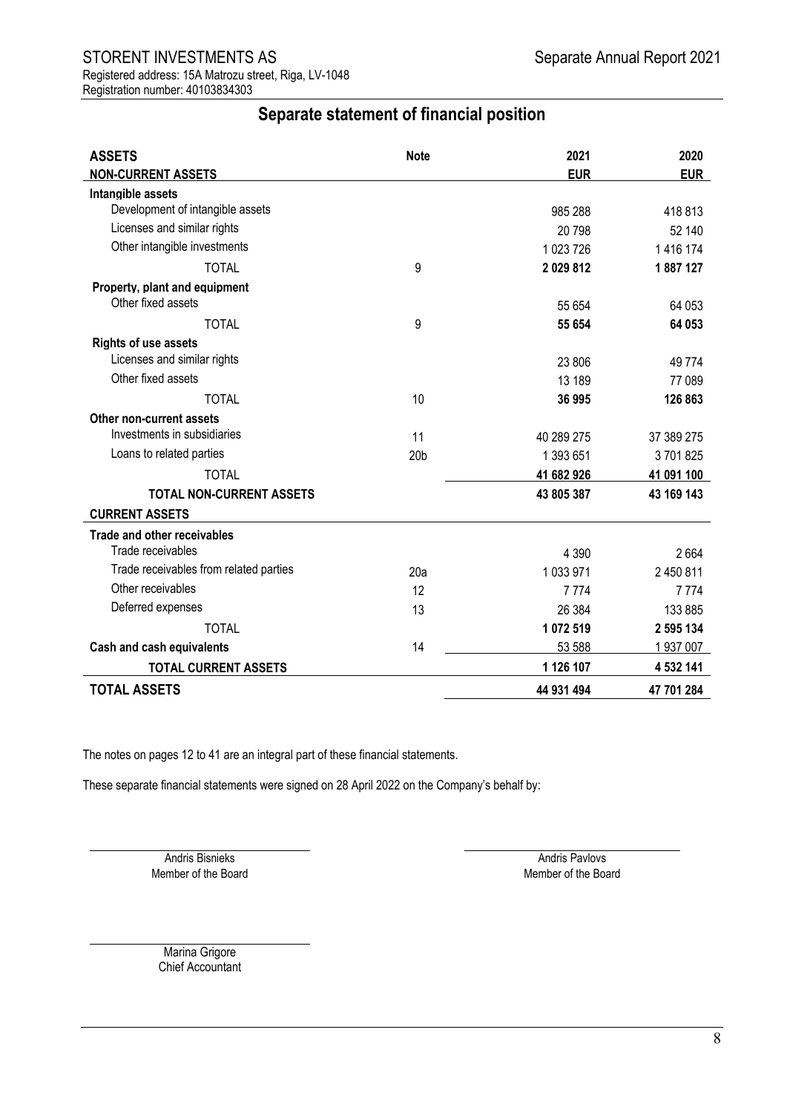| Separate statement of financial position |  |
|------------------------------------------|--|
|------------------------------------------|--|

| <b>ASSETS</b>                          | <b>Note</b>     | 2021       | 2020       |
|----------------------------------------|-----------------|------------|------------|
| <b>NON-CURRENT ASSETS</b>              |                 | <b>EUR</b> | <b>EUR</b> |
| Intangible assets                      |                 |            |            |
| Development of intangible assets       |                 | 985 288    | 418 813    |
| Licenses and similar rights            |                 | 20 798     | 52 140     |
| Other intangible investments           |                 | 1023726    | 1 416 174  |
| <b>TOTAL</b>                           | 9               | 2029812    | 1887127    |
| Property, plant and equipment          |                 |            |            |
| Other fixed assets                     |                 | 55 654     | 64 053     |
| <b>TOTAL</b>                           | 9               | 55 654     | 64 053     |
| <b>Rights of use assets</b>            |                 |            |            |
| Licenses and similar rights            |                 | 23 806     | 49 7 74    |
| Other fixed assets                     |                 | 13 189     | 77 089     |
| <b>TOTAL</b>                           | 10              | 36 995     | 126 863    |
| Other non-current assets               |                 |            |            |
| Investments in subsidiaries            | 11              | 40 289 275 | 37 389 275 |
| Loans to related parties               | 20 <sub>b</sub> | 1 393 651  | 3701825    |
| <b>TOTAL</b>                           |                 | 41 682 926 | 41 091 100 |
| <b>TOTAL NON-CURRENT ASSETS</b>        |                 | 43 805 387 | 43 169 143 |
| <b>CURRENT ASSETS</b>                  |                 |            |            |
| Trade and other receivables            |                 |            |            |
| Trade receivables                      |                 | 4 3 9 0    | 2664       |
| Trade receivables from related parties | 20a             | 1033971    | 2 450 811  |
| Other receivables                      | 12              | 7774       | 7774       |
| Deferred expenses                      | 13              | 26 384     | 133 885    |
| <b>TOTAL</b>                           |                 | 1072519    | 2 595 134  |
| <b>Cash and cash equivalents</b>       | 14              | 53 588     | 1937007    |
| <b>TOTAL CURRENT ASSETS</b>            |                 | 1 126 107  | 4 532 141  |
| <b>TOTAL ASSETS</b>                    |                 | 44 931 494 | 47 701 284 |

The notes on pages 12 to 41 are an integral part of these financial statements.

These separate financial statements were signed on 28 April 2022 on the Company's behalf by:

Andris Bisnieks **Andris Pavlovs** Andris Pavlovs Member of the Board Member of the Board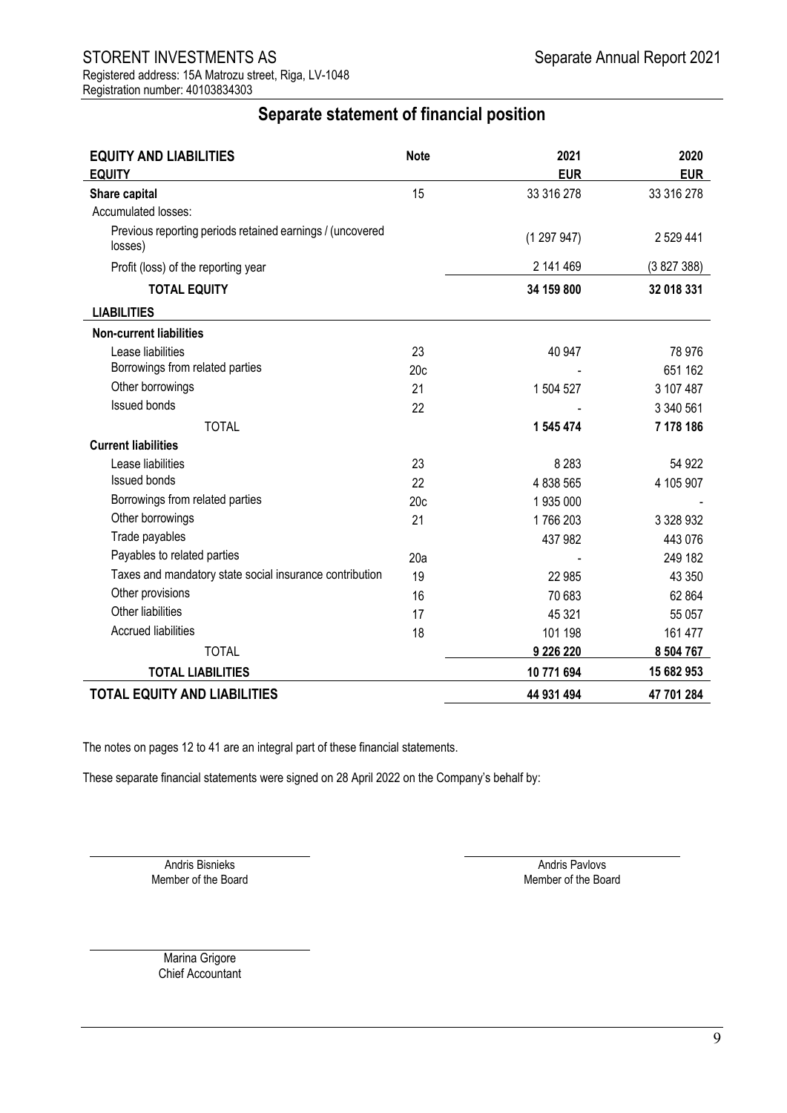# **Separate statement of financial position**

| <b>EQUITY AND LIABILITIES</b><br><b>EQUITY</b>                       | <b>Note</b>     | 2021<br><b>EUR</b> | 2020<br><b>EUR</b> |
|----------------------------------------------------------------------|-----------------|--------------------|--------------------|
| Share capital                                                        | 15              | 33 316 278         | 33 316 278         |
| Accumulated losses:                                                  |                 |                    |                    |
| Previous reporting periods retained earnings / (uncovered<br>losses) |                 | (1297947)          | 2 5 29 4 41        |
| Profit (loss) of the reporting year                                  |                 | 2 141 469          | (3827388)          |
| <b>TOTAL EQUITY</b>                                                  |                 | 34 159 800         | 32 018 331         |
| <b>LIABILITIES</b>                                                   |                 |                    |                    |
| <b>Non-current liabilities</b>                                       |                 |                    |                    |
| Lease liabilities                                                    | 23              | 40 947             | 78 976             |
| Borrowings from related parties                                      | 20c             |                    | 651 162            |
| Other borrowings                                                     | 21              | 1 504 527          | 3 107 487          |
| <b>Issued bonds</b>                                                  | 22              |                    | 3 340 561          |
| <b>TOTAL</b>                                                         |                 | 1 545 474          | 7 178 186          |
| <b>Current liabilities</b>                                           |                 |                    |                    |
| Lease liabilities                                                    | 23              | 8 2 8 3            | 54 922             |
| <b>Issued bonds</b>                                                  | 22              | 4 838 565          | 4 105 907          |
| Borrowings from related parties                                      | 20 <sub>c</sub> | 1935000            |                    |
| Other borrowings                                                     | 21              | 1766203            | 3 3 28 9 32        |
| Trade payables                                                       |                 | 437 982            | 443 076            |
| Payables to related parties                                          | 20a             |                    | 249 182            |
| Taxes and mandatory state social insurance contribution              | 19              | 22 985             | 43 350             |
| Other provisions                                                     | 16              | 70 683             | 62 864             |
| Other liabilities                                                    | 17              | 45 321             | 55 057             |
| <b>Accrued liabilities</b>                                           | 18              | 101 198            | 161 477            |
| <b>TOTAL</b>                                                         |                 | 9 226 220          | 8 504 767          |
| <b>TOTAL LIABILITIES</b>                                             |                 | 10 771 694         | 15 682 953         |
| <b>TOTAL EQUITY AND LIABILITIES</b>                                  |                 | 44 931 494         | 47 701 284         |

The notes on pages 12 to 41 are an integral part of these financial statements.

These separate financial statements were signed on 28 April 2022 on the Company's behalf by:

**Andris Bisnieks** Andris Pavlovs Member of the Board **Member of the Board** Member of the Board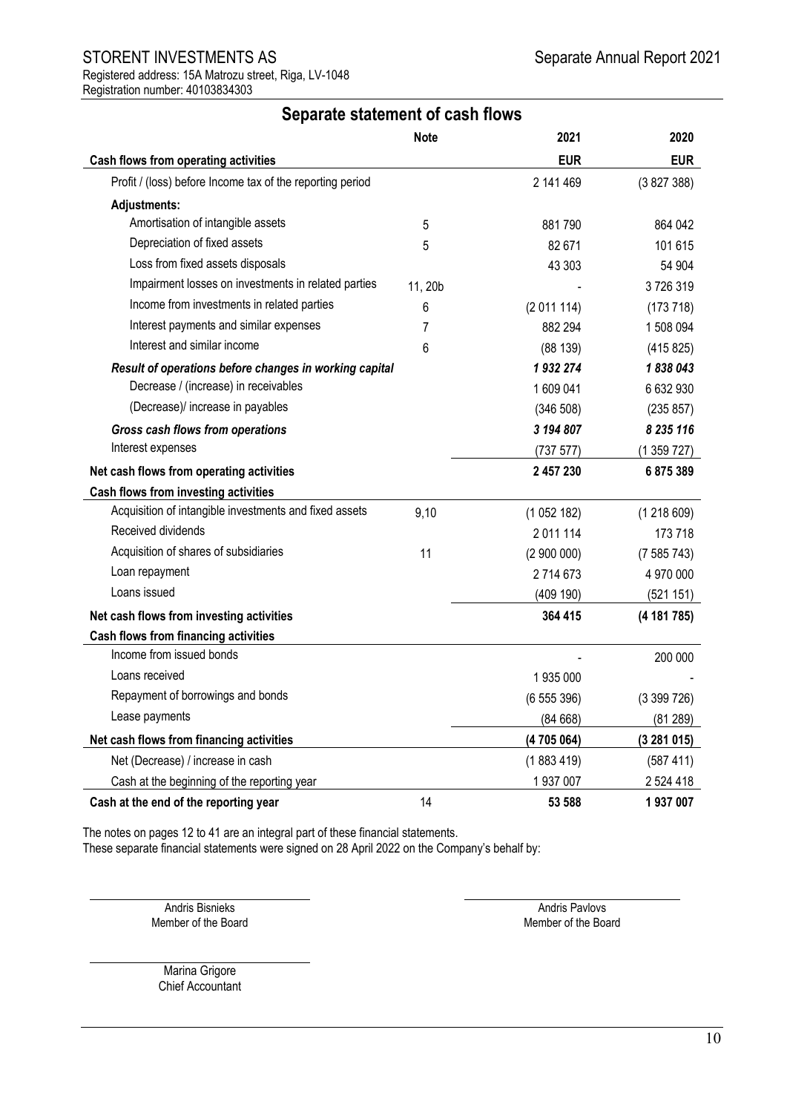# STORENT INVESTMENTS AS SEPARATE SEPARATE Annual Report 2021 Registered address: 15A Matrozu street, Riga, LV-1048

Registration number: 40103834303

|                                                           | <b>Note</b> | 2021       | 2020        |
|-----------------------------------------------------------|-------------|------------|-------------|
| Cash flows from operating activities                      |             | <b>EUR</b> | <b>EUR</b>  |
| Profit / (loss) before Income tax of the reporting period |             | 2 141 469  | (3827388)   |
| <b>Adjustments:</b>                                       |             |            |             |
| Amortisation of intangible assets                         | 5           | 881790     | 864 042     |
| Depreciation of fixed assets                              | 5           | 82 671     | 101 615     |
| Loss from fixed assets disposals                          |             | 43 303     | 54 904      |
| Impairment losses on investments in related parties       | 11, 20b     |            | 3726319     |
| Income from investments in related parties                | 6           | (2011114)  | (173718)    |
| Interest payments and similar expenses                    | 7           | 882 294    | 1 508 094   |
| Interest and similar income                               | 6           | (88 139)   | (415 825)   |
| Result of operations before changes in working capital    |             | 1932274    | 1838043     |
| Decrease / (increase) in receivables                      |             | 1609041    | 6 632 930   |
| (Decrease)/ increase in payables                          |             | (346 508)  | (235 857)   |
| Gross cash flows from operations                          |             | 3 194 807  | 8 235 116   |
| Interest expenses                                         |             | (737 577)  | (1359727)   |
| Net cash flows from operating activities                  |             | 2 457 230  | 6875389     |
| Cash flows from investing activities                      |             |            |             |
| Acquisition of intangible investments and fixed assets    | 9,10        | (1052182)  | (1218609)   |
| Received dividends                                        |             | 2011 114   | 173718      |
| Acquisition of shares of subsidiaries                     | 11          | (2900000)  | (7585743)   |
| Loan repayment                                            |             | 2714673    | 4 970 000   |
| Loans issued                                              |             | (409 190)  | (521151)    |
| Net cash flows from investing activities                  |             | 364 415    | (4 181 785) |
| <b>Cash flows from financing activities</b>               |             |            |             |
| Income from issued bonds                                  |             |            | 200 000     |
| Loans received                                            |             | 1935 000   |             |
| Repayment of borrowings and bonds                         |             | (6555396)  | (3399726)   |
| Lease payments                                            |             | (84668)    | (81 289)    |
| Net cash flows from financing activities                  |             | (4705 064) | (3281015)   |
| Net (Decrease) / increase in cash                         |             | (1883419)  | (587 411)   |
| Cash at the beginning of the reporting year               |             | 1 937 007  | 2 5 24 4 18 |
| Cash at the end of the reporting year                     | 14          | 53 588     | 1937007     |

**Separate statement of cash flows** 

The notes on pages 12 to 41 are an integral part of these financial statements. These separate financial statements were signed on 28 April 2022 on the Company's behalf by:

Andris Bisnieks Andris Pavlovs<br>
Member of the Board Member of the Board

Member of the Board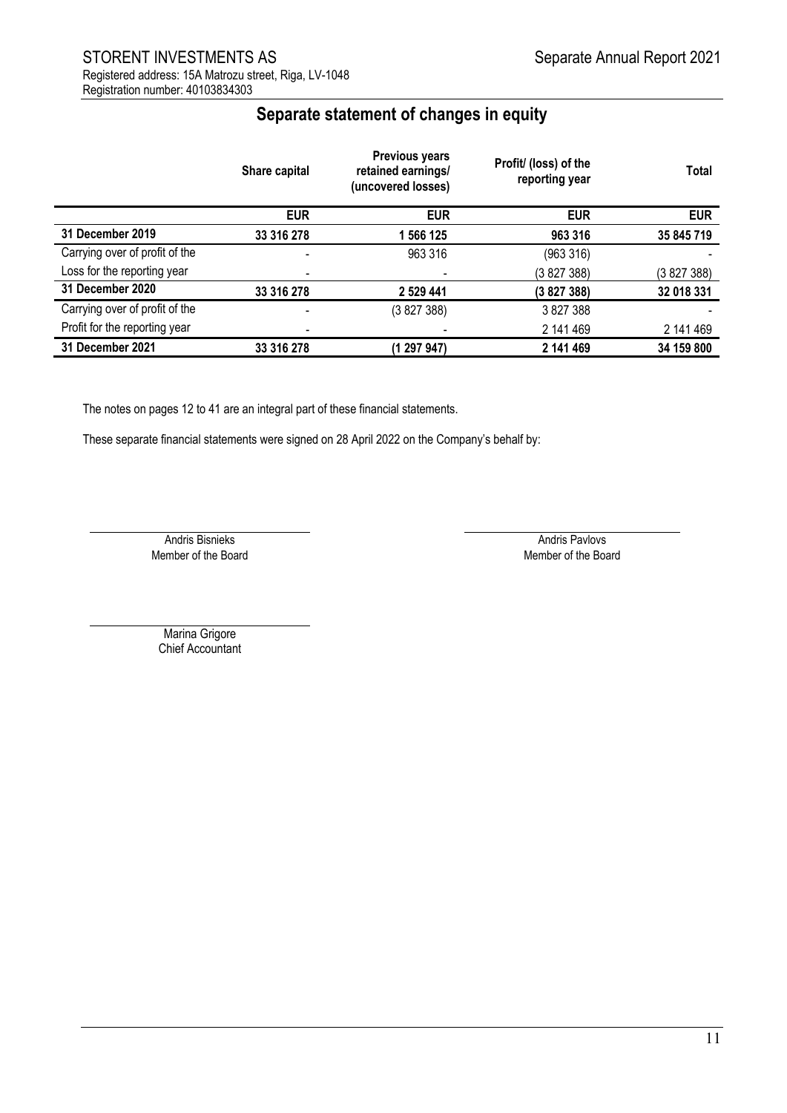# **Separate statement of changes in equity**

|                                | Share capital            | <b>Previous years</b><br>retained earnings/<br>(uncovered losses) | Profit/ (loss) of the<br>reporting year | <b>Total</b> |
|--------------------------------|--------------------------|-------------------------------------------------------------------|-----------------------------------------|--------------|
|                                | <b>EUR</b>               | <b>EUR</b>                                                        | <b>EUR</b>                              | <b>EUR</b>   |
| 31 December 2019               | 33 316 278               | 1 566 125                                                         | 963 316                                 | 35 845 719   |
| Carrying over of profit of the |                          | 963 316                                                           | (963316)                                |              |
| Loss for the reporting year    | $\blacksquare$           |                                                                   | (3827388)                               | (382738)     |
| 31 December 2020               | 33 316 278               | 2 529 441                                                         | (3827388)                               | 32 018 331   |
| Carrying over of profit of the |                          | (3827388)                                                         | 3827388                                 |              |
| Profit for the reporting year  | $\overline{\phantom{0}}$ |                                                                   | 2 141 469                               | 2 141 469    |
| 31 December 2021               | 33 316 278               | (1297947)                                                         | 2 141 469                               | 34 159 800   |

The notes on pages 12 to 41 are an integral part of these financial statements.

These separate financial statements were signed on 28 April 2022 on the Company's behalf by:

Andris Bisnieks **Andris Pavlovs** Andris Pavlovs Member of the Board Member of the Board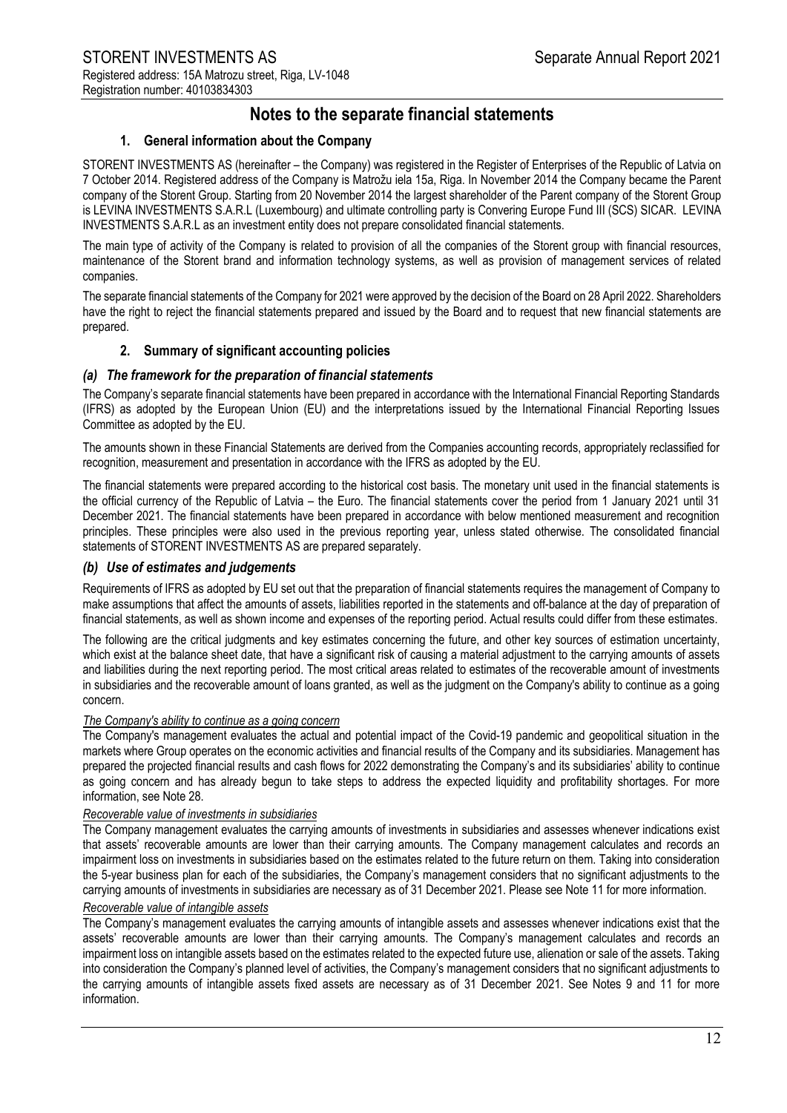## **Notes to the separate financial statements**

## **1. General information about the Company**

STORENT INVESTMENTS AS (hereinafter – the Company) was registered in the Register of Enterprises of the Republic of Latvia on 7 October 2014. Registered address of the Company is Matrožu iela 15a, Riga. In November 2014 the Company became the Parent company of the Storent Group. Starting from 20 November 2014 the largest shareholder of the Parent company of the Storent Group is LEVINA INVESTMENTS S.A.R.L (Luxembourg) and ultimate controlling party is Convering Europe Fund III (SCS) SICAR. LEVINA INVESTMENTS S.A.R.L as an investment entity does not prepare consolidated financial statements.

The main type of activity of the Company is related to provision of all the companies of the Storent group with financial resources, maintenance of the Storent brand and information technology systems, as well as provision of management services of related companies.

The separate financial statements of the Company for 2021 were approved by the decision of the Board on 28 April 2022. Shareholders have the right to reject the financial statements prepared and issued by the Board and to request that new financial statements are prepared.

## **2. Summary of significant accounting policies**

## *(a) The framework for the preparation of financial statements*

The Company's separate financial statements have been prepared in accordance with the International Financial Reporting Standards (IFRS) as adopted by the European Union (EU) and the interpretations issued by the International Financial Reporting Issues Committee as adopted by the EU.

The amounts shown in these Financial Statements are derived from the Companies accounting records, appropriately reclassified for recognition, measurement and presentation in accordance with the IFRS as adopted by the EU.

The financial statements were prepared according to the historical cost basis. The monetary unit used in the financial statements is the official currency of the Republic of Latvia – the Euro. The financial statements cover the period from 1 January 2021 until 31 December 2021. The financial statements have been prepared in accordance with below mentioned measurement and recognition principles. These principles were also used in the previous reporting year, unless stated otherwise. The consolidated financial statements of STORENT INVESTMENTS AS are prepared separately.

## *(b) Use of estimates and judgements*

Requirements of IFRS as adopted by EU set out that the preparation of financial statements requires the management of Company to make assumptions that affect the amounts of assets, liabilities reported in the statements and off-balance at the day of preparation of financial statements, as well as shown income and expenses of the reporting period. Actual results could differ from these estimates.

The following are the critical judgments and key estimates concerning the future, and other key sources of estimation uncertainty, which exist at the balance sheet date, that have a significant risk of causing a material adjustment to the carrying amounts of assets and liabilities during the next reporting period. The most critical areas related to estimates of the recoverable amount of investments in subsidiaries and the recoverable amount of loans granted, as well as the judgment on the Company's ability to continue as a going concern.

#### *The Company's ability to continue as a going concern*

The Company's management evaluates the actual and potential impact of the Covid-19 pandemic and geopolitical situation in the markets where Group operates on the economic activities and financial results of the Company and its subsidiaries. Management has prepared the projected financial results and cash flows for 2022 demonstrating the Company's and its subsidiaries' ability to continue as going concern and has already begun to take steps to address the expected liquidity and profitability shortages. For more information, see Note 28.

## *Recoverable value of investments in subsidiaries*

The Company management evaluates the carrying amounts of investments in subsidiaries and assesses whenever indications exist that assets' recoverable amounts are lower than their carrying amounts. The Company management calculates and records an impairment loss on investments in subsidiaries based on the estimates related to the future return on them. Taking into consideration the 5-year business plan for each of the subsidiaries, the Company's management considers that no significant adjustments to the carrying amounts of investments in subsidiaries are necessary as of 31 December 2021. Please see Note 11 for more information.

## *Recoverable value of intangible assets*

The Company's management evaluates the carrying amounts of intangible assets and assesses whenever indications exist that the assets' recoverable amounts are lower than their carrying amounts. The Company's management calculates and records an impairment loss on intangible assets based on the estimates related to the expected future use, alienation or sale of the assets. Taking into consideration the Company's planned level of activities, the Company's management considers that no significant adjustments to the carrying amounts of intangible assets fixed assets are necessary as of 31 December 2021. See Notes 9 and 11 for more information.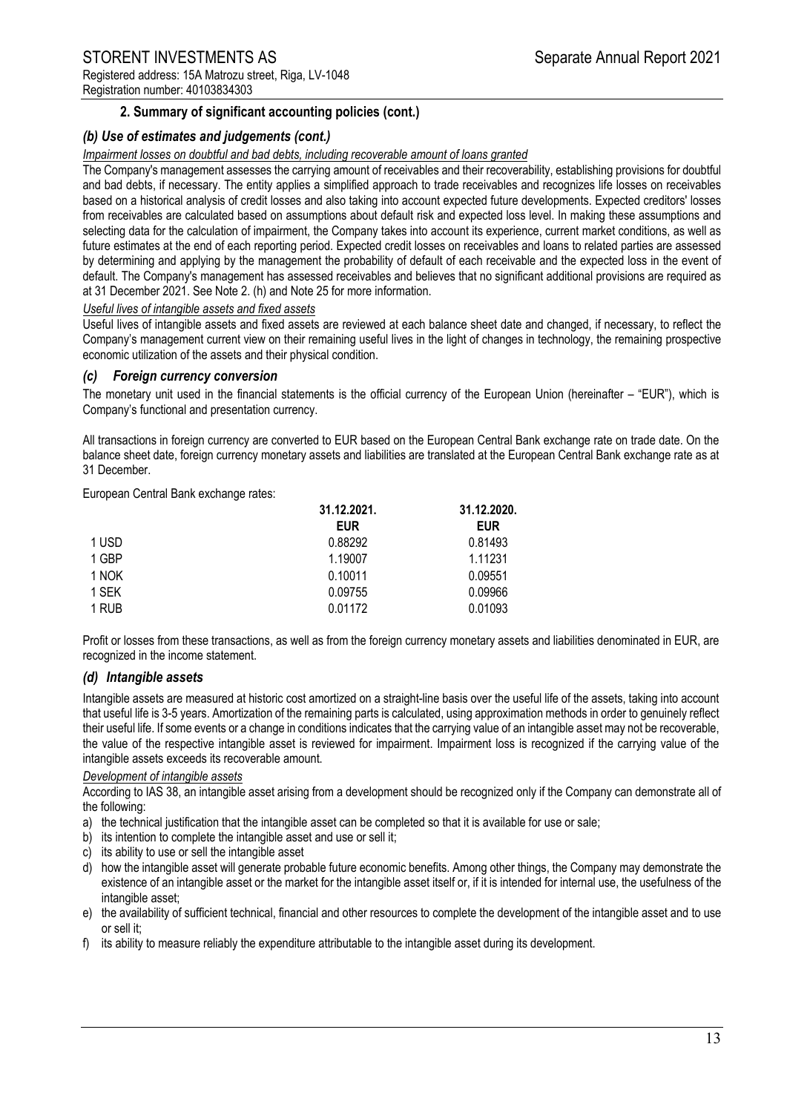## *(b) Use of estimates and judgements (cont.)*

#### *Impairment losses on doubtful and bad debts, including recoverable amount of loans granted*

The Company's management assesses the carrying amount of receivables and their recoverability, establishing provisions for doubtful and bad debts, if necessary. The entity applies a simplified approach to trade receivables and recognizes life losses on receivables based on a historical analysis of credit losses and also taking into account expected future developments. Expected creditors' losses from receivables are calculated based on assumptions about default risk and expected loss level. In making these assumptions and selecting data for the calculation of impairment, the Company takes into account its experience, current market conditions, as well as future estimates at the end of each reporting period. Expected credit losses on receivables and loans to related parties are assessed by determining and applying by the management the probability of default of each receivable and the expected loss in the event of default. The Company's management has assessed receivables and believes that no significant additional provisions are required as at 31 December 2021. See Note 2. (h) and Note 25 for more information.

#### *Useful lives of intangible assets and fixed assets*

Useful lives of intangible assets and fixed assets are reviewed at each balance sheet date and changed, if necessary, to reflect the Company's management current view on their remaining useful lives in the light of changes in technology, the remaining prospective economic utilization of the assets and their physical condition.

#### *(c) Foreign currency conversion*

The monetary unit used in the financial statements is the official currency of the European Union (hereinafter – "EUR"), which is Company's functional and presentation currency.

All transactions in foreign currency are converted to EUR based on the European Central Bank exchange rate on trade date. On the balance sheet date, foreign currency monetary assets and liabilities are translated at the European Central Bank exchange rate as at 31 December.

European Central Bank exchange rates:

|       | 31.12.2021. | 31.12.2020. |
|-------|-------------|-------------|
|       | <b>EUR</b>  | <b>EUR</b>  |
| 1 USD | 0.88292     | 0.81493     |
| 1 GBP | 1.19007     | 1.11231     |
| 1 NOK | 0.10011     | 0.09551     |
| 1 SEK | 0.09755     | 0.09966     |
| 1 RUB | 0.01172     | 0.01093     |

Profit or losses from these transactions, as well as from the foreign currency monetary assets and liabilities denominated in EUR, are recognized in the income statement.

## *(d) Intangible assets*

Intangible assets are measured at historic cost amortized on a straight-line basis over the useful life of the assets, taking into account that useful life is 3-5 years. Amortization of the remaining parts is calculated, using approximation methods in order to genuinely reflect their useful life. If some events or a change in conditions indicates that the carrying value of an intangible asset may not be recoverable, the value of the respective intangible asset is reviewed for impairment. Impairment loss is recognized if the carrying value of the intangible assets exceeds its recoverable amount.

#### *Development of intangible assets*

According to IAS 38, an intangible asset arising from a development should be recognized only if the Company can demonstrate all of the following:

- a) the technical justification that the intangible asset can be completed so that it is available for use or sale;
- b) its intention to complete the intangible asset and use or sell it:
- c) its ability to use or sell the intangible asset
- d) how the intangible asset will generate probable future economic benefits. Among other things, the Company may demonstrate the existence of an intangible asset or the market for the intangible asset itself or, if it is intended for internal use, the usefulness of the intangible asset;
- e) the availability of sufficient technical, financial and other resources to complete the development of the intangible asset and to use or sell it;
- f) its ability to measure reliably the expenditure attributable to the intangible asset during its development.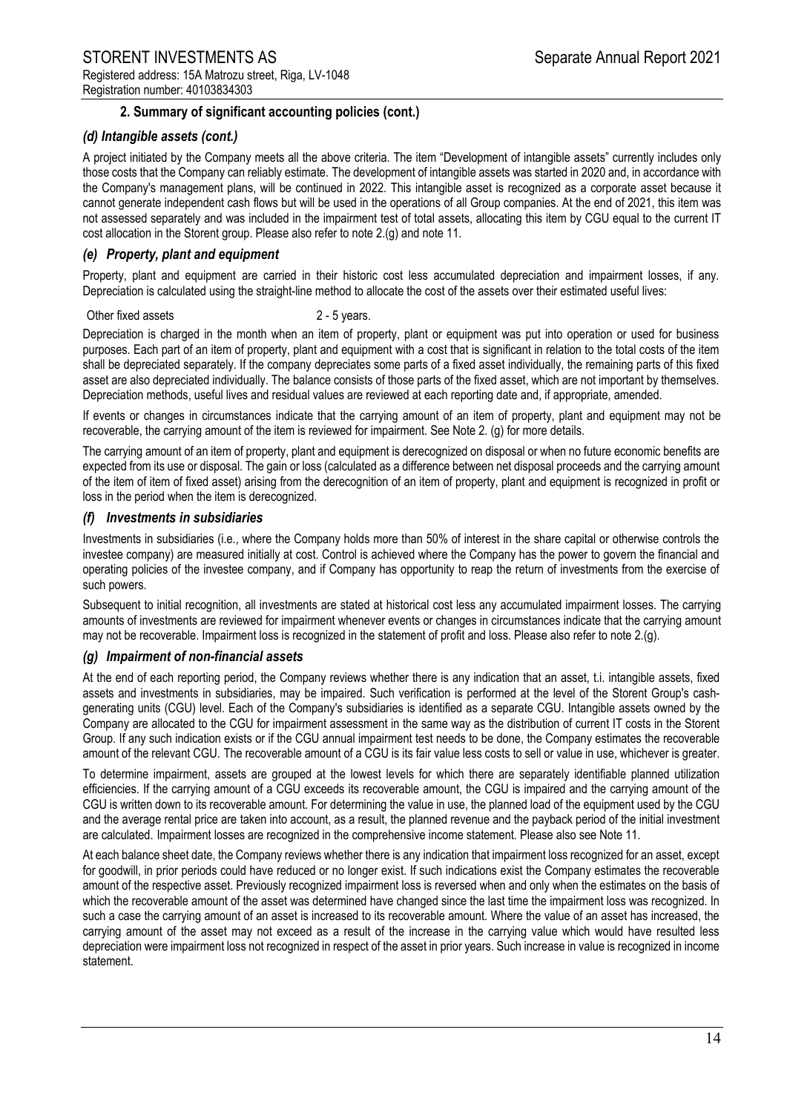## *(d) Intangible assets (cont.)*

A project initiated by the Company meets all the above criteria. The item "Development of intangible assets" currently includes only those costs that the Company can reliably estimate. The development of intangible assets was started in 2020 and, in accordance with the Company's management plans, will be continued in 2022. This intangible asset is recognized as a corporate asset because it cannot generate independent cash flows but will be used in the operations of all Group companies. At the end of 2021, this item was not assessed separately and was included in the impairment test of total assets, allocating this item by CGU equal to the current IT cost allocation in the Storent group. Please also refer to note 2.(g) and note 11.

## *(e) Property, plant and equipment*

Property, plant and equipment are carried in their historic cost less accumulated depreciation and impairment losses, if any. Depreciation is calculated using the straight-line method to allocate the cost of the assets over their estimated useful lives:

#### Other fixed assets 2 - 5 years.

Depreciation is charged in the month when an item of property, plant or equipment was put into operation or used for business purposes. Each part of an item of property, plant and equipment with a cost that is significant in relation to the total costs of the item shall be depreciated separately. If the company depreciates some parts of a fixed asset individually, the remaining parts of this fixed asset are also depreciated individually. The balance consists of those parts of the fixed asset, which are not important by themselves. Depreciation methods, useful lives and residual values are reviewed at each reporting date and, if appropriate, amended.

If events or changes in circumstances indicate that the carrying amount of an item of property, plant and equipment may not be recoverable, the carrying amount of the item is reviewed for impairment. See Note 2. (g) for more details.

The carrying amount of an item of property, plant and equipment is derecognized on disposal or when no future economic benefits are expected from its use or disposal. The gain or loss (calculated as a difference between net disposal proceeds and the carrying amount of the item of item of fixed asset) arising from the derecognition of an item of property, plant and equipment is recognized in profit or loss in the period when the item is derecognized.

## *(f) Investments in subsidiaries*

Investments in subsidiaries (i.e., where the Company holds more than 50% of interest in the share capital or otherwise controls the investee company) are measured initially at cost. Control is achieved where the Company has the power to govern the financial and operating policies of the investee company, and if Company has opportunity to reap the return of investments from the exercise of such powers.

Subsequent to initial recognition, all investments are stated at historical cost less any accumulated impairment losses. The carrying amounts of investments are reviewed for impairment whenever events or changes in circumstances indicate that the carrying amount may not be recoverable. Impairment loss is recognized in the statement of profit and loss. Please also refer to note 2.(g).

## *(g) Impairment of non-financial assets*

At the end of each reporting period, the Company reviews whether there is any indication that an asset, t.i. intangible assets, fixed assets and investments in subsidiaries, may be impaired. Such verification is performed at the level of the Storent Group's cashgenerating units (CGU) level. Each of the Company's subsidiaries is identified as a separate CGU. Intangible assets owned by the Company are allocated to the CGU for impairment assessment in the same way as the distribution of current IT costs in the Storent Group. If any such indication exists or if the CGU annual impairment test needs to be done, the Company estimates the recoverable amount of the relevant CGU. The recoverable amount of a CGU is its fair value less costs to sell or value in use, whichever is greater.

To determine impairment, assets are grouped at the lowest levels for which there are separately identifiable planned utilization efficiencies. If the carrying amount of a CGU exceeds its recoverable amount, the CGU is impaired and the carrying amount of the CGU is written down to its recoverable amount. For determining the value in use, the planned load of the equipment used by the CGU and the average rental price are taken into account, as a result, the planned revenue and the payback period of the initial investment are calculated. Impairment losses are recognized in the comprehensive income statement. Please also see Note 11.

At each balance sheet date, the Company reviews whether there is any indication that impairment loss recognized for an asset, except for goodwill, in prior periods could have reduced or no longer exist. If such indications exist the Company estimates the recoverable amount of the respective asset. Previously recognized impairment loss is reversed when and only when the estimates on the basis of which the recoverable amount of the asset was determined have changed since the last time the impairment loss was recognized. In such a case the carrying amount of an asset is increased to its recoverable amount. Where the value of an asset has increased, the carrying amount of the asset may not exceed as a result of the increase in the carrying value which would have resulted less depreciation were impairment loss not recognized in respect of the asset in prior years. Such increase in value is recognized in income statement.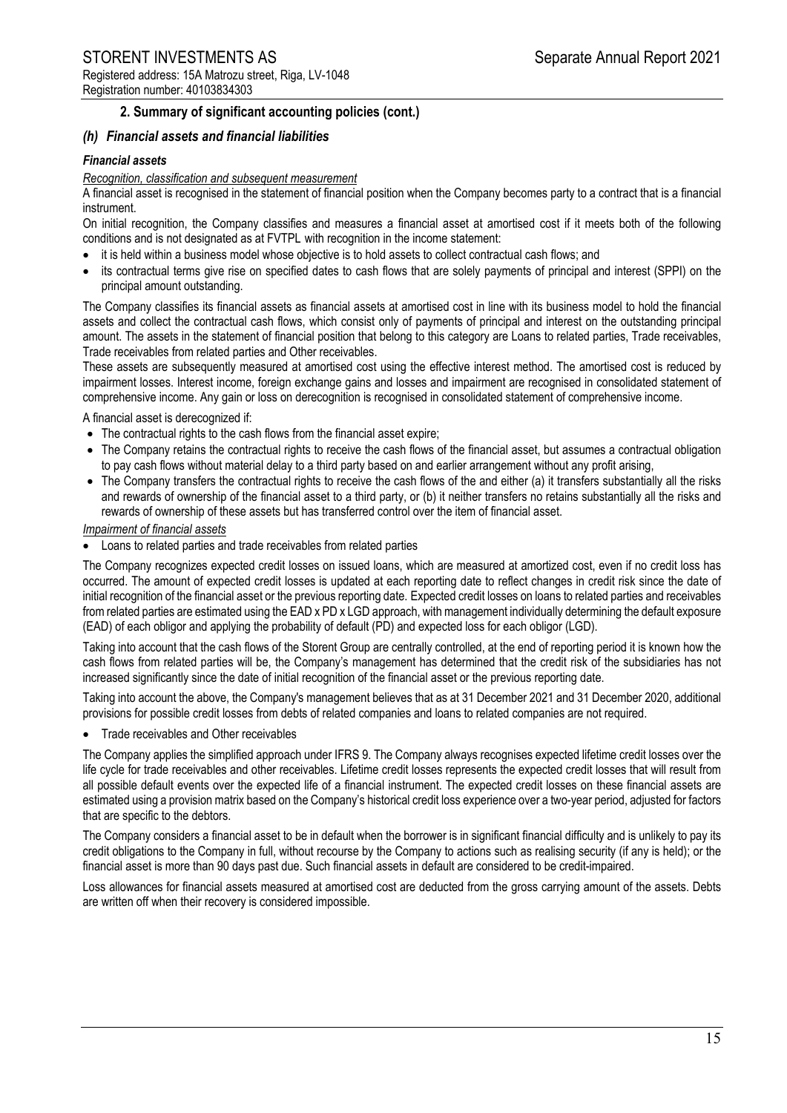## *(h) Financial assets and financial liabilities*

#### *Financial assets*

#### *Recognition, classification and subsequent measurement*

A financial asset is recognised in the statement of financial position when the Company becomes party to a contract that is a financial instrument.

On initial recognition, the Company classifies and measures a financial asset at amortised cost if it meets both of the following conditions and is not designated as at FVTPL with recognition in the income statement:

- it is held within a business model whose objective is to hold assets to collect contractual cash flows; and
- its contractual terms give rise on specified dates to cash flows that are solely payments of principal and interest (SPPI) on the principal amount outstanding.

The Company classifies its financial assets as financial assets at amortised cost in line with its business model to hold the financial assets and collect the contractual cash flows, which consist only of payments of principal and interest on the outstanding principal amount. The assets in the statement of financial position that belong to this category are Loans to related parties, Trade receivables, Trade receivables from related parties and Other receivables.

These assets are subsequently measured at amortised cost using the effective interest method. The amortised cost is reduced by impairment losses. Interest income, foreign exchange gains and losses and impairment are recognised in consolidated statement of comprehensive income. Any gain or loss on derecognition is recognised in consolidated statement of comprehensive income.

A financial asset is derecognized if:

- The contractual rights to the cash flows from the financial asset expire:
- The Company retains the contractual rights to receive the cash flows of the financial asset, but assumes a contractual obligation to pay cash flows without material delay to a third party based on and earlier arrangement without any profit arising,
- The Company transfers the contractual rights to receive the cash flows of the and either (a) it transfers substantially all the risks and rewards of ownership of the financial asset to a third party, or (b) it neither transfers no retains substantially all the risks and rewards of ownership of these assets but has transferred control over the item of financial asset.

#### *Impairment of financial assets*

Loans to related parties and trade receivables from related parties

The Company recognizes expected credit losses on issued loans, which are measured at amortized cost, even if no credit loss has occurred. The amount of expected credit losses is updated at each reporting date to reflect changes in credit risk since the date of initial recognition of the financial asset or the previous reporting date. Expected credit losses on loans to related parties and receivables from related parties are estimated using the EAD x PD x LGD approach, with management individually determining the default exposure (EAD) of each obligor and applying the probability of default (PD) and expected loss for each obligor (LGD).

Taking into account that the cash flows of the Storent Group are centrally controlled, at the end of reporting period it is known how the cash flows from related parties will be, the Company's management has determined that the credit risk of the subsidiaries has not increased significantly since the date of initial recognition of the financial asset or the previous reporting date.

Taking into account the above, the Company's management believes that as at 31 December 2021 and 31 December 2020, additional provisions for possible credit losses from debts of related companies and loans to related companies are not required.

• Trade receivables and Other receivables

The Company applies the simplified approach under IFRS 9. The Company always recognises expected lifetime credit losses over the life cycle for trade receivables and other receivables. Lifetime credit losses represents the expected credit losses that will result from all possible default events over the expected life of a financial instrument. The expected credit losses on these financial assets are estimated using a provision matrix based on the Company's historical credit loss experience over a two-year period, adjusted for factors that are specific to the debtors.

The Company considers a financial asset to be in default when the borrower is in significant financial difficulty and is unlikely to pay its credit obligations to the Company in full, without recourse by the Company to actions such as realising security (if any is held); or the financial asset is more than 90 days past due. Such financial assets in default are considered to be credit-impaired.

Loss allowances for financial assets measured at amortised cost are deducted from the gross carrying amount of the assets. Debts are written off when their recovery is considered impossible.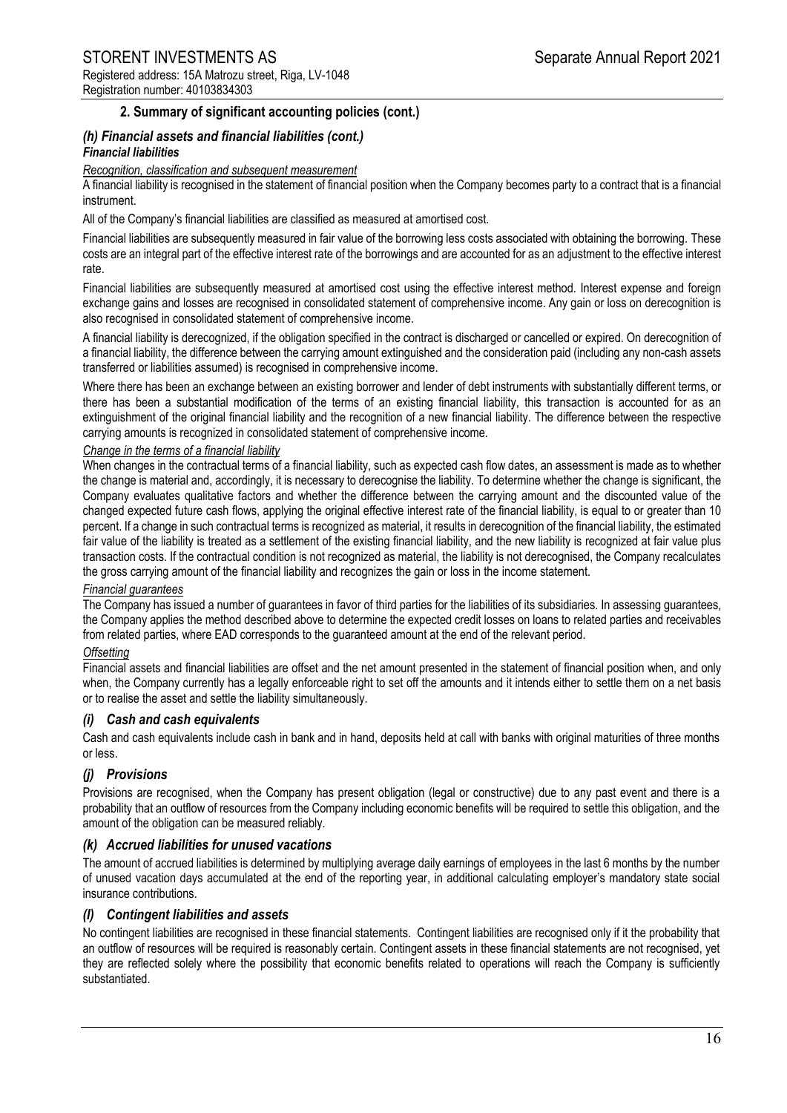#### *(h) Financial assets and financial liabilities (cont.) Financial liabilities*

#### *Recognition, classification and subsequent measurement*

A financial liability is recognised in the statement of financial position when the Company becomes party to a contract that is a financial instrument.

All of the Company's financial liabilities are classified as measured at amortised cost.

Financial liabilities are subsequently measured in fair value of the borrowing less costs associated with obtaining the borrowing. These costs are an integral part of the effective interest rate of the borrowings and are accounted for as an adjustment to the effective interest rate.

Financial liabilities are subsequently measured at amortised cost using the effective interest method. Interest expense and foreign exchange gains and losses are recognised in consolidated statement of comprehensive income. Any gain or loss on derecognition is also recognised in consolidated statement of comprehensive income.

A financial liability is derecognized, if the obligation specified in the contract is discharged or cancelled or expired. On derecognition of a financial liability, the difference between the carrying amount extinguished and the consideration paid (including any non-cash assets transferred or liabilities assumed) is recognised in comprehensive income.

Where there has been an exchange between an existing borrower and lender of debt instruments with substantially different terms, or there has been a substantial modification of the terms of an existing financial liability, this transaction is accounted for as an extinguishment of the original financial liability and the recognition of a new financial liability. The difference between the respective carrying amounts is recognized in consolidated statement of comprehensive income.

#### *Change in the terms of a financial liability*

When changes in the contractual terms of a financial liability, such as expected cash flow dates, an assessment is made as to whether the change is material and, accordingly, it is necessary to derecognise the liability. To determine whether the change is significant, the Company evaluates qualitative factors and whether the difference between the carrying amount and the discounted value of the changed expected future cash flows, applying the original effective interest rate of the financial liability, is equal to or greater than 10 percent. If a change in such contractual terms is recognized as material, it results in derecognition of the financial liability, the estimated fair value of the liability is treated as a settlement of the existing financial liability, and the new liability is recognized at fair value plus transaction costs. If the contractual condition is not recognized as material, the liability is not derecognised, the Company recalculates the gross carrying amount of the financial liability and recognizes the gain or loss in the income statement.

## *Financial guarantees*

The Company has issued a number of guarantees in favor of third parties for the liabilities of its subsidiaries. In assessing guarantees, the Company applies the method described above to determine the expected credit losses on loans to related parties and receivables from related parties, where EAD corresponds to the guaranteed amount at the end of the relevant period.

## *Offsetting*

Financial assets and financial liabilities are offset and the net amount presented in the statement of financial position when, and only when, the Company currently has a legally enforceable right to set off the amounts and it intends either to settle them on a net basis or to realise the asset and settle the liability simultaneously.

## *(i) Cash and cash equivalents*

Cash and cash equivalents include cash in bank and in hand, deposits held at call with banks with original maturities of three months or less.

## *(j) Provisions*

Provisions are recognised, when the Company has present obligation (legal or constructive) due to any past event and there is a probability that an outflow of resources from the Company including economic benefits will be required to settle this obligation, and the amount of the obligation can be measured reliably.

## *(k) Accrued liabilities for unused vacations*

The amount of accrued liabilities is determined by multiplying average daily earnings of employees in the last 6 months by the number of unused vacation days accumulated at the end of the reporting year, in additional calculating employer's mandatory state social insurance contributions.

## *(l) Contingent liabilities and assets*

No contingent liabilities are recognised in these financial statements. Contingent liabilities are recognised only if it the probability that an outflow of resources will be required is reasonably certain. Contingent assets in these financial statements are not recognised, yet they are reflected solely where the possibility that economic benefits related to operations will reach the Company is sufficiently substantiated.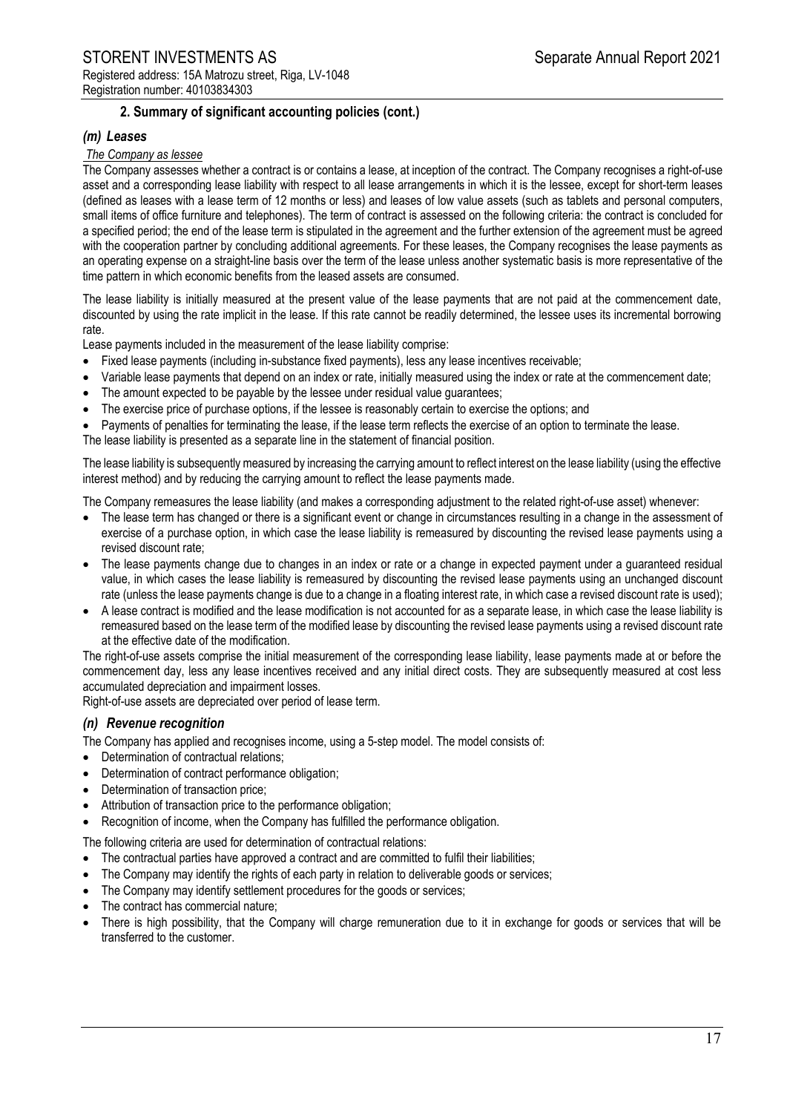## *(m) Leases*

#### *The Company as lessee*

The Company assesses whether a contract is or contains a lease, at inception of the contract. The Company recognises a right-of-use asset and a corresponding lease liability with respect to all lease arrangements in which it is the lessee, except for short-term leases (defined as leases with a lease term of 12 months or less) and leases of low value assets (such as tablets and personal computers, small items of office furniture and telephones). The term of contract is assessed on the following criteria: the contract is concluded for a specified period; the end of the lease term is stipulated in the agreement and the further extension of the agreement must be agreed with the cooperation partner by concluding additional agreements. For these leases, the Company recognises the lease payments as an operating expense on a straight-line basis over the term of the lease unless another systematic basis is more representative of the time pattern in which economic benefits from the leased assets are consumed.

The lease liability is initially measured at the present value of the lease payments that are not paid at the commencement date, discounted by using the rate implicit in the lease. If this rate cannot be readily determined, the lessee uses its incremental borrowing rate.

Lease payments included in the measurement of the lease liability comprise:

- Fixed lease payments (including in-substance fixed payments), less any lease incentives receivable;
- Variable lease payments that depend on an index or rate, initially measured using the index or rate at the commencement date;
- The amount expected to be payable by the lessee under residual value guarantees;
- The exercise price of purchase options, if the lessee is reasonably certain to exercise the options; and
- Payments of penalties for terminating the lease, if the lease term reflects the exercise of an option to terminate the lease.

The lease liability is presented as a separate line in the statement of financial position.

The lease liability is subsequently measured by increasing the carrying amount to reflect interest on the lease liability (using the effective interest method) and by reducing the carrying amount to reflect the lease payments made.

The Company remeasures the lease liability (and makes a corresponding adjustment to the related right-of-use asset) whenever:

- The lease term has changed or there is a significant event or change in circumstances resulting in a change in the assessment of exercise of a purchase option, in which case the lease liability is remeasured by discounting the revised lease payments using a revised discount rate;
- The lease payments change due to changes in an index or rate or a change in expected payment under a guaranteed residual value, in which cases the lease liability is remeasured by discounting the revised lease payments using an unchanged discount rate (unless the lease payments change is due to a change in a floating interest rate, in which case a revised discount rate is used);
- A lease contract is modified and the lease modification is not accounted for as a separate lease, in which case the lease liability is remeasured based on the lease term of the modified lease by discounting the revised lease payments using a revised discount rate at the effective date of the modification.

The right-of-use assets comprise the initial measurement of the corresponding lease liability, lease payments made at or before the commencement day, less any lease incentives received and any initial direct costs. They are subsequently measured at cost less accumulated depreciation and impairment losses.

Right-of-use assets are depreciated over period of lease term.

## *(n) Revenue recognition*

- The Company has applied and recognises income, using a 5-step model. The model consists of:
- Determination of contractual relations;
- Determination of contract performance obligation;
- Determination of transaction price:
- Attribution of transaction price to the performance obligation;
- Recognition of income, when the Company has fulfilled the performance obligation.

The following criteria are used for determination of contractual relations:

- The contractual parties have approved a contract and are committed to fulfil their liabilities;
- The Company may identify the rights of each party in relation to deliverable goods or services;
- The Company may identify settlement procedures for the goods or services;
- The contract has commercial nature;
- There is high possibility, that the Company will charge remuneration due to it in exchange for goods or services that will be transferred to the customer.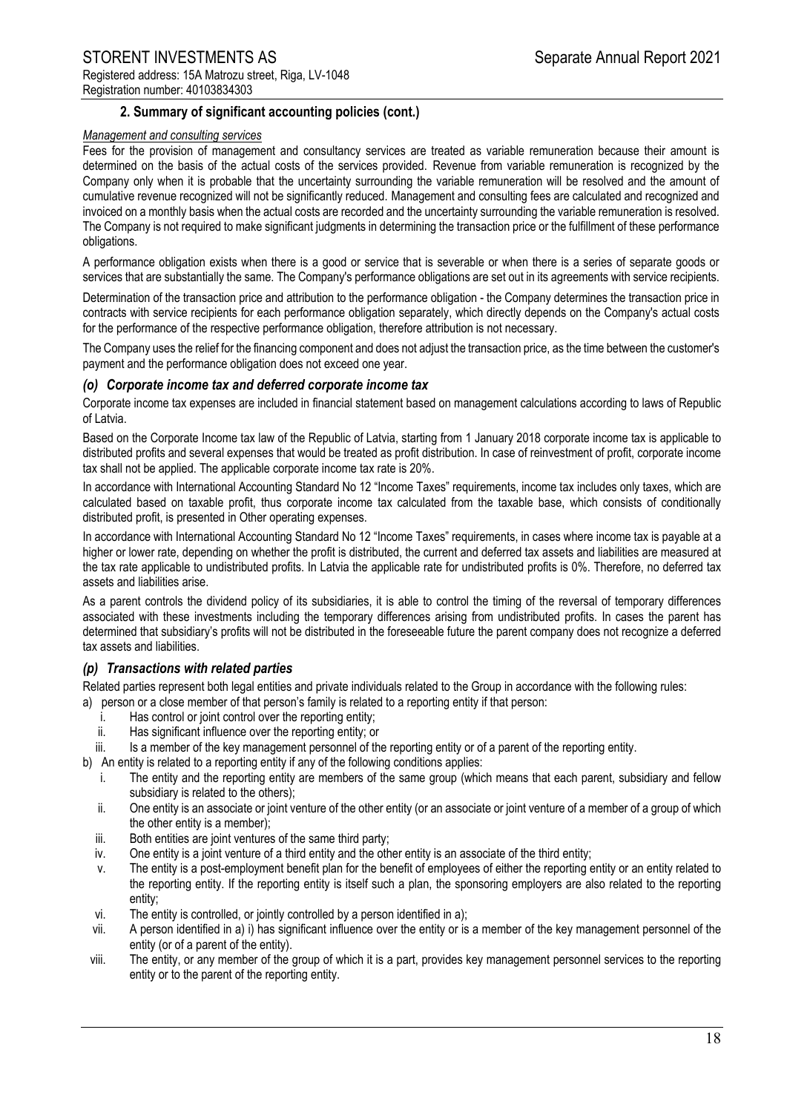#### *Management and consulting services*

Fees for the provision of management and consultancy services are treated as variable remuneration because their amount is determined on the basis of the actual costs of the services provided. Revenue from variable remuneration is recognized by the Company only when it is probable that the uncertainty surrounding the variable remuneration will be resolved and the amount of cumulative revenue recognized will not be significantly reduced. Management and consulting fees are calculated and recognized and invoiced on a monthly basis when the actual costs are recorded and the uncertainty surrounding the variable remuneration is resolved. The Company is not required to make significant judgments in determining the transaction price or the fulfillment of these performance obligations.

A performance obligation exists when there is a good or service that is severable or when there is a series of separate goods or services that are substantially the same. The Company's performance obligations are set out in its agreements with service recipients.

Determination of the transaction price and attribution to the performance obligation - the Company determines the transaction price in contracts with service recipients for each performance obligation separately, which directly depends on the Company's actual costs for the performance of the respective performance obligation, therefore attribution is not necessary.

The Company uses the relief for the financing component and does not adjust the transaction price, as the time between the customer's payment and the performance obligation does not exceed one year.

#### *(o) Corporate income tax and deferred corporate income tax*

Corporate income tax expenses are included in financial statement based on management calculations according to laws of Republic of Latvia.

Based on the Corporate Income tax law of the Republic of Latvia, starting from 1 January 2018 corporate income tax is applicable to distributed profits and several expenses that would be treated as profit distribution. In case of reinvestment of profit, corporate income tax shall not be applied. The applicable corporate income tax rate is 20%.

In accordance with International Accounting Standard No 12 "Income Taxes" requirements, income tax includes only taxes, which are calculated based on taxable profit, thus corporate income tax calculated from the taxable base, which consists of conditionally distributed profit, is presented in Other operating expenses.

In accordance with International Accounting Standard No 12 "Income Taxes" requirements, in cases where income tax is payable at a higher or lower rate, depending on whether the profit is distributed, the current and deferred tax assets and liabilities are measured at the tax rate applicable to undistributed profits. In Latvia the applicable rate for undistributed profits is 0%. Therefore, no deferred tax assets and liabilities arise.

As a parent controls the dividend policy of its subsidiaries, it is able to control the timing of the reversal of temporary differences associated with these investments including the temporary differences arising from undistributed profits. In cases the parent has determined that subsidiary's profits will not be distributed in the foreseeable future the parent company does not recognize a deferred tax assets and liabilities.

## *(p) Transactions with related parties*

Related parties represent both legal entities and private individuals related to the Group in accordance with the following rules:

- a) person or a close member of that person's family is related to a reporting entity if that person:
	- i. Has control or joint control over the reporting entity;
	- ii. Has significant influence over the reporting entity; or
	- iii. Is a member of the key management personnel of the reporting entity or of a parent of the reporting entity.
- b) An entity is related to a reporting entity if any of the following conditions applies:
	- i. The entity and the reporting entity are members of the same group (which means that each parent, subsidiary and fellow subsidiary is related to the others);
	- ii. One entity is an associate or joint venture of the other entity (or an associate or joint venture of a member of a group of which the other entity is a member);
	- iii. Both entities are joint ventures of the same third party;
	- iv. One entity is a joint venture of a third entity and the other entity is an associate of the third entity;
	- v. The entity is a post-employment benefit plan for the benefit of employees of either the reporting entity or an entity related to the reporting entity. If the reporting entity is itself such a plan, the sponsoring employers are also related to the reporting entity;
	- vi. The entity is controlled, or jointly controlled by a person identified in a);
	- vii. A person identified in a) i) has significant influence over the entity or is a member of the key management personnel of the entity (or of a parent of the entity).
- viii. The entity, or any member of the group of which it is a part, provides key management personnel services to the reporting entity or to the parent of the reporting entity.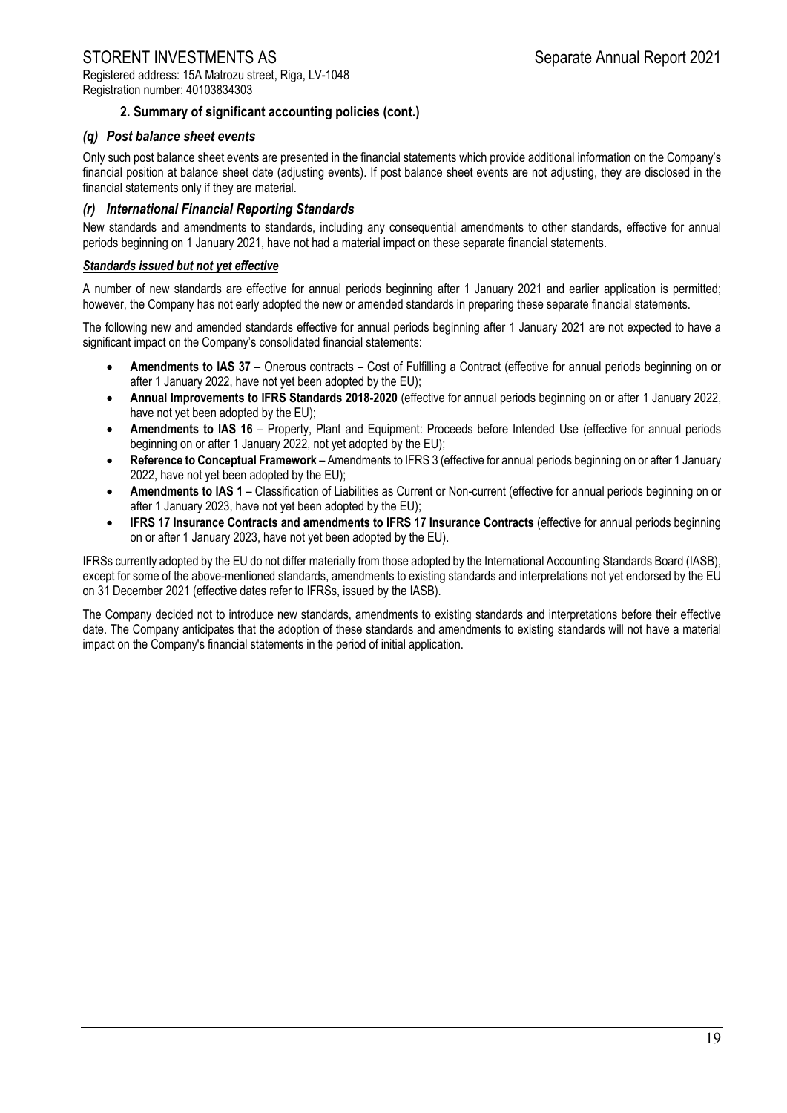## *(q) Post balance sheet events*

Only such post balance sheet events are presented in the financial statements which provide additional information on the Company's financial position at balance sheet date (adjusting events). If post balance sheet events are not adjusting, they are disclosed in the financial statements only if they are material.

## *(r) International Financial Reporting Standards*

New standards and amendments to standards, including any consequential amendments to other standards, effective for annual periods beginning on 1 January 2021, have not had a material impact on these separate financial statements.

## *Standards issued but not yet effective*

A number of new standards are effective for annual periods beginning after 1 January 2021 and earlier application is permitted; however, the Company has not early adopted the new or amended standards in preparing these separate financial statements.

The following new and amended standards effective for annual periods beginning after 1 January 2021 are not expected to have a significant impact on the Company's consolidated financial statements:

- **Amendments to IAS 37** Onerous contracts Cost of Fulfilling a Contract (effective for annual periods beginning on or after 1 January 2022, have not yet been adopted by the EU);
- **Annual Improvements to IFRS Standards 2018-2020** (effective for annual periods beginning on or after 1 January 2022, have not yet been adopted by the EU);
- **Amendments to IAS 16** Property, Plant and Equipment: Proceeds before Intended Use (effective for annual periods beginning on or after 1 January 2022, not yet adopted by the EU);
- **Reference to Conceptual Framework** Amendments to IFRS 3 (effective for annual periods beginning on or after 1 January 2022, have not yet been adopted by the EU);
- Amendments to IAS 1 Classification of Liabilities as Current or Non-current (effective for annual periods beginning on or after 1 January 2023, have not yet been adopted by the EU);
- **IFRS 17 Insurance Contracts and amendments to IFRS 17 Insurance Contracts** (effective for annual periods beginning on or after 1 January 2023, have not yet been adopted by the EU).

IFRSs currently adopted by the EU do not differ materially from those adopted by the International Accounting Standards Board (IASB), except for some of the above-mentioned standards, amendments to existing standards and interpretations not yet endorsed by the EU on 31 December 2021 (effective dates refer to IFRSs, issued by the IASB).

The Company decided not to introduce new standards, amendments to existing standards and interpretations before their effective date. The Company anticipates that the adoption of these standards and amendments to existing standards will not have a material impact on the Company's financial statements in the period of initial application.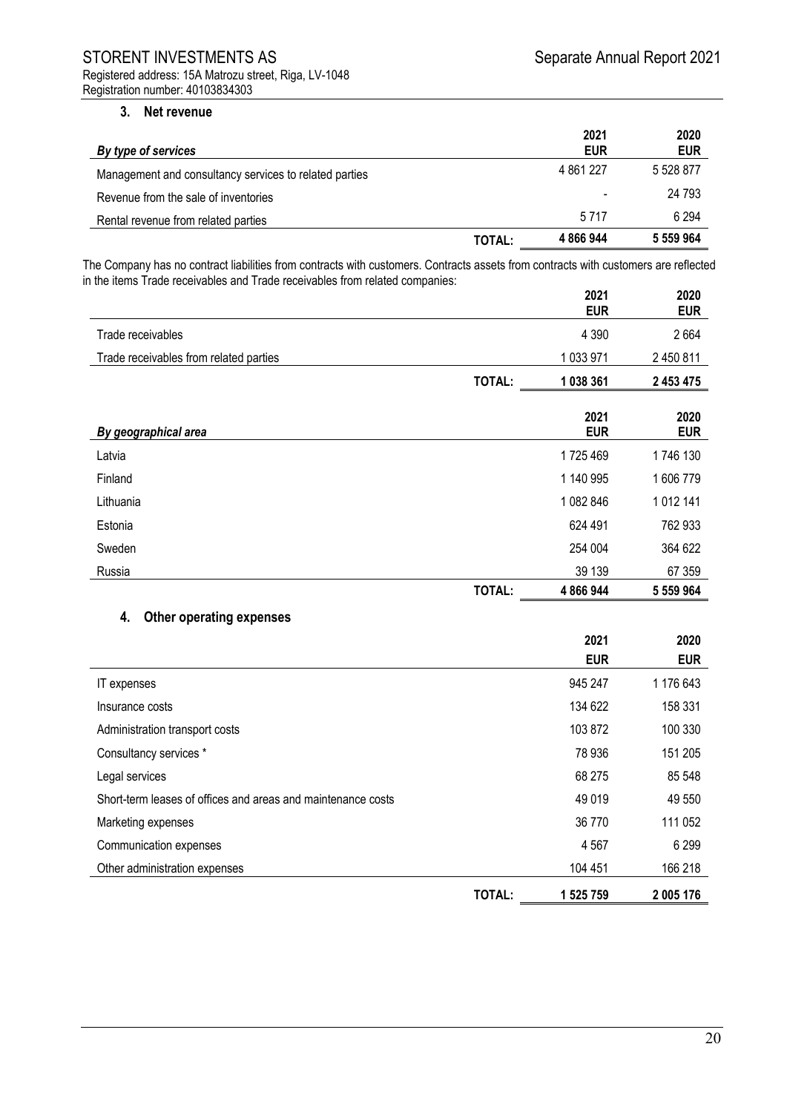## Registered address: 15A Matrozu street, Riga, LV-1048 Registration number: 40103834303

**3. Net revenue** 

| By type of services                                    |               | 2021<br><b>EUR</b> | 2020<br><b>EUR</b> |
|--------------------------------------------------------|---------------|--------------------|--------------------|
| Management and consultancy services to related parties |               | 4 861 227          | 5 5 28 8 77        |
| Revenue from the sale of inventories                   |               | -                  | 24 7 9 3           |
| Rental revenue from related parties                    |               | 5 7 1 7            | 6 2 9 4            |
|                                                        | <b>TOTAL:</b> | 4 866 944          | 5 559 964          |

The Company has no contract liabilities from contracts with customers. Contracts assets from contracts with customers are reflected in the items Trade receivables and Trade receivables from related companies:

|                                        |               | 2021<br><b>EUR</b> | 2020<br><b>EUR</b> |
|----------------------------------------|---------------|--------------------|--------------------|
| Trade receivables                      |               | 4 3 9 0            | 2664               |
| Trade receivables from related parties |               | 1 033 971          | 2 450 811          |
|                                        | <b>TOTAL:</b> | 1 038 361          | 2 453 475          |
| By geographical area                   |               | 2021<br><b>EUR</b> | 2020<br><b>EUR</b> |
| Latvia                                 |               | 1725469            | 1746 130           |
| Finland                                |               | 1 140 995          | 1606779            |
| Lithuania                              |               | 1 082 846          | 1 0 1 2 1 4 1      |
| Estonia                                |               | 624 491            | 762 933            |
| Sweden                                 |               | 254 004            | 364 622            |
| Russia                                 |               | 39 139             | 67 359             |
|                                        | <b>TOTAL:</b> | 4 866 944          | 5 559 964          |
| 4.<br>Other operating expenses         |               |                    |                    |

|                                                              | 2021       | 2020       |
|--------------------------------------------------------------|------------|------------|
|                                                              | <b>EUR</b> | <b>EUR</b> |
| IT expenses                                                  | 945 247    | 1 176 643  |
| Insurance costs                                              | 134 622    | 158 331    |
| Administration transport costs                               | 103872     | 100 330    |
| Consultancy services *                                       | 78 936     | 151 205    |
| Legal services                                               | 68 275     | 85 548     |
| Short-term leases of offices and areas and maintenance costs | 49 019     | 49 550     |
| Marketing expenses                                           | 36 770     | 111 052    |
| Communication expenses                                       | 4 5 6 7    | 6 2 9 9    |
| Other administration expenses                                | 104 451    | 166 218    |
| TOTAL:                                                       | 1 525 759  | 2 005 176  |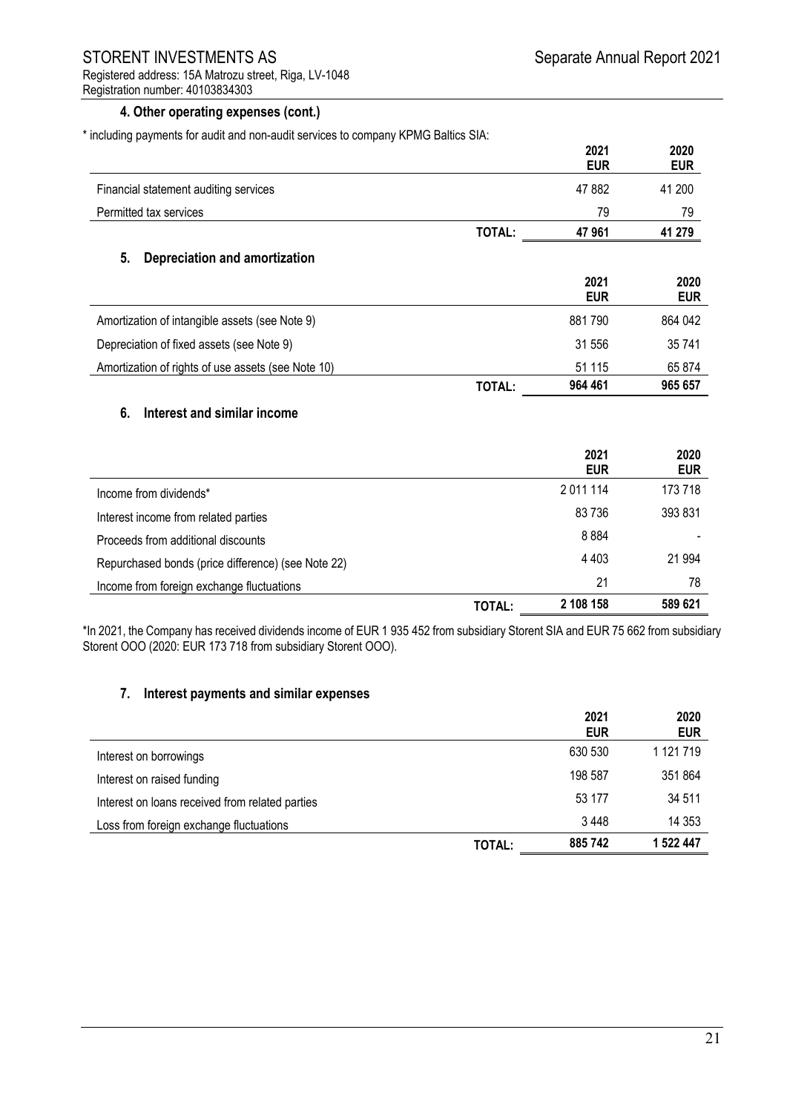## Registration number: 40103834303 **4. Other operating expenses (cont.)**

\* including payments for audit and non-audit services to company KPMG Baltics SIA:

|                                                    |               | 2021<br><b>EUR</b> | 2020<br><b>EUR</b> |
|----------------------------------------------------|---------------|--------------------|--------------------|
| Financial statement auditing services              |               | 47 882             | 41 200             |
| Permitted tax services                             |               | 79                 | 79                 |
|                                                    | TOTAL:        | 47 961             | 41 279             |
| 5.<br><b>Depreciation and amortization</b>         |               |                    |                    |
|                                                    |               | 2021<br><b>EUR</b> | 2020<br><b>EUR</b> |
| Amortization of intangible assets (see Note 9)     |               | 881790             | 864 042            |
| Depreciation of fixed assets (see Note 9)          |               | 31 556             | 35 741             |
| Amortization of rights of use assets (see Note 10) |               | 51 115             | 65 874             |
|                                                    | <b>TOTAL:</b> | 964 461            | 965 657            |
| 6.<br>Interest and similar income                  |               |                    |                    |
|                                                    |               | 2021<br><b>EUR</b> | 2020<br><b>EUR</b> |
| Income from dividends*                             |               | 2011 114           | 173718             |
| Interest income from related parties               |               | 83 736             | 393 831            |
| __________________                                 |               | $9.991$            |                    |

|                                                    |               | 2021<br><b>EUR</b> | 2020<br><b>EUR</b> |
|----------------------------------------------------|---------------|--------------------|--------------------|
| Income from dividends*                             |               | 2011 114           | 173 718            |
| Interest income from related parties               |               | 83736              | 393 831            |
| Proceeds from additional discounts                 |               | 8884               |                    |
| Repurchased bonds (price difference) (see Note 22) |               | 4 4 0 3            | 21 994             |
| Income from foreign exchange fluctuations          |               | 21                 | 78                 |
|                                                    | <b>TOTAL:</b> | 2 108 158          | 589 621            |

\*In 2021, the Company has received dividends income of EUR 1 935 452 from subsidiary Storent SIA and EUR 75 662 from subsidiary Storent OOO (2020: EUR 173 718 from subsidiary Storent OOO).

## **7. Interest payments and similar expenses**

|                                                 | 2021<br><b>EUR</b> | 2020<br><b>EUR</b> |
|-------------------------------------------------|--------------------|--------------------|
| Interest on borrowings                          | 630 530            | 1 121 719          |
| Interest on raised funding                      | 198 587            | 351864             |
| Interest on loans received from related parties | 53 177             | 34 511             |
| Loss from foreign exchange fluctuations         | 3448               | 14 3 53            |
| TOTAL:                                          | 885742             | 1 522 447          |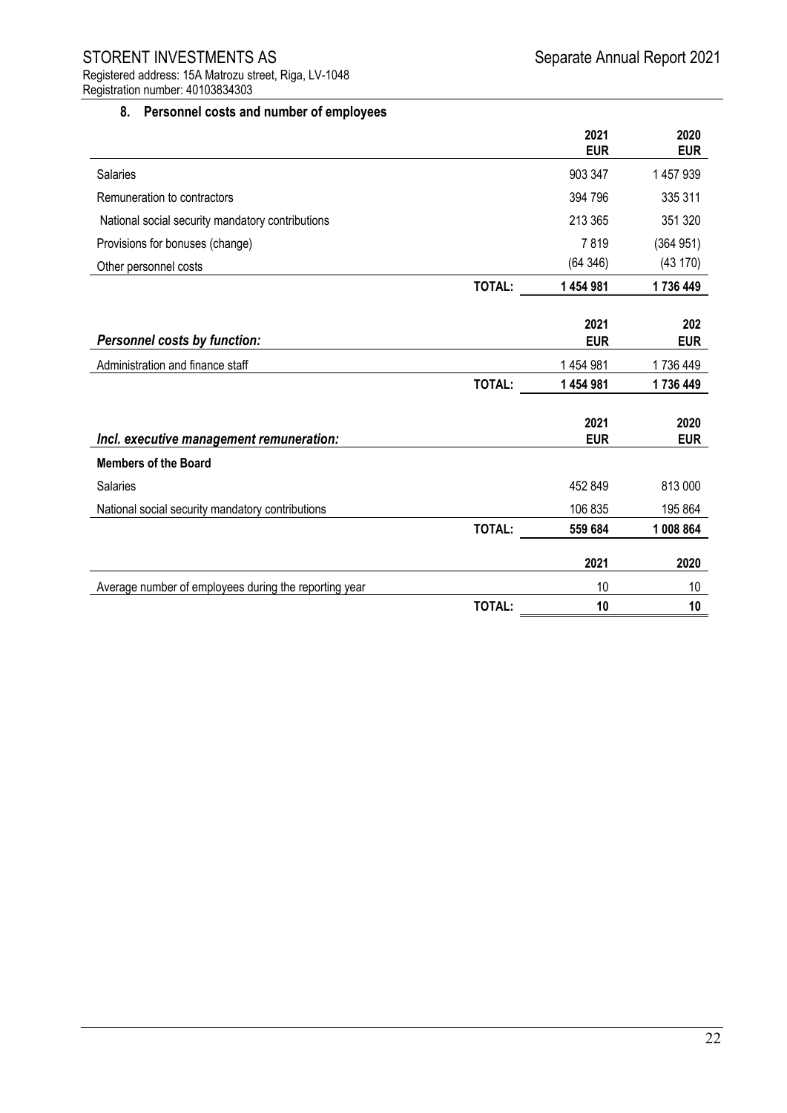# STORENT INVESTMENTS AS SEPARATE SEPARATE SEPARATE Annual Report 2021

#### Registered address: 15A Matrozu street, Riga, LV-1048 Registration number: 40103834303

## **8. Personnel costs and number of employees**

|                                                       |               | 2021<br><b>EUR</b> | 2020<br><b>EUR</b> |
|-------------------------------------------------------|---------------|--------------------|--------------------|
| Salaries                                              |               | 903 347            | 1 457 939          |
| Remuneration to contractors                           |               | 394 796            | 335 311            |
| National social security mandatory contributions      |               | 213 365            | 351 320            |
| Provisions for bonuses (change)                       |               | 7819               | (364951)           |
| Other personnel costs                                 |               | (64346)            | (43 170)           |
|                                                       | <b>TOTAL:</b> | 1 454 981          | 1736 449           |
| <b>Personnel costs by function:</b>                   |               | 2021<br><b>EUR</b> | 202<br><b>EUR</b>  |
| Administration and finance staff                      |               | 1454981            | 1736 449           |
|                                                       | <b>TOTAL:</b> | 1 454 981          | 1736 449           |
| Incl. executive management remuneration:              |               | 2021<br><b>EUR</b> | 2020<br><b>EUR</b> |
| <b>Members of the Board</b>                           |               |                    |                    |
| Salaries                                              |               | 452 849            | 813 000            |
| National social security mandatory contributions      |               | 106 835            | 195 864            |
|                                                       | TOTAL:        | 559 684            | 1 008 864          |
|                                                       |               | 2021               | 2020               |
| Average number of employees during the reporting year |               | 10                 | 10                 |
|                                                       | TOTAL:        | 10                 | 10                 |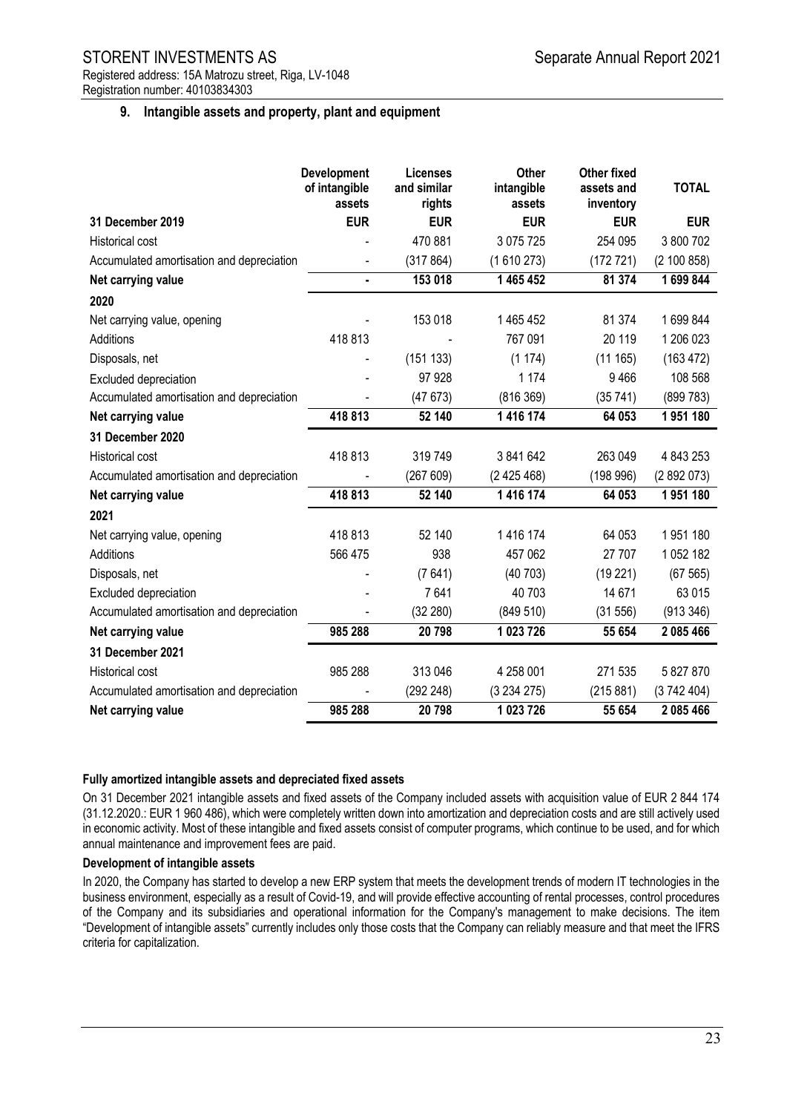## **9. Intangible assets and property, plant and equipment**

|                                           | <b>Development</b><br>of intangible<br>assets | <b>Licenses</b><br>and similar<br>rights | Other<br>intangible<br>assets | <b>Other fixed</b><br>assets and<br>inventory | <b>TOTAL</b> |
|-------------------------------------------|-----------------------------------------------|------------------------------------------|-------------------------------|-----------------------------------------------|--------------|
| 31 December 2019                          | <b>EUR</b>                                    | <b>EUR</b>                               | <b>EUR</b>                    | <b>EUR</b>                                    | <b>EUR</b>   |
| Historical cost                           |                                               | 470 881                                  | 3 0 7 5 7 2 5                 | 254 095                                       | 3 800 702    |
| Accumulated amortisation and depreciation |                                               | (317864)                                 | (1610273)                     | (172721)                                      | (2 100 858)  |
| Net carrying value                        | $\blacksquare$                                | 153 018                                  | 1465452                       | 81 374                                        | 1 699 844    |
| 2020                                      |                                               |                                          |                               |                                               |              |
| Net carrying value, opening               |                                               | 153 018                                  | 1465452                       | 81 374                                        | 1699844      |
| Additions                                 | 418 813                                       |                                          | 767 091                       | 20 119                                        | 1 206 023    |
| Disposals, net                            |                                               | (151 133)                                | (1174)                        | (11165)                                       | (163 472)    |
| Excluded depreciation                     |                                               | 97 928                                   | 1 1 7 4                       | 9466                                          | 108 568      |
| Accumulated amortisation and depreciation |                                               | (47673)                                  | (816369)                      | (35741)                                       | (899 783)    |
| Net carrying value                        | 418 813                                       | 52 140                                   | 1 416 174                     | 64 053                                        | 1951180      |
| 31 December 2020                          |                                               |                                          |                               |                                               |              |
| <b>Historical cost</b>                    | 418 813                                       | 319749                                   | 3841642                       | 263 049                                       | 4 843 253    |
| Accumulated amortisation and depreciation |                                               | (267609)                                 | (2425468)                     | (198996)                                      | (2892073)    |
| Net carrying value                        | 418813                                        | 52 140                                   | 1 416 174                     | 64 053                                        | 1951180      |
| 2021                                      |                                               |                                          |                               |                                               |              |
| Net carrying value, opening               | 418813                                        | 52 140                                   | 1 4 1 6 1 7 4                 | 64 053                                        | 1951180      |
| Additions                                 | 566 475                                       | 938                                      | 457 062                       | 27 707                                        | 1 052 182    |
| Disposals, net                            |                                               | (7641)                                   | (40703)                       | (19 221)                                      | (67565)      |
| Excluded depreciation                     |                                               | 7641                                     | 40 703                        | 14 671                                        | 63 015       |
| Accumulated amortisation and depreciation |                                               | (32 280)                                 | (849510)                      | (31 556)                                      | (913 346)    |
| Net carrying value                        | 985 288                                       | 20798                                    | 1 023 726                     | 55 654                                        | 2 085 466    |
| 31 December 2021                          |                                               |                                          |                               |                                               |              |
| Historical cost                           | 985 288                                       | 313 046                                  | 4 258 001                     | 271 535                                       | 5 827 870    |
| Accumulated amortisation and depreciation |                                               | (292 248)                                | (3234275)                     | (215 881)                                     | (3742404)    |
| Net carrying value                        | 985 288                                       | 20798                                    | 1 023 726                     | 55 654                                        | 2 085 466    |

## **Fully amortized intangible assets and depreciated fixed assets**

On 31 December 2021 intangible assets and fixed assets of the Company included assets with acquisition value of EUR 2 844 174 (31.12.2020.: EUR 1 960 486), which were completely written down into amortization and depreciation costs and are still actively used in economic activity. Most of these intangible and fixed assets consist of computer programs, which continue to be used, and for which annual maintenance and improvement fees are paid.

#### **Development of intangible assets**

In 2020, the Company has started to develop a new ERP system that meets the development trends of modern IT technologies in the business environment, especially as a result of Covid-19, and will provide effective accounting of rental processes, control procedures of the Company and its subsidiaries and operational information for the Company's management to make decisions. The item "Development of intangible assets" currently includes only those costs that the Company can reliably measure and that meet the IFRS criteria for capitalization.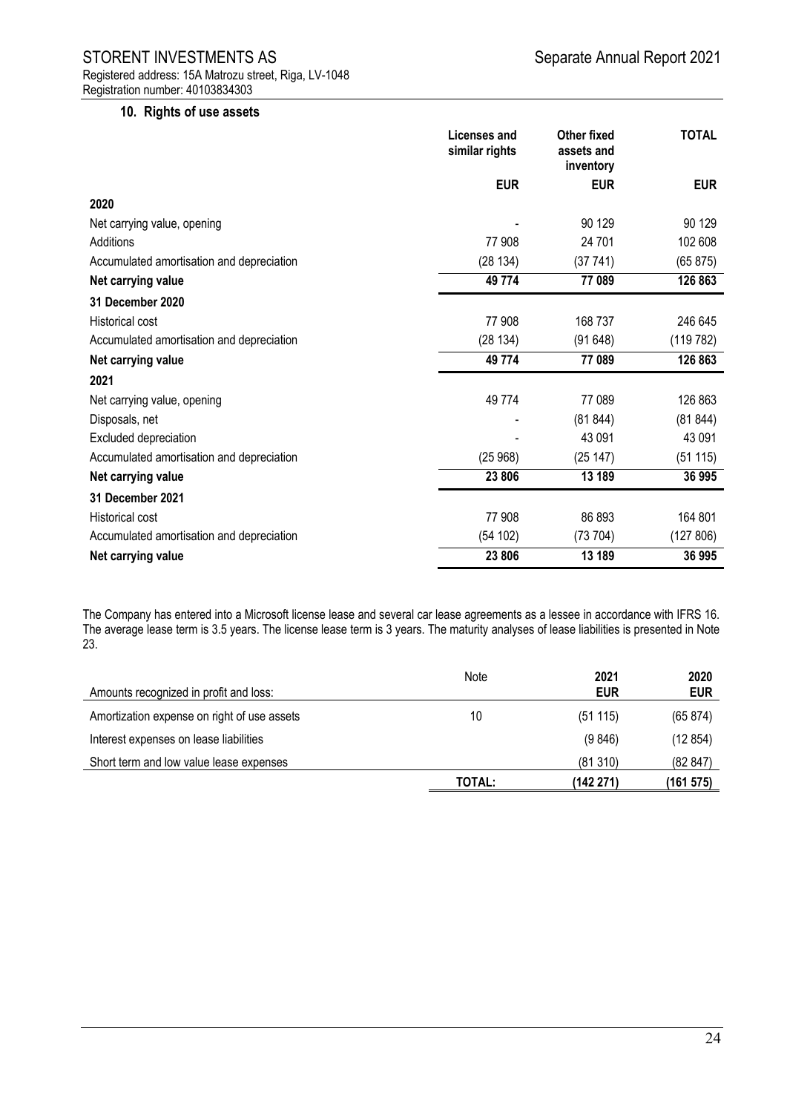## Registered address: 15A Matrozu street, Riga, LV-1048 Registration number: 40103834303

|                                           | Licenses and<br>similar rights | <b>Other fixed</b><br>assets and<br>inventory | <b>TOTAL</b> |
|-------------------------------------------|--------------------------------|-----------------------------------------------|--------------|
|                                           | <b>EUR</b>                     | <b>EUR</b>                                    | <b>EUR</b>   |
| 2020                                      |                                |                                               |              |
| Net carrying value, opening               |                                | 90 129                                        | 90 129       |
| Additions                                 | 77 908                         | 24 701                                        | 102 608      |
| Accumulated amortisation and depreciation | (28134)                        | (37741)                                       | (65 875)     |
| Net carrying value                        | 49 774                         | 77 089                                        | 126 863      |
| 31 December 2020                          |                                |                                               |              |
| Historical cost                           | 77 908                         | 168737                                        | 246 645      |
| Accumulated amortisation and depreciation | (28134)                        | (91648)                                       | (119782)     |
| Net carrying value                        | 49 774                         | 77 089                                        | 126 863      |
| 2021                                      |                                |                                               |              |
| Net carrying value, opening               | 49 774                         | 77 089                                        | 126 863      |
| Disposals, net                            |                                | (81844)                                       | (81844)      |
| Excluded depreciation                     |                                | 43 091                                        | 43 091       |
| Accumulated amortisation and depreciation | (25968)                        | (25147)                                       | (51115)      |
| Net carrying value                        | 23 806                         | 13 189                                        | 36 995       |
| 31 December 2021                          |                                |                                               |              |
| Historical cost                           | 77 908                         | 86 893                                        | 164 801      |
| Accumulated amortisation and depreciation | (54 102)                       | (73704)                                       | (127 806)    |
| Net carrying value                        | 23 806                         | 13 189                                        | 36 995       |

The Company has entered into a Microsoft license lease and several car lease agreements as a lessee in accordance with IFRS 16. The average lease term is 3.5 years. The license lease term is 3 years. The maturity analyses of lease liabilities is presented in Note 23.

| Amounts recognized in profit and loss:      | Note          | 2021<br><b>EUR</b> | 2020<br><b>EUR</b> |
|---------------------------------------------|---------------|--------------------|--------------------|
| Amortization expense on right of use assets | 10            | (51115)            | (65 874)           |
| Interest expenses on lease liabilities      |               | (9846)             | (12 854)           |
| Short term and low value lease expenses     |               | (81310)            | (82847)            |
|                                             | <b>TOTAL:</b> | (142 271)          | (161 575)          |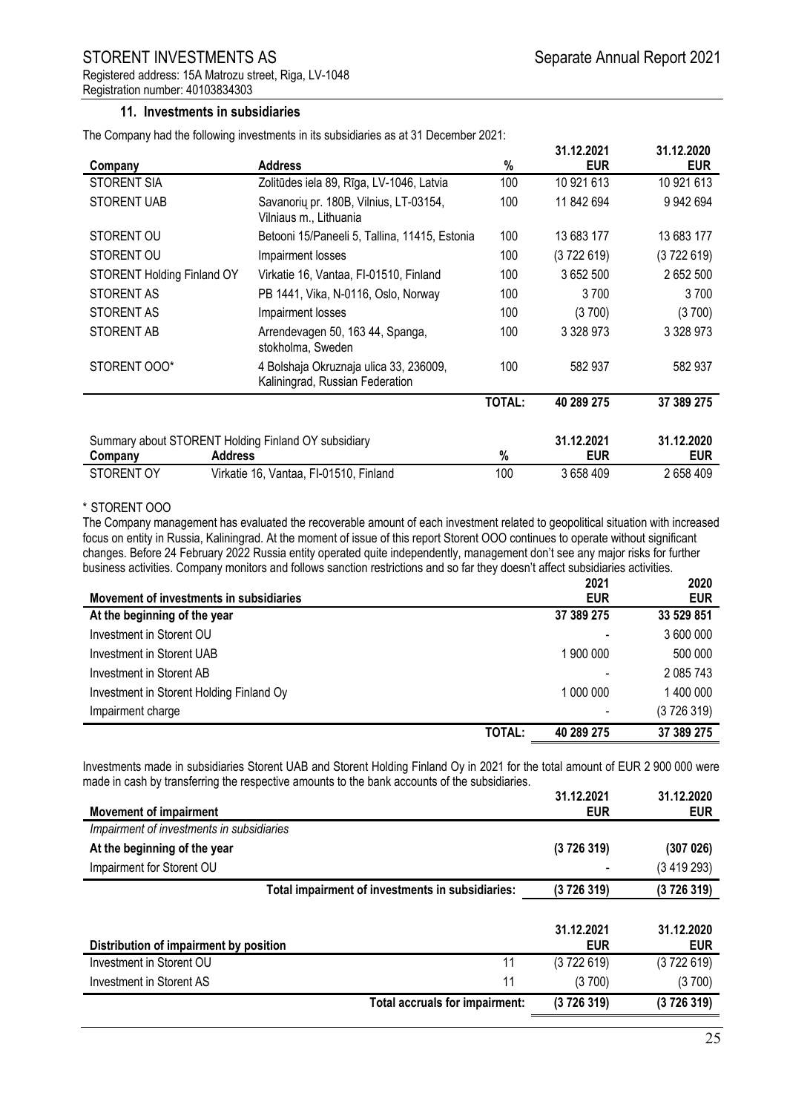## Registration number: 40103834303 **11. Investments in subsidiaries**

The Company had the following investments in its subsidiaries as at 31 December 2021:

| Company                                                                          | <b>Address</b>                                                            | %             | 31.12.2021<br><b>EUR</b> | 31.12.2020<br><b>EUR</b> |
|----------------------------------------------------------------------------------|---------------------------------------------------------------------------|---------------|--------------------------|--------------------------|
| <b>STORENT SIA</b>                                                               | Zolitūdes iela 89, Rīga, LV-1046, Latvia                                  | 100           | 10 921 613               | 10 921 613               |
| <b>STORENT UAB</b>                                                               | Savanorių pr. 180B, Vilnius, LT-03154,<br>Vilniaus m., Lithuania          | 100           | 11 842 694               | 9 942 694                |
| STORENT OU                                                                       | Betooni 15/Paneeli 5, Tallina, 11415, Estonia                             | 100           | 13 683 177               | 13 683 177               |
| STORENT OU                                                                       | Impairment losses                                                         | 100           | (3722619)                | (3722619)                |
| STORENT Holding Finland OY                                                       | Virkatie 16, Vantaa, FI-01510, Finland                                    | 100           | 3 652 500                | 2 652 500                |
| STORENT AS                                                                       | PB 1441, Vika, N-0116, Oslo, Norway                                       | 100           | 3700                     | 3700                     |
| STORENT AS                                                                       | Impairment losses                                                         | 100           | (3700)                   | (3700)                   |
| STORENT AB                                                                       | Arrendevagen 50, 163 44, Spanga,<br>stokholma, Sweden                     | 100           | 3 328 973                | 3 3 28 9 73              |
| STORENT OOO*                                                                     | 4 Bolshaja Okruznaja ulica 33, 236009,<br>Kaliningrad, Russian Federation | 100           | 582 937                  | 582 937                  |
|                                                                                  |                                                                           | <b>TOTAL:</b> | 40 289 275               | 37 389 275               |
| Summary about STORENT Holding Finland OY subsidiary<br><b>Address</b><br>Company |                                                                           | %             | 31.12.2021<br><b>EUR</b> | 31.12.2020<br><b>EUR</b> |
| STORENT OY                                                                       | Virkatie 16, Vantaa, FI-01510, Finland                                    | 100           | 3 658 409                | 2658409                  |

#### \* STORENT OOO

The Company management has evaluated the recoverable amount of each investment related to geopolitical situation with increased focus on entity in Russia, Kaliningrad. At the moment of issue of this report Storent OOO continues to operate without significant changes. Before 24 February 2022 Russia entity operated quite independently, management don't see any major risks for further business activities. Company monitors and follows sanction restrictions and so far they doesn't affect subsidiaries activities.

|                                          |               | 2021           | 2020       |
|------------------------------------------|---------------|----------------|------------|
| Movement of investments in subsidiaries  |               | <b>EUR</b>     | <b>EUR</b> |
| At the beginning of the year             |               | 37 389 275     | 33 529 851 |
| Investment in Storent OU                 |               |                | 3 600 000  |
| Investment in Storent UAB                |               | 1 900 000      | 500 000    |
| Investment in Storent AB                 |               |                | 2 085 743  |
| Investment in Storent Holding Finland Oy |               | 1 000 000      | 1 400 000  |
| Impairment charge                        |               | $\blacksquare$ | (3726319)  |
|                                          | <b>TOTAL:</b> | 40 289 275     | 37 389 275 |

Investments made in subsidiaries Storent UAB and Storent Holding Finland Oy in 2021 for the total amount of EUR 2 900 000 were made in cash by transferring the respective amounts to the bank accounts of the subsidiaries.

| <b>Movement of impairment</b>                    | 31.12.2021<br><b>EUR</b> | 31.12.2020<br><b>EUR</b> |
|--------------------------------------------------|--------------------------|--------------------------|
| Impairment of investments in subsidiaries        |                          |                          |
| At the beginning of the year                     | (3726319)                | (307 026)                |
| Impairment for Storent OU                        |                          | (3419293)                |
| Total impairment of investments in subsidiaries: | (3726319)                | (3726319)                |
| Distribution of impairment by position           | 31.12.2021<br><b>EUR</b> | 31.12.2020<br><b>EUR</b> |
| Investment in Storent OU<br>11                   | (3722619)                | (3722619)                |
| 11<br>Investment in Storent AS                   | (3700)                   | (3700)                   |
| Total accruals for impairment:                   | (3726319)                | (3726319)                |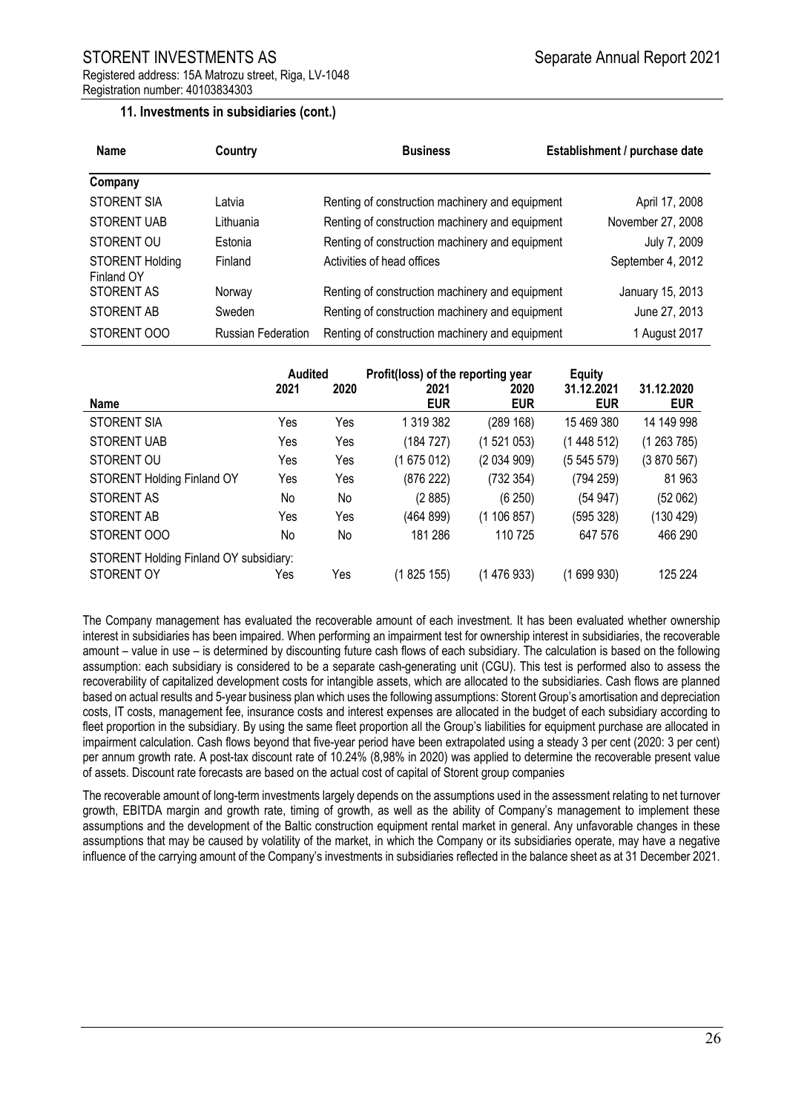## **11. Investments in subsidiaries (cont.)**

| Name                                 | Country                   | <b>Business</b>                                 | Establishment / purchase date |
|--------------------------------------|---------------------------|-------------------------------------------------|-------------------------------|
| Company                              |                           |                                                 |                               |
| <b>STORENT SIA</b>                   | Latvia                    | Renting of construction machinery and equipment | April 17, 2008                |
| <b>STORENT UAB</b>                   | Lithuania                 | Renting of construction machinery and equipment | November 27, 2008             |
| STORENT OU                           | Estonia                   | Renting of construction machinery and equipment | July 7, 2009                  |
| <b>STORENT Holding</b><br>Finland OY | Finland                   | Activities of head offices                      | September 4, 2012             |
| STORENT AS                           | Norway                    | Renting of construction machinery and equipment | January 15, 2013              |
| STORENT AB                           | Sweden                    | Renting of construction machinery and equipment | June 27, 2013                 |
| STORENT OOO                          | <b>Russian Federation</b> | Renting of construction machinery and equipment | 1 August 2017                 |

|                                        | 2021 | <b>Audited</b><br>2020 |             | Profit(loss) of the reporting year<br>2020 | <b>Equity</b><br>31.12.2021 | 31.12.2020 |
|----------------------------------------|------|------------------------|-------------|--------------------------------------------|-----------------------------|------------|
| <b>Name</b>                            |      |                        | <b>EUR</b>  | <b>EUR</b>                                 | <b>EUR</b>                  | <b>EUR</b> |
| <b>STORENT SIA</b>                     | Yes  | Yes                    | 1 319 382   | (289 168)                                  | 15 469 380                  | 14 149 998 |
| <b>STORENT UAB</b>                     | Yes  | Yes                    | (184 727)   | (1521053)                                  | (1448512)                   | (1263785)  |
| STORENT OU                             | Yes  | Yes                    | (1675012)   | (2034909)                                  | (5545579)                   | (3870567)  |
| STORENT Holding Finland OY             | Yes  | Yes                    | (876 222)   | (732 354)                                  | (794 259)                   | 81 963     |
| <b>STORENT AS</b>                      | No   | No                     | (2885)      | (6250)                                     | (54947)                     | (52062)    |
| STORENT AB                             | Yes  | Yes                    | (464 899)   | (1106857)                                  | (595328)                    | (130 429)  |
| STORENT OOO                            | No   | No                     | 181 286     | 110 725                                    | 647 576                     | 466 290    |
| STORENT Holding Finland OY subsidiary: |      |                        |             |                                            |                             |            |
| STORENT OY                             | Yes  | Yes                    | (1 825 155) | (1476933)                                  | (1699930)                   | 125 224    |

The Company management has evaluated the recoverable amount of each investment. It has been evaluated whether ownership interest in subsidiaries has been impaired. When performing an impairment test for ownership interest in subsidiaries, the recoverable amount – value in use – is determined by discounting future cash flows of each subsidiary. The calculation is based on the following assumption: each subsidiary is considered to be a separate cash-generating unit (CGU). This test is performed also to assess the recoverability of capitalized development costs for intangible assets, which are allocated to the subsidiaries. Cash flows are planned based on actual results and 5-year business plan which uses the following assumptions: Storent Group's amortisation and depreciation costs, IT costs, management fee, insurance costs and interest expenses are allocated in the budget of each subsidiary according to fleet proportion in the subsidiary. By using the same fleet proportion all the Group's liabilities for equipment purchase are allocated in impairment calculation. Cash flows beyond that five-year period have been extrapolated using a steady 3 per cent (2020: 3 per cent) per annum growth rate. A post-tax discount rate of 10.24% (8,98% in 2020) was applied to determine the recoverable present value of assets. Discount rate forecasts are based on the actual cost of capital of Storent group companies

The recoverable amount of long-term investments largely depends on the assumptions used in the assessment relating to net turnover growth, EBITDA margin and growth rate, timing of growth, as well as the ability of Company's management to implement these assumptions and the development of the Baltic construction equipment rental market in general. Any unfavorable changes in these assumptions that may be caused by volatility of the market, in which the Company or its subsidiaries operate, may have a negative influence of the carrying amount of the Company's investments in subsidiaries reflected in the balance sheet as at 31 December 2021.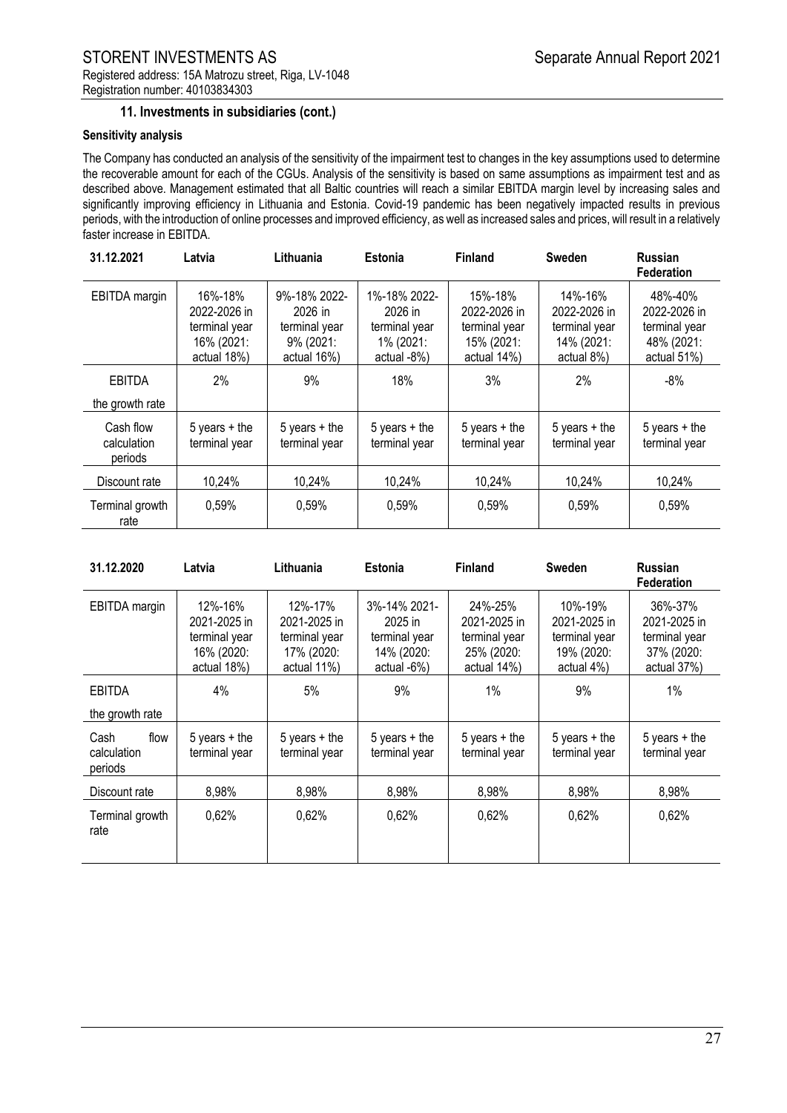## **11. Investments in subsidiaries (cont.)**

#### **Sensitivity analysis**

The Company has conducted an analysis of the sensitivity of the impairment test to changes in the key assumptions used to determine the recoverable amount for each of the CGUs. Analysis of the sensitivity is based on same assumptions as impairment test and as described above. Management estimated that all Baltic countries will reach a similar EBITDA margin level by increasing sales and significantly improving efficiency in Lithuania and Estonia. Covid-19 pandemic has been negatively impacted results in previous periods, with the introduction of online processes and improved efficiency, as well as increased sales and prices, will result in a relatively faster increase in EBITDA.

| 31.12.2021                          | Latvia                                                                | Lithuania                                                            | Estonia                                                              | <b>Finland</b>                                                        | Sweden                                                               | <b>Russian</b><br>Federation                                          |
|-------------------------------------|-----------------------------------------------------------------------|----------------------------------------------------------------------|----------------------------------------------------------------------|-----------------------------------------------------------------------|----------------------------------------------------------------------|-----------------------------------------------------------------------|
| EBITDA margin                       | 16%-18%<br>2022-2026 in<br>terminal year<br>16% (2021:<br>actual 18%) | 9%-18% 2022-<br>2026 in<br>terminal year<br>9% (2021:<br>actual 16%) | 1%-18% 2022-<br>2026 in<br>terminal year<br>1% (2021:<br>actual -8%) | 15%-18%<br>2022-2026 in<br>terminal year<br>15% (2021:<br>actual 14%) | 14%-16%<br>2022-2026 in<br>terminal year<br>14% (2021:<br>actual 8%) | 48%-40%<br>2022-2026 in<br>terminal year<br>48% (2021:<br>actual 51%) |
| EBITDA<br>the growth rate           | 2%                                                                    | 9%                                                                   | 18%                                                                  | 3%                                                                    | 2%                                                                   | $-8%$                                                                 |
| Cash flow<br>calculation<br>periods | $5$ years + the<br>terminal year                                      | $5$ years + the<br>terminal year                                     | $5$ years + the<br>terminal year                                     | $5$ years + the<br>terminal year                                      | $5$ years + the<br>terminal year                                     | $5$ years + the<br>terminal year                                      |
| Discount rate                       | 10,24%                                                                | 10,24%                                                               | 10,24%                                                               | 10,24%                                                                | 10,24%                                                               | 10,24%                                                                |
| Terminal growth<br>rate             | 0,59%                                                                 | 0,59%                                                                | 0,59%                                                                | 0,59%                                                                 | 0,59%                                                                | 0,59%                                                                 |

| 31.12.2020                             | Latvia                                                                | Lithuania                                                             | <b>Estonia</b>                                                        | <b>Finland</b>                                                        | Sweden                                                               | <b>Russian</b><br>Federation                                          |
|----------------------------------------|-----------------------------------------------------------------------|-----------------------------------------------------------------------|-----------------------------------------------------------------------|-----------------------------------------------------------------------|----------------------------------------------------------------------|-----------------------------------------------------------------------|
| EBITDA margin                          | 12%-16%<br>2021-2025 in<br>terminal year<br>16% (2020:<br>actual 18%) | 12%-17%<br>2021-2025 in<br>terminal year<br>17% (2020:<br>actual 11%) | 3%-14% 2021-<br>2025 in<br>terminal year<br>14% (2020:<br>actual -6%) | 24%-25%<br>2021-2025 in<br>terminal year<br>25% (2020:<br>actual 14%) | 10%-19%<br>2021-2025 in<br>terminal year<br>19% (2020:<br>actual 4%) | 36%-37%<br>2021-2025 in<br>terminal year<br>37% (2020:<br>actual 37%) |
| <b>EBITDA</b><br>the growth rate       | 4%                                                                    | 5%                                                                    | 9%                                                                    | 1%                                                                    | 9%                                                                   | 1%                                                                    |
| Cash<br>flow<br>calculation<br>periods | $5$ years $+$ the<br>terminal year                                    | $5$ years + the<br>terminal year                                      | $5$ years + the<br>terminal year                                      | $5$ years + the<br>terminal year                                      | $5$ years $+$ the<br>terminal year                                   | $5$ years + the<br>terminal year                                      |
| Discount rate                          | 8,98%                                                                 | 8,98%                                                                 | 8,98%                                                                 | 8,98%                                                                 | 8,98%                                                                | 8,98%                                                                 |
| Terminal growth<br>rate                | 0,62%                                                                 | 0,62%                                                                 | 0,62%                                                                 | 0,62%                                                                 | 0,62%                                                                | 0,62%                                                                 |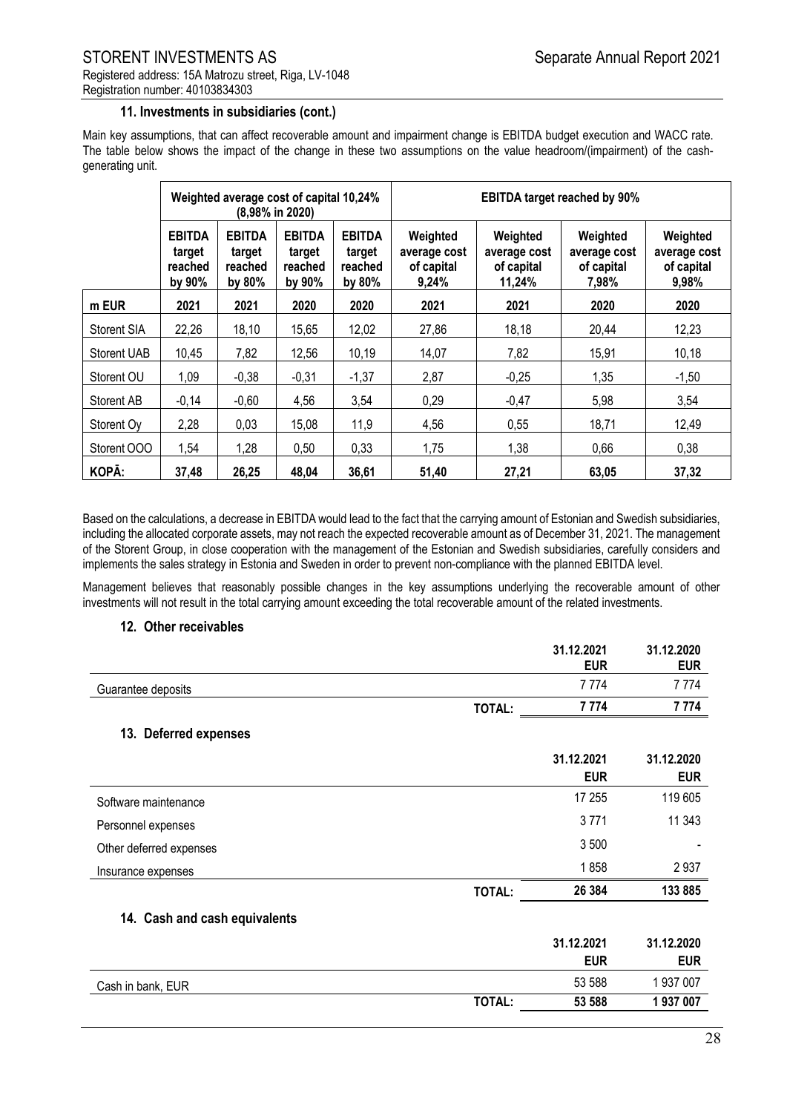## STORENT INVESTMENTS AS SEPARATE SEPARATE Annual Report 2021 Registered address: 15A Matrozu street, Riga, LV-1048 Registration number: 40103834303

## **11. Investments in subsidiaries (cont.)**

Main key assumptions, that can affect recoverable amount and impairment change is EBITDA budget execution and WACC rate. The table below shows the impact of the change in these two assumptions on the value headroom/(impairment) of the cashgenerating unit.

|                    | Weighted average cost of capital 10,24%<br>$(8.98\%$ in 2020) |                                              |                                              | <b>EBITDA target reached by 90%</b>          |                                                 |                                                  |                                                 |                                                 |
|--------------------|---------------------------------------------------------------|----------------------------------------------|----------------------------------------------|----------------------------------------------|-------------------------------------------------|--------------------------------------------------|-------------------------------------------------|-------------------------------------------------|
|                    | <b>EBITDA</b><br>target<br>reached<br>by 90%                  | <b>EBITDA</b><br>target<br>reached<br>by 80% | <b>EBITDA</b><br>target<br>reached<br>by 90% | <b>EBITDA</b><br>target<br>reached<br>by 80% | Weighted<br>average cost<br>of capital<br>9,24% | Weighted<br>average cost<br>of capital<br>11,24% | Weighted<br>average cost<br>of capital<br>7,98% | Weighted<br>average cost<br>of capital<br>9,98% |
| m EUR              | 2021                                                          | 2021                                         | 2020                                         | 2020                                         | 2021                                            | 2021                                             | 2020                                            | 2020                                            |
| Storent SIA        | 22,26                                                         | 18,10                                        | 15,65                                        | 12,02                                        | 27,86                                           | 18,18                                            | 20,44                                           | 12,23                                           |
| <b>Storent UAB</b> | 10,45                                                         | 7,82                                         | 12,56                                        | 10,19                                        | 14,07                                           | 7,82                                             | 15,91                                           | 10, 18                                          |
| Storent OU         | 1,09                                                          | $-0,38$                                      | $-0,31$                                      | $-1,37$                                      | 2,87                                            | $-0,25$                                          | 1,35                                            | $-1,50$                                         |
| Storent AB         | $-0,14$                                                       | $-0,60$                                      | 4,56                                         | 3,54                                         | 0,29                                            | $-0,47$                                          | 5,98                                            | 3,54                                            |
| Storent Oy         | 2,28                                                          | 0,03                                         | 15,08                                        | 11,9                                         | 4,56                                            | 0,55                                             | 18,71                                           | 12,49                                           |
| Storent OOO        | 1,54                                                          | 1,28                                         | 0,50                                         | 0,33                                         | 1,75                                            | 1,38                                             | 0,66                                            | 0,38                                            |
| KOPĀ:              | 37,48                                                         | 26,25                                        | 48,04                                        | 36,61                                        | 51,40                                           | 27,21                                            | 63,05                                           | 37,32                                           |

Based on the calculations, a decrease in EBITDA would lead to the fact that the carrying amount of Estonian and Swedish subsidiaries, including the allocated corporate assets, may not reach the expected recoverable amount as of December 31, 2021. The management of the Storent Group, in close cooperation with the management of the Estonian and Swedish subsidiaries, carefully considers and implements the sales strategy in Estonia and Sweden in order to prevent non-compliance with the planned EBITDA level.

Management believes that reasonably possible changes in the key assumptions underlying the recoverable amount of other investments will not result in the total carrying amount exceeding the total recoverable amount of the related investments.

## **12. Other receivables**

|                         |               | 31.12.2021<br><b>EUR</b> | 31.12.2020<br><b>EUR</b> |
|-------------------------|---------------|--------------------------|--------------------------|
| Guarantee deposits      |               | 7 7 7 4                  | 7774                     |
|                         | <b>TOTAL:</b> | 7 7 7 4                  | 7774                     |
| 13. Deferred expenses   |               |                          |                          |
|                         |               | 31.12.2021               | 31.12.2020               |
|                         |               | <b>EUR</b>               | <b>EUR</b>               |
| Software maintenance    |               | 17 255                   | 119 605                  |
| Personnel expenses      |               | 3771                     | 11 343                   |
| Other deferred expenses |               | 3 500                    |                          |
| Insurance expenses      |               | 1858                     | 2937                     |
|                         | <b>TOTAL:</b> | 26 384                   | 133 885                  |

## **14. Cash and cash equivalents**

|                   |        | 31.12.2021 | 31.12.2020 |
|-------------------|--------|------------|------------|
|                   |        | <b>EUR</b> | <b>EUR</b> |
| Cash in bank, EUR |        | 53 588     | 1937007    |
|                   | TOTAL: | 53 588     | 1937007    |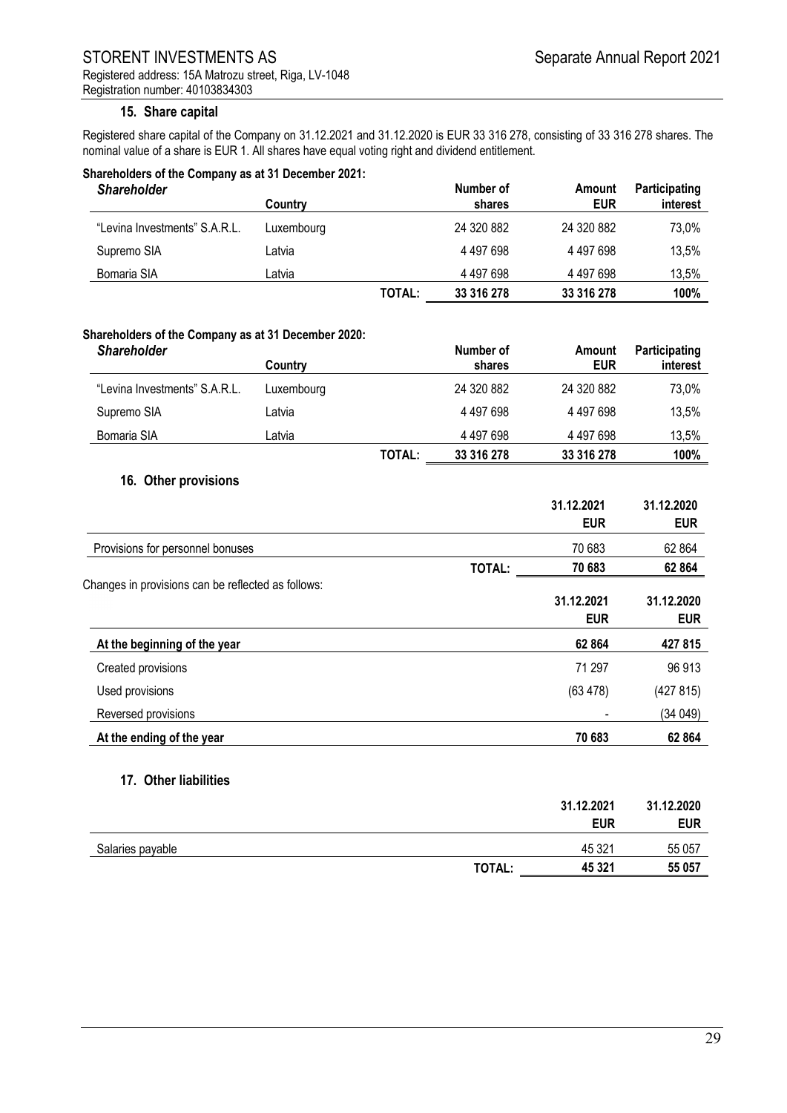## **15. Share capital**

Registered share capital of the Company on 31.12.2021 and 31.12.2020 is EUR 33 316 278, consisting of 33 316 278 shares. The nominal value of a share is EUR 1. All shares have equal voting right and dividend entitlement.

| Shareholders of the Company as at 31 December 2021: |            |        | Number of  |                      |                           |
|-----------------------------------------------------|------------|--------|------------|----------------------|---------------------------|
| <b>Shareholder</b>                                  | Country    |        | shares     | Amount<br><b>EUR</b> | Participating<br>interest |
| "Levina Investments" S.A.R.L.                       | Luxembourg |        | 24 320 882 | 24 320 882           | 73,0%                     |
| Supremo SIA                                         | Latvia     |        | 4 497 698  | 4 497 698            | 13,5%                     |
| Bomaria SIA                                         | Latvia     |        | 4 497 698  | 4 497 698            | 13,5%                     |
|                                                     |            | TOTAL: | 33 316 278 | 33 316 278           | 100%                      |

#### **Shareholders of the Company as at 31 December 2020:**

| <b>Shareholder</b>            |            |               | Number of  |            | Participating |  |
|-------------------------------|------------|---------------|------------|------------|---------------|--|
|                               | Country    |               | shares     | <b>EUR</b> | interest      |  |
| "Levina Investments" S.A.R.L. | Luxembourg |               | 24 320 882 | 24 320 882 | 73,0%         |  |
| Supremo SIA                   | Latvia     |               | 4 497 698  | 4 497 698  | 13,5%         |  |
| Bomaria SIA                   | Latvia     |               | 4 497 698  | 4 497 698  | 13,5%         |  |
|                               |            | <b>TOTAL:</b> | 33 316 278 | 33 316 278 | 100%          |  |

## **16. Other provisions**

|                                                                                                                                                    |        | 31.12.2021<br><b>EUR</b> | 31.12.2020 |  |
|----------------------------------------------------------------------------------------------------------------------------------------------------|--------|--------------------------|------------|--|
|                                                                                                                                                    |        |                          | <b>EUR</b> |  |
| Provisions for personnel bonuses                                                                                                                   |        | 70 683                   | 62 864     |  |
|                                                                                                                                                    | TOTAL: | 70 683                   | 62 864     |  |
| Changes in provisions can be reflected as follows:<br>At the beginning of the year<br>Created provisions<br>Used provisions<br>Reversed provisions |        |                          |            |  |
|                                                                                                                                                    |        | 31.12.2021               | 31.12.2020 |  |
|                                                                                                                                                    |        | <b>EUR</b>               | <b>EUR</b> |  |
|                                                                                                                                                    |        | 62 864                   | 427 815    |  |
|                                                                                                                                                    |        | 71 297                   | 96 913     |  |
|                                                                                                                                                    |        | (63 478)                 | (427815)   |  |
|                                                                                                                                                    |        |                          | (34 049)   |  |
| At the ending of the year                                                                                                                          |        | 70 683                   | 62 864     |  |

## **17. Other liabilities**

|                  |        | 31.12.2021 | 31.12.2020 |
|------------------|--------|------------|------------|
|                  |        | <b>EUR</b> | <b>EUR</b> |
| Salaries payable |        | 45 321     | 55 057     |
|                  | TOTAL: | 45 3 21    | 55 057     |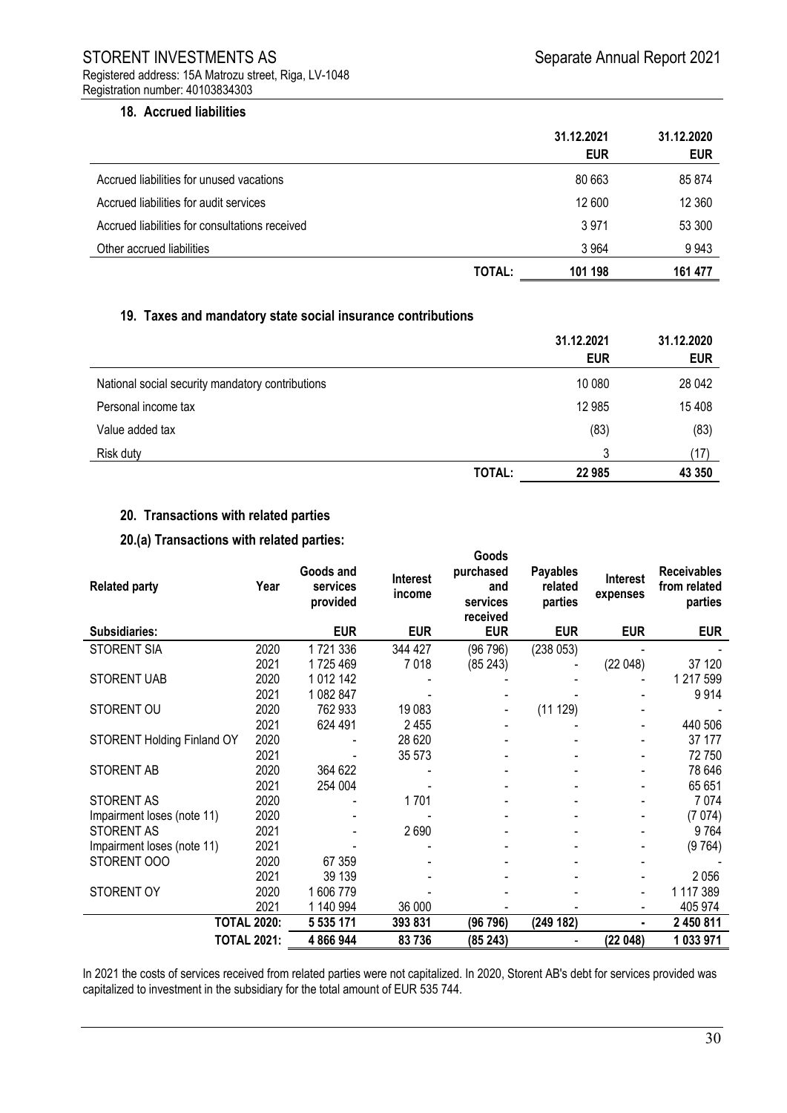# STORENT INVESTMENTS AS SEPARATE SEPARATE Annual Report 2021

#### Registered address: 15A Matrozu street, Riga, LV-1048 Registration number: 40103834303

## **18. Accrued liabilities**

|                                                |        | 31.12.2021<br><b>EUR</b> | 31.12.2020<br><b>EUR</b> |
|------------------------------------------------|--------|--------------------------|--------------------------|
| Accrued liabilities for unused vacations       |        | 80 663                   | 85874                    |
| Accrued liabilities for audit services         |        | 12 600                   | 12 360                   |
| Accrued liabilities for consultations received |        | 3971                     | 53 300                   |
| Other accrued liabilities                      |        | 3 9 6 4                  | 9943                     |
|                                                | TOTAL: | 101 198                  | 161 477                  |

## **19. Taxes and mandatory state social insurance contributions**

|                                                  |               | 31.12.2021<br><b>EUR</b> | 31.12.2020<br><b>EUR</b> |
|--------------------------------------------------|---------------|--------------------------|--------------------------|
| National social security mandatory contributions |               | 10 080                   | 28 042                   |
| Personal income tax                              |               | 12 985                   | 15 408                   |
| Value added tax                                  |               | (83)                     | (83)                     |
| Risk duty                                        |               |                          | (17)                     |
|                                                  | <b>TOTAL:</b> | 22 985                   | 43 350                   |

## **20. Transactions with related parties**

## **20.(a) Transactions with related parties:**

| <b>Related party</b>       | Year               | Goods and<br>services<br>provided | <b>Interest</b><br>income | Goods<br>purchased<br>and<br>services<br>received | <b>Payables</b><br>related<br>parties | <b>Interest</b><br>expenses | <b>Receivables</b><br>from related<br>parties |
|----------------------------|--------------------|-----------------------------------|---------------------------|---------------------------------------------------|---------------------------------------|-----------------------------|-----------------------------------------------|
| Subsidiaries:              |                    | <b>EUR</b>                        | <b>EUR</b>                | <b>EUR</b>                                        | <b>EUR</b>                            | <b>EUR</b>                  | <b>EUR</b>                                    |
| <b>STORENT SIA</b>         | 2020               | 1721336                           | 344 427                   | (96796)                                           | (238053)                              |                             |                                               |
|                            | 2021               | 1725469                           | 7018                      | (85243)                                           |                                       | (22048)                     | 37 120                                        |
| <b>STORENT UAB</b>         | 2020               | 1012 142                          |                           |                                                   |                                       |                             | 1 217 599                                     |
|                            | 2021               | 1 082 847                         |                           |                                                   |                                       |                             | 9914                                          |
| STORENT OU                 | 2020               | 762 933                           | 19 083                    |                                                   | (11 129)                              |                             |                                               |
|                            | 2021               | 624 491                           | 2455                      |                                                   |                                       |                             | 440 506                                       |
| STORENT Holding Finland OY | 2020               |                                   | 28 6 20                   |                                                   |                                       |                             | 37 177                                        |
|                            | 2021               |                                   | 35 573                    |                                                   |                                       |                             | 72750                                         |
| STORENT AB                 | 2020               | 364 622                           |                           |                                                   |                                       |                             | 78 646                                        |
|                            | 2021               | 254 004                           |                           |                                                   |                                       |                             | 65 651                                        |
| STORENT AS                 | 2020               |                                   | 1701                      |                                                   |                                       |                             | 7074                                          |
| Impairment loses (note 11) | 2020               |                                   |                           |                                                   |                                       |                             | (7074)                                        |
| <b>STORENT AS</b>          | 2021               |                                   | 2690                      |                                                   |                                       |                             | 9764                                          |
| Impairment loses (note 11) | 2021               |                                   |                           |                                                   |                                       |                             | (9764)                                        |
| STORENT 000                | 2020               | 67 359                            |                           |                                                   |                                       |                             |                                               |
|                            | 2021               | 39 139                            |                           |                                                   |                                       |                             | 2056                                          |
| STORENT OY                 | 2020               | 1606779                           |                           |                                                   |                                       |                             | 1 117 389                                     |
|                            | 2021               | 1 140 994                         | 36 000                    |                                                   |                                       |                             | 405 974                                       |
|                            | <b>TOTAL 2020:</b> | 5 535 171                         | 393831                    | (96796)                                           | (249 182)                             |                             | 2 450 811                                     |
|                            | <b>TOTAL 2021:</b> | 4 866 944                         | 83736                     | (85243)                                           |                                       | (22048)                     | 1 033 971                                     |

In 2021 the costs of services received from related parties were not capitalized. In 2020, Storent AB's debt for services provided was capitalized to investment in the subsidiary for the total amount of EUR 535 744.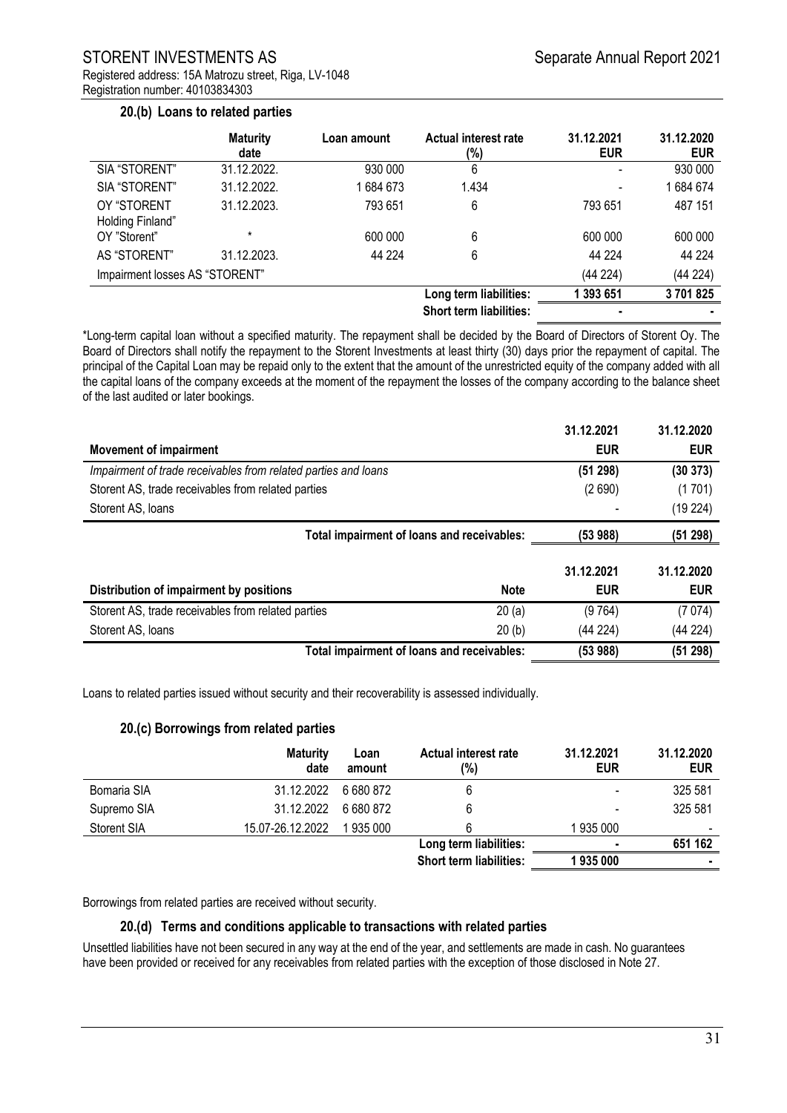## **20.(b) Loans to related parties**

|                                 | <b>Maturity</b><br>date | Loan amount | <b>Actual interest rate</b><br>(%) | 31.12.2021<br><b>EUR</b> | 31.12.2020<br><b>EUR</b> |
|---------------------------------|-------------------------|-------------|------------------------------------|--------------------------|--------------------------|
| SIA "STORENT"                   | 31.12.2022.             | 930 000     | 6                                  | $\overline{\phantom{0}}$ | 930 000                  |
| SIA "STORENT"                   | 31.12.2022.             | 1 684 673   | 1.434                              |                          | 1684674                  |
| OY "STORENT<br>Holding Finland" | 31.12.2023.             | 793 651     | 6                                  | 793 651                  | 487 151                  |
| OY "Storent"                    | *                       | 600 000     | 6                                  | 600 000                  | 600 000                  |
| AS "STORENT"                    | 31.12.2023.             | 44 224      | 6                                  | 44 224                   | 44 224                   |
| Impairment losses AS "STORENT"  |                         |             |                                    | (44 224)                 | (44 224)                 |
|                                 |                         |             | Long term liabilities:             | 1 393 651                | 3701825                  |
|                                 |                         |             | <b>Short term liabilities:</b>     |                          |                          |

\*Long-term capital loan without a specified maturity. The repayment shall be decided by the Board of Directors of Storent Oy. The Board of Directors shall notify the repayment to the Storent Investments at least thirty (30) days prior the repayment of capital. The principal of the Capital Loan may be repaid only to the extent that the amount of the unrestricted equity of the company added with all the capital loans of the company exceeds at the moment of the repayment the losses of the company according to the balance sheet of the last audited or later bookings.

|                                                                | 31.12.2021 | 31.12.2020 |
|----------------------------------------------------------------|------------|------------|
| <b>Movement of impairment</b>                                  | <b>EUR</b> | <b>EUR</b> |
| Impairment of trade receivables from related parties and loans | (51 298)   | (30373)    |
| Storent AS, trade receivables from related parties             | (2690)     | (1701)     |
| Storent AS, loans                                              |            | (19 224)   |
| Total impairment of loans and receivables:                     | (53988)    | (51 298)   |
|                                                                | 31.12.2021 | 31.12.2020 |
| <b>Note</b><br>Distribution of impairment by positions         | <b>EUR</b> | <b>EUR</b> |
|                                                                |            |            |
| Storent AS, trade receivables from related parties<br>20(a)    | (9764)     | (7074)     |
| 20(b)<br>Storent AS, loans                                     | (44 224)   | (44 224)   |
| <b>Total impairment of loans and receivables:</b>              | (53988)    | (51 298)   |

Loans to related parties issued without security and their recoverability is assessed individually.

#### **20.(c) Borrowings from related parties**

|                    | <b>Maturity</b><br>date | Loan<br>amount | <b>Actual interest rate</b><br>(%) | 31.12.2021<br><b>EUR</b> | 31.12.2020<br><b>EUR</b> |
|--------------------|-------------------------|----------------|------------------------------------|--------------------------|--------------------------|
| Bomaria SIA        | 31.12.2022              | 6 680 872      | 6                                  | $\overline{\phantom{0}}$ | 325 581                  |
| Supremo SIA        | 31.12.2022              | 6 680 872      | 6                                  | $\overline{\phantom{a}}$ | 325 581                  |
| <b>Storent SIA</b> | 15.07-26.12.2022        | 1935000        |                                    | 1935000                  |                          |
|                    |                         |                | Long term liabilities:             | ٠                        | 651 162                  |
|                    |                         |                | <b>Short term liabilities:</b>     | 1935000                  | $\blacksquare$           |

Borrowings from related parties are received without security.

## **20.(d) Terms and conditions applicable to transactions with related parties**

Unsettled liabilities have not been secured in any way at the end of the year, and settlements are made in cash. No guarantees have been provided or received for any receivables from related parties with the exception of those disclosed in Note 27.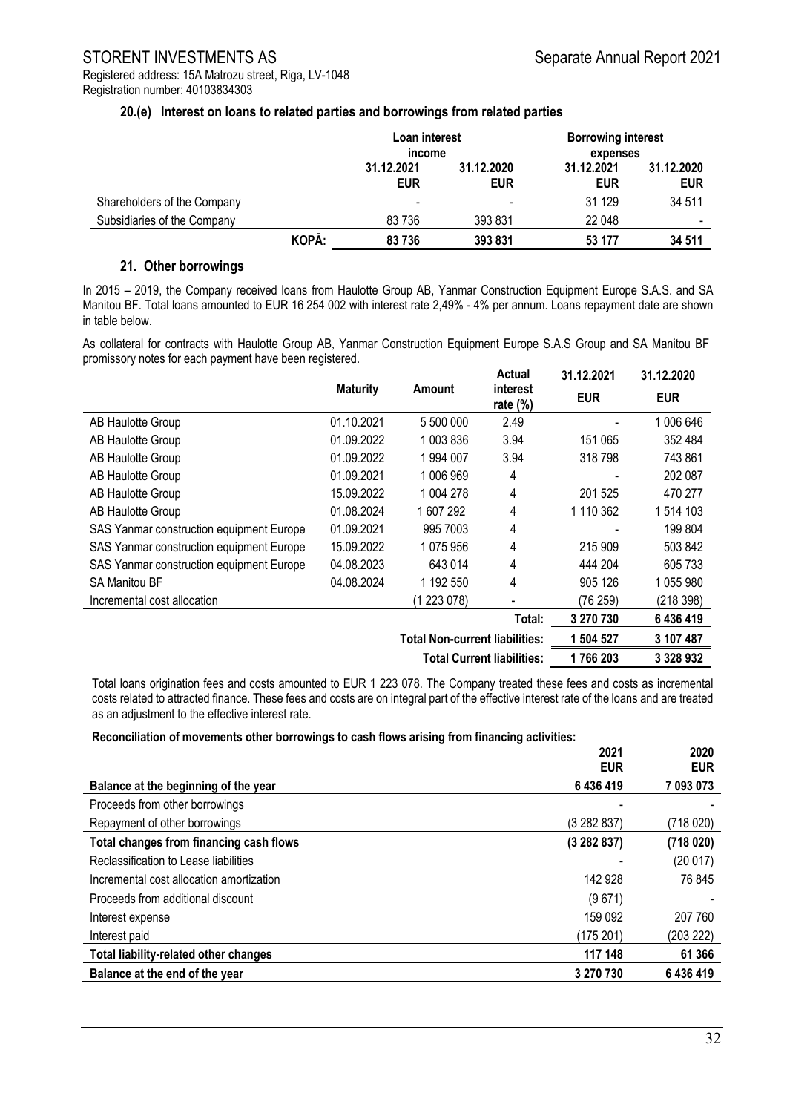## **20.(e) Interest on loans to related parties and borrowings from related parties**

|                             |       | Loan interest            |                          | <b>Borrowing interest</b><br>income<br>expenses |            |  |            |
|-----------------------------|-------|--------------------------|--------------------------|-------------------------------------------------|------------|--|------------|
|                             |       | 31.12.2021<br>31.12.2020 |                          | 31.12.2021                                      |            |  | 31.12.2020 |
|                             |       | <b>EUR</b>               | <b>EUR</b>               | <b>EUR</b>                                      | <b>EUR</b> |  |            |
| Shareholders of the Company |       | $\overline{\phantom{a}}$ | $\overline{\phantom{a}}$ | 31 1 29                                         | 34 511     |  |            |
| Subsidiaries of the Company |       | 83736                    | 393 831                  | 22 048                                          |            |  |            |
|                             | KOPĀ: | 83736                    | 393831                   | 53 177                                          | 34 511     |  |            |

## **21. Other borrowings**

In 2015 – 2019, the Company received loans from Haulotte Group AB, Yanmar Construction Equipment Europe S.A.S. and SA Manitou BF. Total loans amounted to EUR 16 254 002 with interest rate 2,49% - 4% per annum. Loans repayment date are shown in table below.

As collateral for contracts with Haulotte Group AB, Yanmar Construction Equipment Europe S.A.S Group and SA Manitou BF promissory notes for each payment have been registered.

|                                          |                 |                                       | Actual                            | 31.12.2021 | 31.12.2020 |
|------------------------------------------|-----------------|---------------------------------------|-----------------------------------|------------|------------|
|                                          | <b>Maturity</b> | Amount                                | interest<br>rate $(\%)$           | <b>EUR</b> | <b>EUR</b> |
| AB Haulotte Group                        | 01.10.2021      | 5 500 000                             | 2.49                              |            | 1 006 646  |
| AB Haulotte Group                        | 01.09.2022      | 1 003 836                             | 3.94                              | 151 065    | 352 484    |
| AB Haulotte Group                        | 01.09.2022      | 1994007                               | 3.94                              | 318798     | 743 861    |
| AB Haulotte Group                        | 01.09.2021      | 1 006 969                             | 4                                 |            | 202 087    |
| AB Haulotte Group                        | 15.09.2022      | 1 004 278                             | 4                                 | 201 525    | 470 277    |
| AB Haulotte Group                        | 01.08.2024      | 1607292                               | 4                                 | 1 110 362  | 1 514 103  |
| SAS Yanmar construction equipment Europe | 01.09.2021      | 995 7003                              | 4                                 |            | 199 804    |
| SAS Yanmar construction equipment Europe | 15.09.2022      | 1075956                               | 4                                 | 215 909    | 503 842    |
| SAS Yanmar construction equipment Europe | 04.08.2023      | 643 014                               | 4                                 | 444 204    | 605 733    |
| <b>SA Manitou BF</b>                     | 04.08.2024      | 1 192 550                             | 4                                 | 905 126    | 1 055 980  |
| Incremental cost allocation              |                 | (1 223 078)                           |                                   | (76 259)   | (218 398)  |
|                                          |                 |                                       | Total:                            | 3 270 730  | 6436419    |
|                                          |                 | <b>Total Non-current liabilities:</b> |                                   | 1 504 527  | 3 107 487  |
|                                          |                 |                                       | <b>Total Current liabilities:</b> | 1766203    | 3 328 932  |

Total loans origination fees and costs amounted to EUR 1 223 078. The Company treated these fees and costs as incremental costs related to attracted finance. These fees and costs are on integral part of the effective interest rate of the loans and are treated as an adjustment to the effective interest rate.

## **Reconciliation of movements other borrowings to cash flows arising from financing activities:**

|                                              | 2021       | 2020       |
|----------------------------------------------|------------|------------|
|                                              | <b>EUR</b> | <b>EUR</b> |
| Balance at the beginning of the year         | 6436419    | 7093073    |
| Proceeds from other borrowings               |            |            |
| Repayment of other borrowings                | (3282837)  | (718 020)  |
| Total changes from financing cash flows      | (3282837)  | (718 020)  |
| Reclassification to Lease liabilities        |            | (20017)    |
| Incremental cost allocation amortization     | 142 928    | 76845      |
| Proceeds from additional discount            | (9671)     |            |
| Interest expense                             | 159 092    | 207 760    |
| Interest paid                                | (175 201)  | (203 222)  |
| <b>Total liability-related other changes</b> | 117 148    | 61 366     |
| Balance at the end of the year               | 3 270 730  | 6 436 419  |
|                                              |            |            |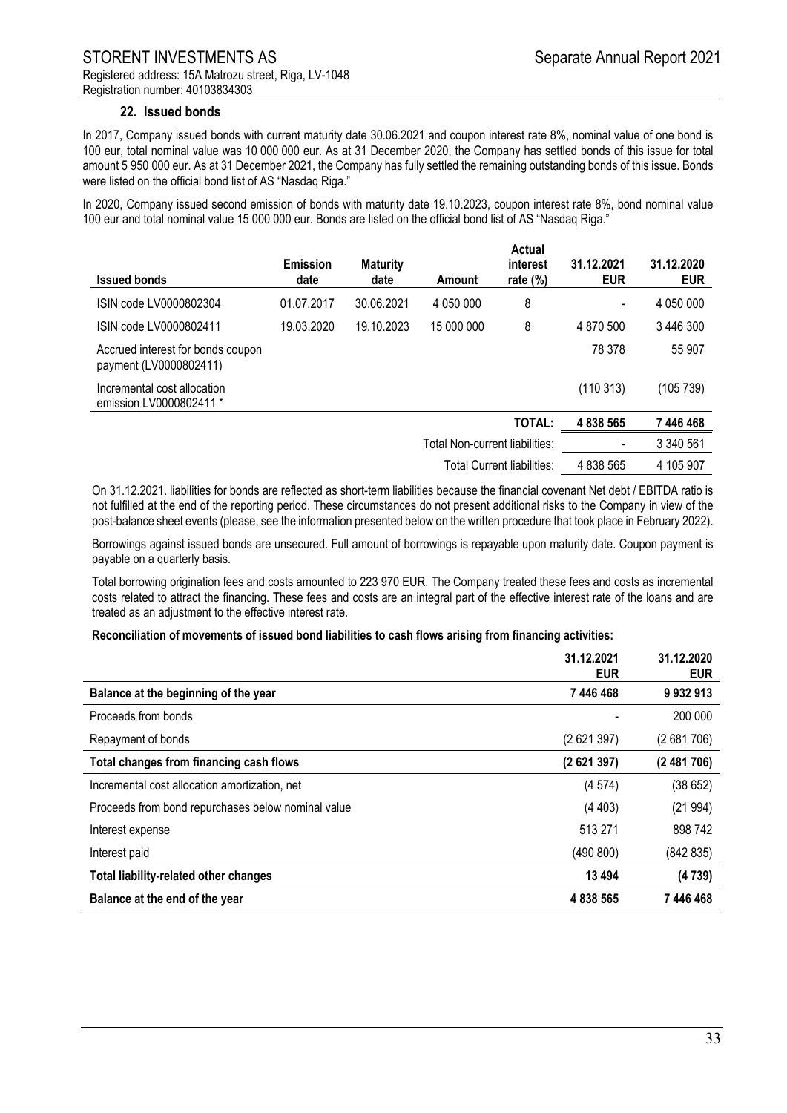## **22. Issued bonds**

In 2017, Company issued bonds with current maturity date 30.06.2021 and coupon interest rate 8%, nominal value of one bond is 100 eur, total nominal value was 10 000 000 eur. As at 31 December 2020, the Company has settled bonds of this issue for total amount 5 950 000 eur. As at 31 December 2021, the Company has fully settled the remaining outstanding bonds of this issue. Bonds were listed on the official bond list of AS "Nasdaq Riga."

In 2020, Company issued second emission of bonds with maturity date 19.10.2023, coupon interest rate 8%, bond nominal value 100 eur and total nominal value 15 000 000 eur. Bonds are listed on the official bond list of AS "Nasdaq Riga."

| <b>Issued bonds</b>                                         | <b>Emission</b><br>date | <b>Maturity</b><br>date | Amount                         | Actual<br>interest<br>rate $(\%)$ | 31.12.2021<br><b>EUR</b> | 31.12.2020<br><b>EUR</b> |
|-------------------------------------------------------------|-------------------------|-------------------------|--------------------------------|-----------------------------------|--------------------------|--------------------------|
| ISIN code LV0000802304                                      | 01.07.2017              | 30.06.2021              | 4 050 000                      | 8                                 |                          | 4 050 000                |
| ISIN code LV0000802411                                      | 19.03.2020              | 19.10.2023              | 15 000 000                     | 8                                 | 4 870 500                | 3 446 300                |
| Accrued interest for bonds coupon<br>payment (LV0000802411) |                         |                         |                                |                                   | 78 378                   | 55 907                   |
| Incremental cost allocation<br>emission LV0000802411 *      |                         |                         |                                |                                   | (110313)                 | (105739)                 |
|                                                             |                         |                         |                                | TOTAL:                            | 4 838 565                | 7 446 468                |
|                                                             |                         |                         | Total Non-current liabilities: |                                   |                          | 3 340 561                |
|                                                             |                         |                         |                                | Total Current liabilities:        | 4 838 565                | 4 105 907                |

On 31.12.2021. liabilities for bonds are reflected as short-term liabilities because the financial covenant Net debt / EBITDA ratio is not fulfilled at the end of the reporting period. These circumstances do not present additional risks to the Company in view of the post-balance sheet events (please, see the information presented below on the written procedure that took place in February 2022).

Borrowings against issued bonds are unsecured. Full amount of borrowings is repayable upon maturity date. Coupon payment is payable on a quarterly basis.

Total borrowing origination fees and costs amounted to 223 970 EUR. The Company treated these fees and costs as incremental costs related to attract the financing. These fees and costs are an integral part of the effective interest rate of the loans and are treated as an adjustment to the effective interest rate.

## **Reconciliation of movements of issued bond liabilities to cash flows arising from financing activities:**

|                                                    | 31.12.2021<br><b>EUR</b> | 31.12.2020<br><b>EUR</b> |
|----------------------------------------------------|--------------------------|--------------------------|
| Balance at the beginning of the year               | 7 446 468                | 9932913                  |
| Proceeds from bonds                                |                          | 200 000                  |
| Repayment of bonds                                 | (2621397)                | (2681706)                |
| Total changes from financing cash flows            | (2621397)                | (2481706)                |
| Incremental cost allocation amortization, net      | (4574)                   | (38652)                  |
| Proceeds from bond repurchases below nominal value | (4403)                   | (21994)                  |
| Interest expense                                   | 513 271                  | 898 742                  |
| Interest paid                                      | (490 800)                | (842 835)                |
| <b>Total liability-related other changes</b>       | 13 4 94                  | (4739)                   |
| Balance at the end of the year                     | 4 838 565                | 7 446 468                |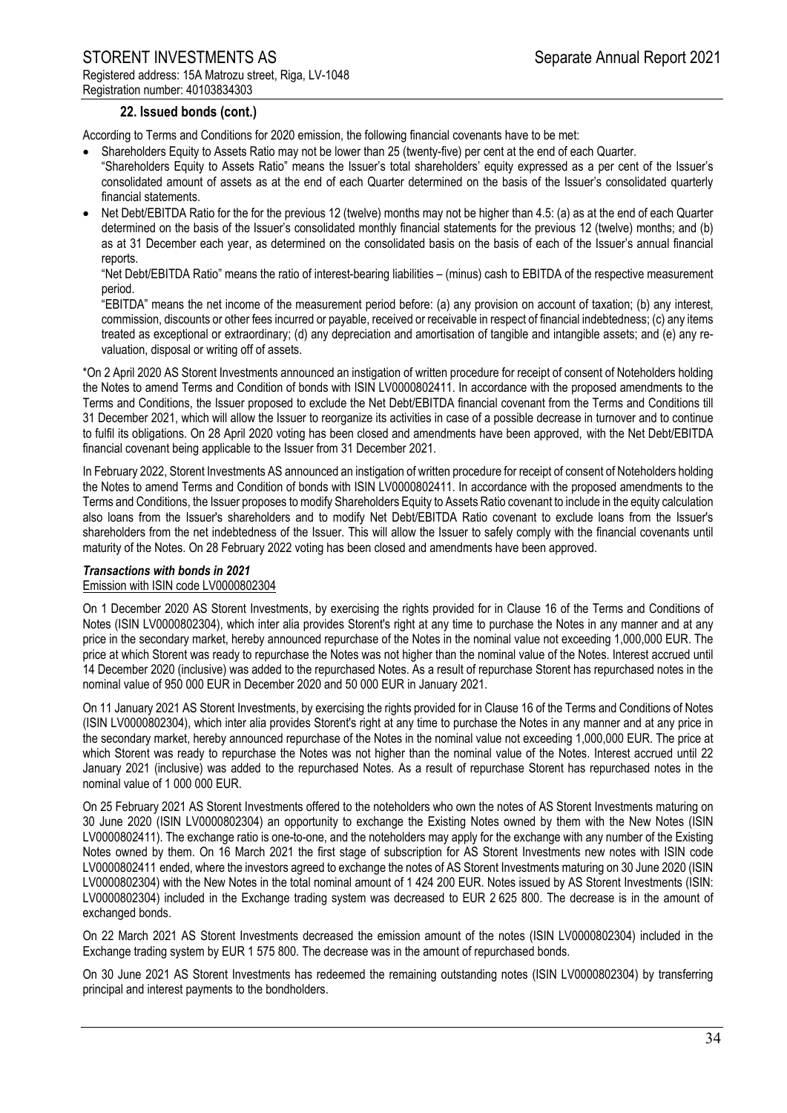## **22. Issued bonds (cont.)**

According to Terms and Conditions for 2020 emission, the following financial covenants have to be met:

- Shareholders Equity to Assets Ratio may not be lower than 25 (twenty-five) per cent at the end of each Quarter.
- "Shareholders Equity to Assets Ratio" means the Issuer's total shareholders' equity expressed as a per cent of the Issuer's consolidated amount of assets as at the end of each Quarter determined on the basis of the Issuer's consolidated quarterly financial statements.
- Net Debt/EBITDA Ratio for the for the previous 12 (twelve) months may not be higher than 4.5: (a) as at the end of each Quarter determined on the basis of the Issuer's consolidated monthly financial statements for the previous 12 (twelve) months; and (b) as at 31 December each year, as determined on the consolidated basis on the basis of each of the Issuer's annual financial reports.

"Net Debt/EBITDA Ratio" means the ratio of interest-bearing liabilities – (minus) cash to EBITDA of the respective measurement period.

"EBITDA" means the net income of the measurement period before: (a) any provision on account of taxation; (b) any interest, commission, discounts or other fees incurred or payable, received or receivable in respect of financial indebtedness; (c) any items treated as exceptional or extraordinary; (d) any depreciation and amortisation of tangible and intangible assets; and (e) any revaluation, disposal or writing off of assets.

\*On 2 April 2020 AS Storent Investments announced an instigation of written procedure for receipt of consent of Noteholders holding the Notes to amend Terms and Condition of bonds with ISIN LV0000802411. In accordance with the proposed amendments to the Terms and Conditions, the Issuer proposed to exclude the Net Debt/EBITDA financial covenant from the Terms and Conditions till 31 December 2021, which will allow the Issuer to reorganize its activities in case of a possible decrease in turnover and to continue to fulfil its obligations. On 28 April 2020 voting has been closed and amendments have been approved, with the Net Debt/EBITDA financial covenant being applicable to the Issuer from 31 December 2021.

In February 2022, Storent Investments AS announced an instigation of written procedure for receipt of consent of Noteholders holding the Notes to amend Terms and Condition of bonds with ISIN LV0000802411. In accordance with the proposed amendments to the Terms and Conditions, the Issuer proposes to modify Shareholders Equity to Assets Ratio covenant to include in the equity calculation also loans from the Issuer's shareholders and to modify Net Debt/EBITDA Ratio covenant to exclude loans from the Issuer's shareholders from the net indebtedness of the Issuer. This will allow the Issuer to safely comply with the financial covenants until maturity of the Notes. On 28 February 2022 voting has been closed and amendments have been approved.

## *Transactions with bonds in 2021*

## Emission with ISIN code LV0000802304

On 1 December 2020 AS Storent Investments, by exercising the rights provided for in Clause 16 of the Terms and Conditions of Notes (ISIN LV0000802304), which inter alia provides Storent's right at any time to purchase the Notes in any manner and at any price in the secondary market, hereby announced repurchase of the Notes in the nominal value not exceeding 1,000,000 EUR. The price at which Storent was ready to repurchase the Notes was not higher than the nominal value of the Notes. Interest accrued until 14 December 2020 (inclusive) was added to the repurchased Notes. As a result of repurchase Storent has repurchased notes in the nominal value of 950 000 EUR in December 2020 and 50 000 EUR in January 2021.

On 11 January 2021 AS Storent Investments, by exercising the rights provided for in Clause 16 of the Terms and Conditions of Notes (ISIN LV0000802304), which inter alia provides Storent's right at any time to purchase the Notes in any manner and at any price in the secondary market, hereby announced repurchase of the Notes in the nominal value not exceeding 1,000,000 EUR. The price at which Storent was ready to repurchase the Notes was not higher than the nominal value of the Notes. Interest accrued until 22 January 2021 (inclusive) was added to the repurchased Notes. As a result of repurchase Storent has repurchased notes in the nominal value of 1 000 000 EUR.

On 25 February 2021 AS Storent Investments offered to the noteholders who own the notes of AS Storent Investments maturing on 30 June 2020 (ISIN LV0000802304) an opportunity to exchange the Existing Notes owned by them with the New Notes (ISIN LV0000802411). The exchange ratio is one-to-one, and the noteholders may apply for the exchange with any number of the Existing Notes owned by them. On 16 March 2021 the first stage of subscription for AS Storent Investments new notes with ISIN code LV0000802411 ended, where the investors agreed to exchange the notes of AS Storent Investments maturing on 30 June 2020 (ISIN LV0000802304) with the New Notes in the total nominal amount of 1 424 200 EUR. Notes issued by AS Storent Investments (ISIN: LV0000802304) included in the Exchange trading system was decreased to EUR 2 625 800. The decrease is in the amount of exchanged bonds.

On 22 March 2021 AS Storent Investments decreased the emission amount of the notes (ISIN LV0000802304) included in the Exchange trading system by EUR 1 575 800. The decrease was in the amount of repurchased bonds.

On 30 June 2021 AS Storent Investments has redeemed the remaining outstanding notes (ISIN LV0000802304) by transferring principal and interest payments to the bondholders.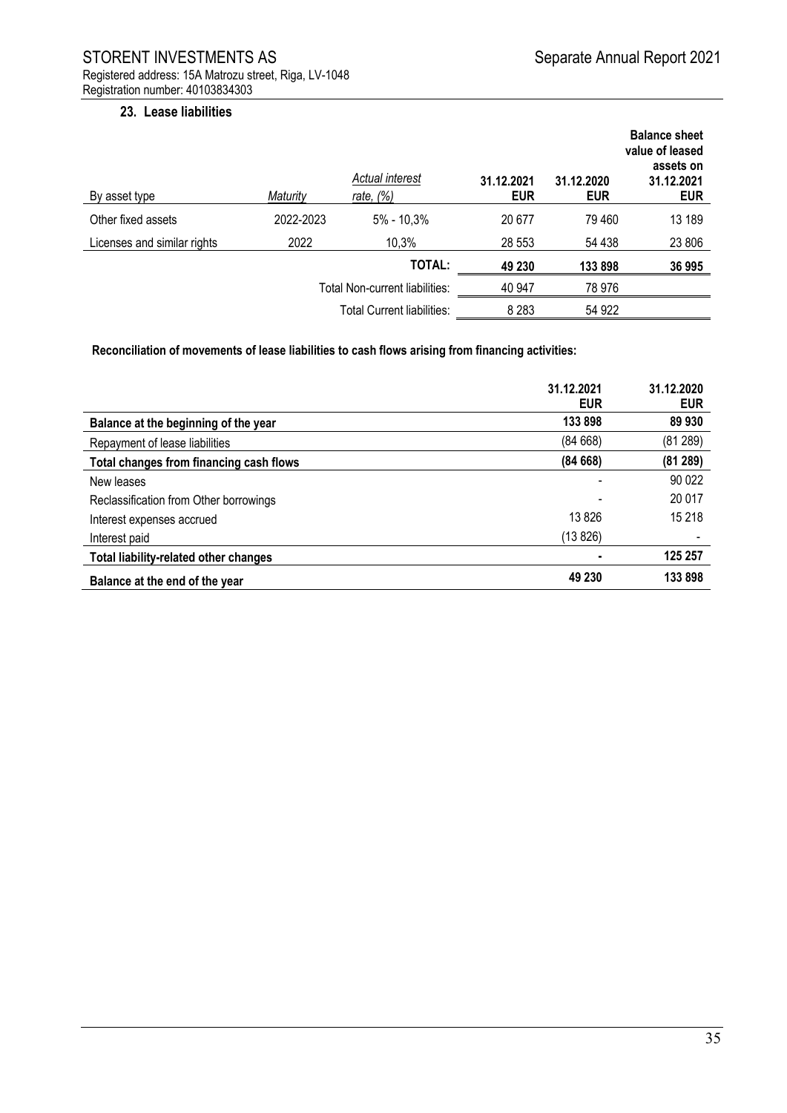## **23. Lease liabilities**

| By asset type               | Maturity                                                     | Actual interest<br>rate, $(\%)$ | 31.12.2021<br><b>EUR</b> | 31.12.2020<br><b>EUR</b> | <b>Balance sheet</b><br>value of leased<br>assets on<br>31.12.2021<br><b>EUR</b> |
|-----------------------------|--------------------------------------------------------------|---------------------------------|--------------------------|--------------------------|----------------------------------------------------------------------------------|
| Other fixed assets          | 2022-2023                                                    | $5\% - 10,3\%$                  | 20 677                   | 79 460                   | 13 189                                                                           |
| Licenses and similar rights | 2022                                                         | 10,3%                           | 28 5 53                  | 54 438                   | 23 806                                                                           |
|                             |                                                              | TOTAL:                          | 49 230                   | 133898                   | 36 995                                                                           |
|                             | Total Non-current liabilities:<br>Total Current liabilities: |                                 | 40 947                   | 78 976                   |                                                                                  |
|                             |                                                              |                                 | 8 2 8 3                  | 54 922                   |                                                                                  |

**Reconciliation of movements of lease liabilities to cash flows arising from financing activities:** 

|                                              | 31.12.2021<br><b>EUR</b> | 31.12.2020<br><b>EUR</b> |
|----------------------------------------------|--------------------------|--------------------------|
| Balance at the beginning of the year         | 133898                   | 89 930                   |
| Repayment of lease liabilities               | (84668)                  | (81 289)                 |
| Total changes from financing cash flows      | (84668)                  | (81289)                  |
| New leases                                   |                          | 90 0 22                  |
| Reclassification from Other borrowings       |                          | 20 017                   |
| Interest expenses accrued                    | 13826                    | 15 218                   |
| Interest paid                                | (13 826)                 |                          |
| <b>Total liability-related other changes</b> | ٠                        | 125 257                  |
| Balance at the end of the year               | 49 230                   | 133898                   |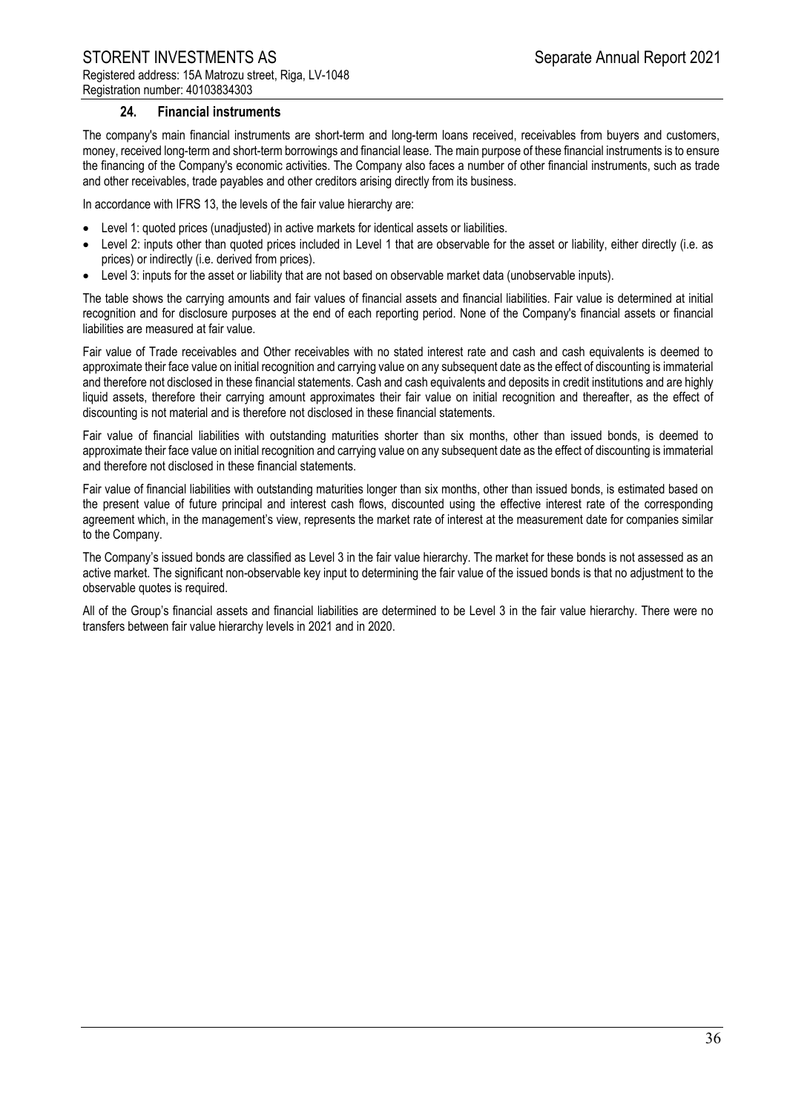#### **24. Financial instruments**

The company's main financial instruments are short-term and long-term loans received, receivables from buyers and customers, money, received long-term and short-term borrowings and financial lease. The main purpose of these financial instruments is to ensure the financing of the Company's economic activities. The Company also faces a number of other financial instruments, such as trade and other receivables, trade payables and other creditors arising directly from its business.

In accordance with IFRS 13, the levels of the fair value hierarchy are:

- Level 1: quoted prices (unadjusted) in active markets for identical assets or liabilities.
- Level 2: inputs other than quoted prices included in Level 1 that are observable for the asset or liability, either directly (i.e. as prices) or indirectly (i.e. derived from prices).
- Level 3: inputs for the asset or liability that are not based on observable market data (unobservable inputs).

The table shows the carrying amounts and fair values of financial assets and financial liabilities. Fair value is determined at initial recognition and for disclosure purposes at the end of each reporting period. None of the Company's financial assets or financial liabilities are measured at fair value.

Fair value of Trade receivables and Other receivables with no stated interest rate and cash and cash equivalents is deemed to approximate their face value on initial recognition and carrying value on any subsequent date as the effect of discounting is immaterial and therefore not disclosed in these financial statements. Cash and cash equivalents and deposits in credit institutions and are highly liquid assets, therefore their carrying amount approximates their fair value on initial recognition and thereafter, as the effect of discounting is not material and is therefore not disclosed in these financial statements.

Fair value of financial liabilities with outstanding maturities shorter than six months, other than issued bonds, is deemed to approximate their face value on initial recognition and carrying value on any subsequent date as the effect of discounting is immaterial and therefore not disclosed in these financial statements.

Fair value of financial liabilities with outstanding maturities longer than six months, other than issued bonds, is estimated based on the present value of future principal and interest cash flows, discounted using the effective interest rate of the corresponding agreement which, in the management's view, represents the market rate of interest at the measurement date for companies similar to the Company.

The Company's issued bonds are classified as Level 3 in the fair value hierarchy. The market for these bonds is not assessed as an active market. The significant non-observable key input to determining the fair value of the issued bonds is that no adjustment to the observable quotes is required.

All of the Group's financial assets and financial liabilities are determined to be Level 3 in the fair value hierarchy. There were no transfers between fair value hierarchy levels in 2021 and in 2020.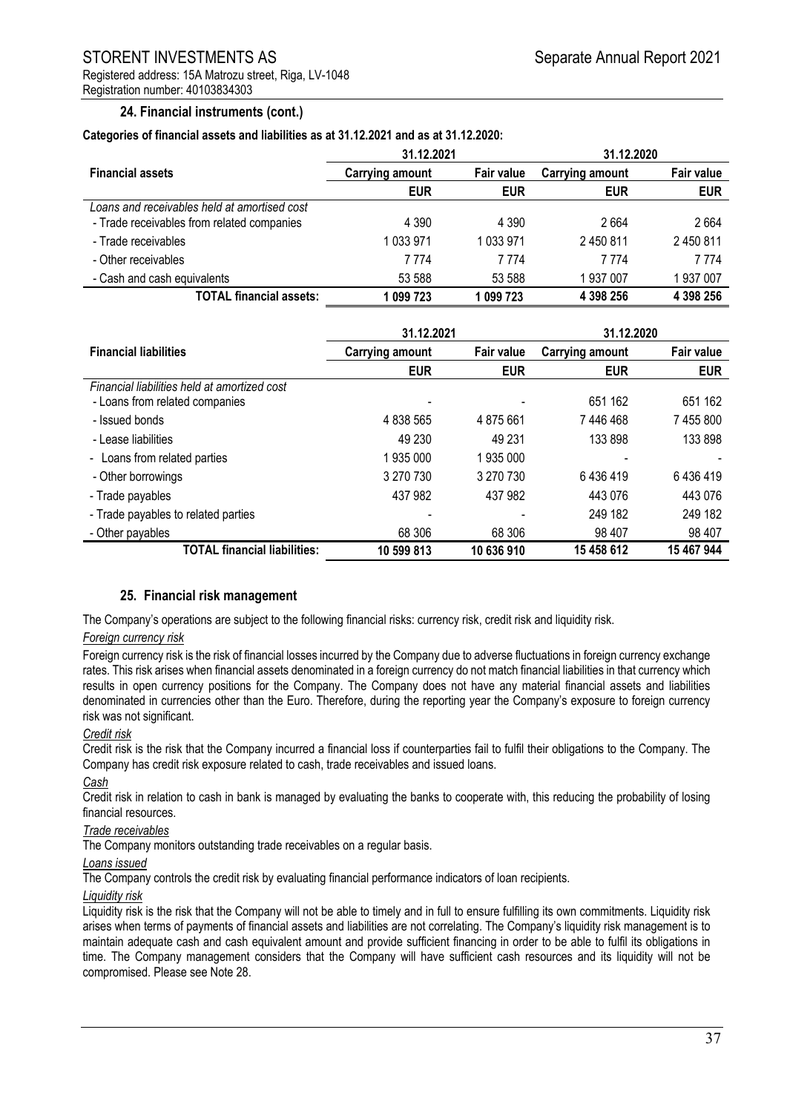## **24. Financial instruments (cont.)**

## **Categories of financial assets and liabilities as at 31.12.2021 and as at 31.12.2020:**

|                                              | 31.12.2021             |                   | 31.12.2020             |                   |  |
|----------------------------------------------|------------------------|-------------------|------------------------|-------------------|--|
| <b>Financial assets</b>                      | <b>Carrying amount</b> | <b>Fair value</b> | <b>Carrying amount</b> | <b>Fair value</b> |  |
|                                              | <b>EUR</b>             | <b>EUR</b>        | <b>EUR</b>             | <b>EUR</b>        |  |
| Loans and receivables held at amortised cost |                        |                   |                        |                   |  |
| - Trade receivables from related companies   | 4 3 9 0                | 4 3 9 0           | 2664                   | 2664              |  |
| - Trade receivables                          | 1 033 971              | 1 033 971         | 2450811                | 2450811           |  |
| - Other receivables                          | 7 7 7 4                | 7 7 7 4           | 7 7 7 4                | 7 7 7 4           |  |
| - Cash and cash equivalents                  | 53 588                 | 53 588            | 937 007                | 1937007           |  |
| <b>TOTAL financial assets:</b>               | 1 099 723              | 099 723           | 4 398 256              | 4 398 256         |  |

|                                              | 31.12.2021             |            | 31.12.2020             |            |  |
|----------------------------------------------|------------------------|------------|------------------------|------------|--|
| <b>Financial liabilities</b>                 | <b>Carrying amount</b> | Fair value | <b>Carrying amount</b> | Fair value |  |
|                                              | <b>EUR</b>             | <b>EUR</b> | <b>EUR</b>             | <b>EUR</b> |  |
| Financial liabilities held at amortized cost |                        |            |                        |            |  |
| - Loans from related companies               |                        |            | 651 162                | 651 162    |  |
| - Issued bonds                               | 4 838 565              | 4 875 661  | 7446468                | 7 455 800  |  |
| - Lease liabilities                          | 49 230                 | 49 231     | 133 898                | 133 898    |  |
| - Loans from related parties                 | 1935000                | 1935000    |                        |            |  |
| - Other borrowings                           | 3 270 730              | 3 270 730  | 6436419                | 6436419    |  |
| - Trade payables                             | 437 982                | 437 982    | 443 076                | 443 076    |  |
| - Trade payables to related parties          |                        |            | 249 182                | 249 182    |  |
| - Other payables                             | 68 306                 | 68 306     | 98 407                 | 98 407     |  |
| <b>TOTAL financial liabilities:</b>          | 10 599 813             | 10 636 910 | 15 458 612             | 15 467 944 |  |

## **25. Financial risk management**

The Company's operations are subject to the following financial risks: currency risk, credit risk and liquidity risk.

#### *Foreign currency risk*

Foreign currency risk is the risk of financial losses incurred by the Company due to adverse fluctuations in foreign currency exchange rates. This risk arises when financial assets denominated in a foreign currency do not match financial liabilities in that currency which results in open currency positions for the Company. The Company does not have any material financial assets and liabilities denominated in currencies other than the Euro. Therefore, during the reporting year the Company's exposure to foreign currency risk was not significant.

#### *Credit risk*

Credit risk is the risk that the Company incurred a financial loss if counterparties fail to fulfil their obligations to the Company. The Company has credit risk exposure related to cash, trade receivables and issued loans.

#### *Cash*

Credit risk in relation to cash in bank is managed by evaluating the banks to cooperate with, this reducing the probability of losing financial resources.

## *Trade receivables*

The Company monitors outstanding trade receivables on a regular basis.

#### *Loans issued*

The Company controls the credit risk by evaluating financial performance indicators of loan recipients.

## *Liquidity risk*

Liquidity risk is the risk that the Company will not be able to timely and in full to ensure fulfilling its own commitments. Liquidity risk arises when terms of payments of financial assets and liabilities are not correlating. The Company's liquidity risk management is to maintain adequate cash and cash equivalent amount and provide sufficient financing in order to be able to fulfil its obligations in time. The Company management considers that the Company will have sufficient cash resources and its liquidity will not be compromised. Please see Note 28.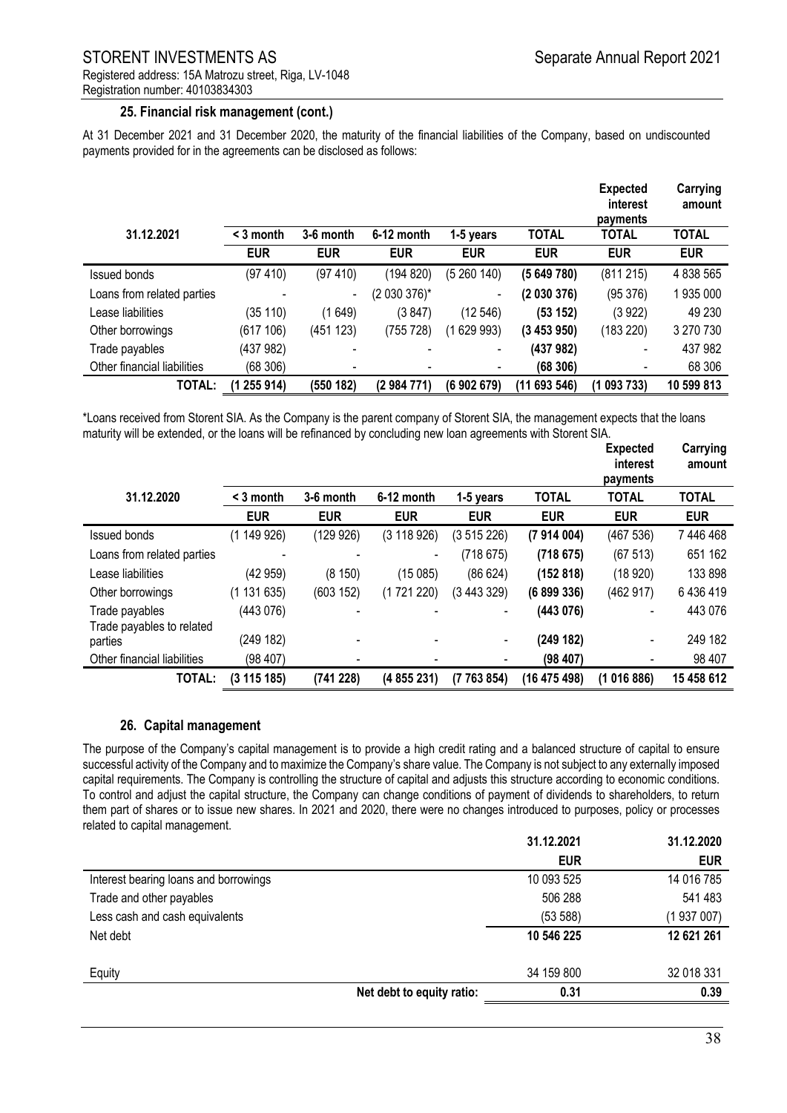## STORENT INVESTMENTS AS SEPARATE SEPARATE Annual Report 2021 Registered address: 15A Matrozu street, Riga, LV-1048 Registration number: 40103834303

## **25. Financial risk management (cont.)**

At 31 December 2021 and 31 December 2020, the maturity of the financial liabilities of the Company, based on undiscounted payments provided for in the agreements can be disclosed as follows:

|                             |             |                |              |                          |            | <b>Expected</b><br>interest<br>payments | Carrying<br>amount |
|-----------------------------|-------------|----------------|--------------|--------------------------|------------|-----------------------------------------|--------------------|
| 31.12.2021                  | $<$ 3 month | 3-6 month      | 6-12 month   | 1-5 years                | TOTAL      | TOTAL                                   | <b>TOTAL</b>       |
|                             | <b>EUR</b>  | <b>EUR</b>     | <b>EUR</b>   | <b>EUR</b>               | <b>EUR</b> | <b>EUR</b>                              | <b>EUR</b>         |
| <b>Issued bonds</b>         | (97 410)    | (97 410)       | (194 820)    | (5260140)                | (5649780)  | (811 215)                               | 4 838 565          |
| Loans from related parties  |             | $\blacksquare$ | (2 030 376)* | ۰                        | (2030376)  | (95376)                                 | 1935000            |
| Lease liabilities           | (35110)     | (1649)         | (3847)       | (12546)                  | (53 152)   | (3922)                                  | 49 230             |
| Other borrowings            | (617106)    | (451 123)      | (755 728)    | 629 993)                 | (3453950)  | (183 220)                               | 3 270 730          |
| Trade payables              | (437982)    | $\blacksquare$ | ٠            | $\overline{\phantom{0}}$ | (437982)   | $\overline{\phantom{0}}$                | 437 982            |
| Other financial liabilities | (68306)     | $\blacksquare$ |              | ۰                        | (68306)    | $\overline{\phantom{0}}$                | 68 30 6            |
| TOTAL:                      | 255 914)    | (550182)       | (2984771)    | (6902679)                | (11693546) | (1093733)                               | 10 599 813         |

\*Loans received from Storent SIA. As the Company is the parent company of Storent SIA, the management expects that the loans maturity will be extended, or the loans will be refinanced by concluding new loan agreements with Storent SIA. **Carrying** 

|                                      |                |            |                          |                |              | <b>Expected</b><br>interest<br>payments | Carrying<br>amount |
|--------------------------------------|----------------|------------|--------------------------|----------------|--------------|-----------------------------------------|--------------------|
| 31.12.2020                           | $\leq$ 3 month | 3-6 month  | 6-12 month               | 1-5 years      | <b>TOTAL</b> | <b>TOTAL</b>                            | <b>TOTAL</b>       |
|                                      | <b>EUR</b>     | <b>EUR</b> | <b>EUR</b>               | <b>EUR</b>     | <b>EUR</b>   | <b>EUR</b>                              | <b>EUR</b>         |
| <b>Issued bonds</b>                  | (1149926)      | (129 926)  | (3118926)                | (3515226)      | (7914004)    | (467536)                                | 7 446 468          |
| Loans from related parties           |                |            | $\overline{\phantom{a}}$ | (718 675)      | (718675)     | (67513)                                 | 651 162            |
| Lease liabilities                    | (42959)        | (8150)     | (15085)                  | (86624)        | (152 818)    | (18920)                                 | 133 898            |
| Other borrowings                     | (1131635)      | (603 152)  | (1721220)                | (3443329)      | (6899336)    | (462917)                                | 6436419            |
| Trade payables                       | (443 076)      |            |                          | $\blacksquare$ | (443076)     | $\overline{\phantom{a}}$                | 443 076            |
| Trade payables to related<br>parties | (249 182)      |            |                          | $\blacksquare$ | (249 182)    | $\blacksquare$                          | 249 182            |
| Other financial liabilities          | (98 407)       |            |                          |                | (98 407)     |                                         | 98 407             |
| TOTAL:                               | (3 115 185)    | (741 228)  | (4 855 231)              | (7763854)      | (16 475 498) | (1016886)                               | 15 458 612         |

## **26. Capital management**

The purpose of the Company's capital management is to provide a high credit rating and a balanced structure of capital to ensure successful activity of the Company and to maximize the Company's share value. The Company is not subject to any externally imposed capital requirements. The Company is controlling the structure of capital and adjusts this structure according to economic conditions. To control and adjust the capital structure, the Company can change conditions of payment of dividends to shareholders, to return them part of shares or to issue new shares. In 2021 and 2020, there were no changes introduced to purposes, policy or processes related to capital management.

|                                       | Net debt to equity ratio: | 0.31       | 0.39       |
|---------------------------------------|---------------------------|------------|------------|
| Equity                                |                           | 34 159 800 | 32 018 331 |
| Net debt                              |                           | 10 546 225 | 12 621 261 |
| Less cash and cash equivalents        |                           | (53 588)   | (1937007)  |
| Trade and other payables              |                           | 506 288    | 541 483    |
| Interest bearing loans and borrowings |                           | 10 093 525 | 14 016 785 |
|                                       |                           | <b>EUR</b> | <b>EUR</b> |
|                                       |                           | 31.12.2021 | 31.12.2020 |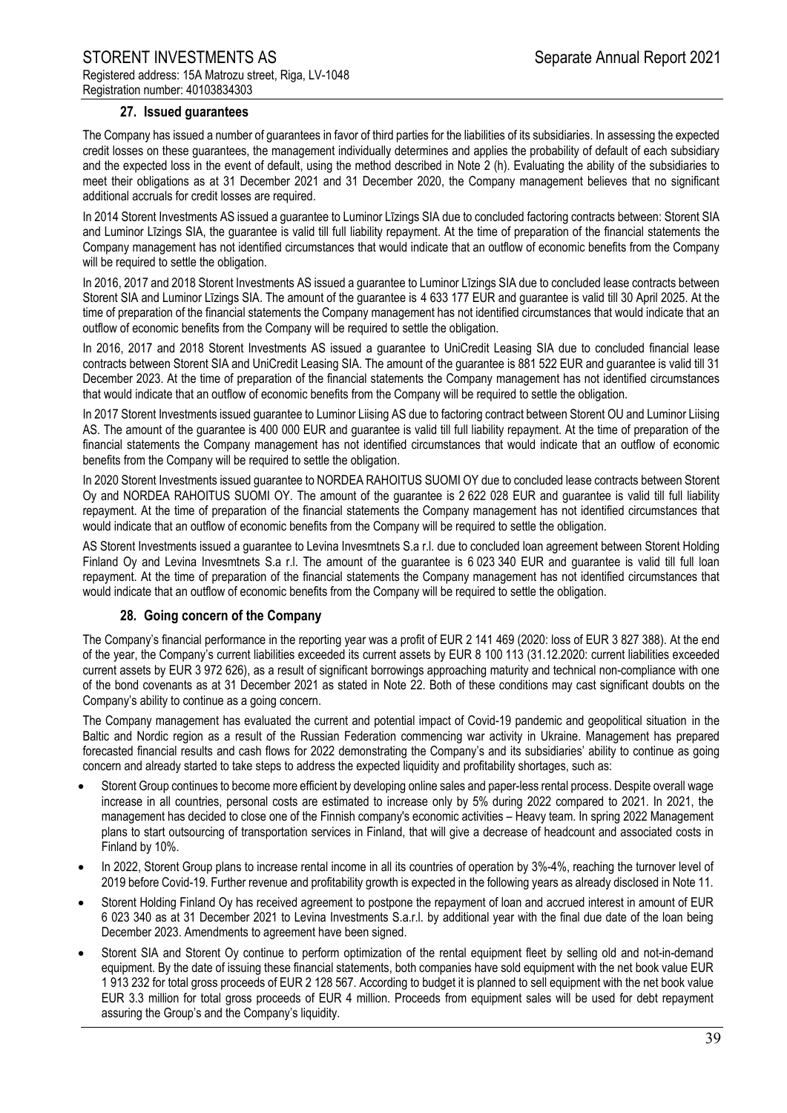## **27. Issued guarantees**

The Company has issued a number of guarantees in favor of third parties for the liabilities of its subsidiaries. In assessing the expected credit losses on these guarantees, the management individually determines and applies the probability of default of each subsidiary and the expected loss in the event of default, using the method described in Note 2 (h). Evaluating the ability of the subsidiaries to meet their obligations as at 31 December 2021 and 31 December 2020, the Company management believes that no significant additional accruals for credit losses are required.

In 2014 Storent Investments AS issued a guarantee to Luminor Līzings SIA due to concluded factoring contracts between: Storent SIA and Luminor Līzings SIA, the guarantee is valid till full liability repayment. At the time of preparation of the financial statements the Company management has not identified circumstances that would indicate that an outflow of economic benefits from the Company will be required to settle the obligation.

In 2016, 2017 and 2018 Storent Investments AS issued a guarantee to Luminor Līzings SIA due to concluded lease contracts between Storent SIA and Luminor Līzings SIA. The amount of the guarantee is 4 633 177 EUR and guarantee is valid till 30 April 2025. At the time of preparation of the financial statements the Company management has not identified circumstances that would indicate that an outflow of economic benefits from the Company will be required to settle the obligation.

In 2016, 2017 and 2018 Storent Investments AS issued a guarantee to UniCredit Leasing SIA due to concluded financial lease contracts between Storent SIA and UniCredit Leasing SIA. The amount of the guarantee is 881 522 EUR and guarantee is valid till 31 December 2023. At the time of preparation of the financial statements the Company management has not identified circumstances that would indicate that an outflow of economic benefits from the Company will be required to settle the obligation.

In 2017 Storent Investments issued guarantee to Luminor Liising AS due to factoring contract between Storent OU and Luminor Liising AS. The amount of the guarantee is 400 000 EUR and guarantee is valid till full liability repayment. At the time of preparation of the financial statements the Company management has not identified circumstances that would indicate that an outflow of economic benefits from the Company will be required to settle the obligation.

In 2020 Storent Investments issued guarantee to NORDEA RAHOITUS SUOMI OY due to concluded lease contracts between Storent Oy and NORDEA RAHOITUS SUOMI OY. The amount of the guarantee is 2 622 028 EUR and guarantee is valid till full liability repayment. At the time of preparation of the financial statements the Company management has not identified circumstances that would indicate that an outflow of economic benefits from the Company will be required to settle the obligation.

AS Storent Investments issued a guarantee to Levina Invesmtnets S.a r.l. due to concluded loan agreement between Storent Holding Finland Oy and Levina Invesmtnets S.a r.l. The amount of the guarantee is 6023 340 EUR and guarantee is valid till full loan repayment. At the time of preparation of the financial statements the Company management has not identified circumstances that would indicate that an outflow of economic benefits from the Company will be required to settle the obligation.

## **28. Going concern of the Company**

The Company's financial performance in the reporting year was a profit of EUR 2 141 469 (2020: loss of EUR 3 827 388). At the end of the year, the Company's current liabilities exceeded its current assets by EUR 8 100 113 (31.12.2020: current liabilities exceeded current assets by EUR 3 972 626), as a result of significant borrowings approaching maturity and technical non-compliance with one of the bond covenants as at 31 December 2021 as stated in Note 22. Both of these conditions may cast significant doubts on the Company's ability to continue as a going concern.

The Company management has evaluated the current and potential impact of Covid-19 pandemic and geopolitical situation in the Baltic and Nordic region as a result of the Russian Federation commencing war activity in Ukraine. Management has prepared forecasted financial results and cash flows for 2022 demonstrating the Company's and its subsidiaries' ability to continue as going concern and already started to take steps to address the expected liquidity and profitability shortages, such as:

- Storent Group continues to become more efficient by developing online sales and paper-less rental process. Despite overall wage increase in all countries, personal costs are estimated to increase only by 5% during 2022 compared to 2021. In 2021, the management has decided to close one of the Finnish company's economic activities – Heavy team. In spring 2022 Management plans to start outsourcing of transportation services in Finland, that will give a decrease of headcount and associated costs in Finland by 10%.
- In 2022, Storent Group plans to increase rental income in all its countries of operation by 3%-4%, reaching the turnover level of 2019 before Covid-19. Further revenue and profitability growth is expected in the following years as already disclosed in Note 11.
- Storent Holding Finland Oy has received agreement to postpone the repayment of loan and accrued interest in amount of EUR 6 023 340 as at 31 December 2021 to Levina Investments S.a.r.l. by additional year with the final due date of the loan being December 2023. Amendments to agreement have been signed.
- Storent SIA and Storent Oy continue to perform optimization of the rental equipment fleet by selling old and not-in-demand equipment. By the date of issuing these financial statements, both companies have sold equipment with the net book value EUR 1 913 232 for total gross proceeds of EUR 2 128 567. According to budget it is planned to sell equipment with the net book value EUR 3.3 million for total gross proceeds of EUR 4 million. Proceeds from equipment sales will be used for debt repayment assuring the Group's and the Company's liquidity.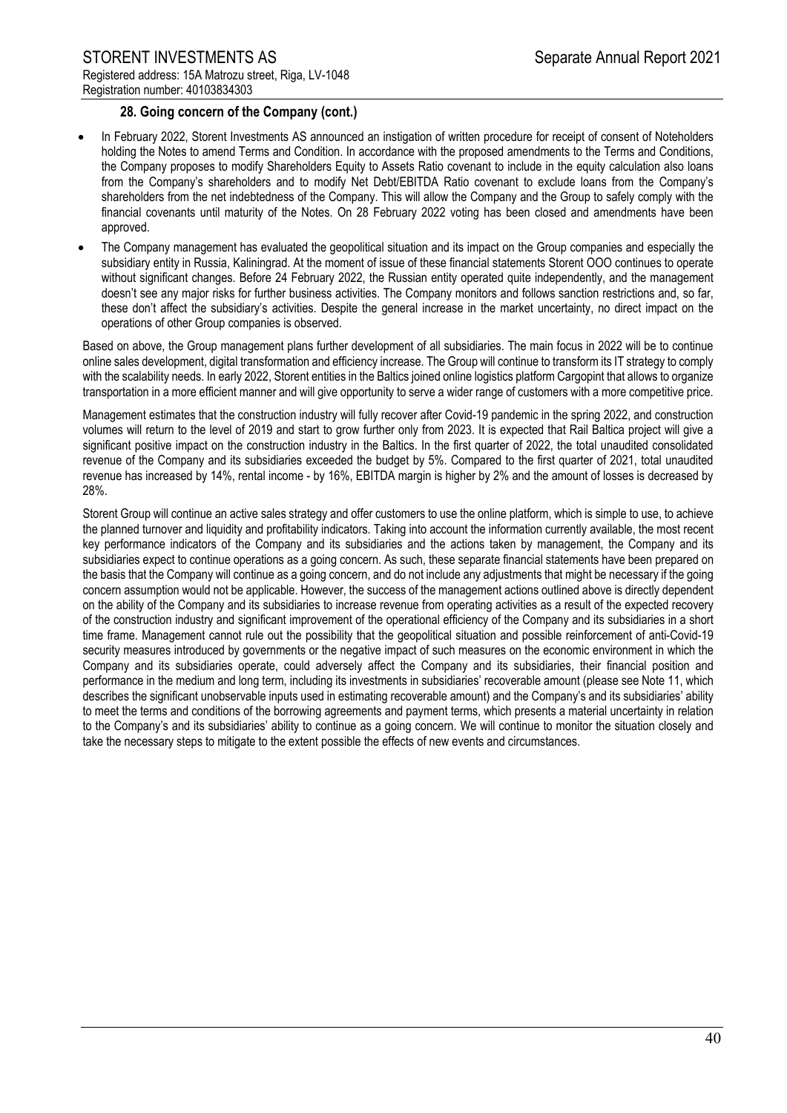## **28. Going concern of the Company (cont.)**

- In February 2022, Storent Investments AS announced an instigation of written procedure for receipt of consent of Noteholders holding the Notes to amend Terms and Condition. In accordance with the proposed amendments to the Terms and Conditions, the Company proposes to modify Shareholders Equity to Assets Ratio covenant to include in the equity calculation also loans from the Company's shareholders and to modify Net Debt/EBITDA Ratio covenant to exclude loans from the Company's shareholders from the net indebtedness of the Company. This will allow the Company and the Group to safely comply with the financial covenants until maturity of the Notes. On 28 February 2022 voting has been closed and amendments have been approved.
- The Company management has evaluated the geopolitical situation and its impact on the Group companies and especially the subsidiary entity in Russia, Kaliningrad. At the moment of issue of these financial statements Storent OOO continues to operate without significant changes. Before 24 February 2022, the Russian entity operated quite independently, and the management doesn't see any major risks for further business activities. The Company monitors and follows sanction restrictions and, so far, these don't affect the subsidiary's activities. Despite the general increase in the market uncertainty, no direct impact on the operations of other Group companies is observed.

Based on above, the Group management plans further development of all subsidiaries. The main focus in 2022 will be to continue online sales development, digital transformation and efficiency increase. The Group will continue to transform its IT strategy to comply with the scalability needs. In early 2022, Storent entities in the Baltics joined online logistics platform Cargopint that allows to organize transportation in a more efficient manner and will give opportunity to serve a wider range of customers with a more competitive price.

Management estimates that the construction industry will fully recover after Covid-19 pandemic in the spring 2022, and construction volumes will return to the level of 2019 and start to grow further only from 2023. It is expected that Rail Baltica project will give a significant positive impact on the construction industry in the Baltics. In the first quarter of 2022, the total unaudited consolidated revenue of the Company and its subsidiaries exceeded the budget by 5%. Compared to the first quarter of 2021, total unaudited revenue has increased by 14%, rental income - by 16%, EBITDA margin is higher by 2% and the amount of losses is decreased by 28%.

Storent Group will continue an active sales strategy and offer customers to use the online platform, which is simple to use, to achieve the planned turnover and liquidity and profitability indicators. Taking into account the information currently available, the most recent key performance indicators of the Company and its subsidiaries and the actions taken by management, the Company and its subsidiaries expect to continue operations as a going concern. As such, these separate financial statements have been prepared on the basis that the Company will continue as a going concern, and do not include any adjustments that might be necessary if the going concern assumption would not be applicable. However, the success of the management actions outlined above is directly dependent on the ability of the Company and its subsidiaries to increase revenue from operating activities as a result of the expected recovery of the construction industry and significant improvement of the operational efficiency of the Company and its subsidiaries in a short time frame. Management cannot rule out the possibility that the geopolitical situation and possible reinforcement of anti-Covid-19 security measures introduced by governments or the negative impact of such measures on the economic environment in which the Company and its subsidiaries operate, could adversely affect the Company and its subsidiaries, their financial position and performance in the medium and long term, including its investments in subsidiaries' recoverable amount (please see Note 11, which describes the significant unobservable inputs used in estimating recoverable amount) and the Company's and its subsidiaries' ability to meet the terms and conditions of the borrowing agreements and payment terms, which presents a material uncertainty in relation to the Company's and its subsidiaries' ability to continue as a going concern. We will continue to monitor the situation closely and take the necessary steps to mitigate to the extent possible the effects of new events and circumstances.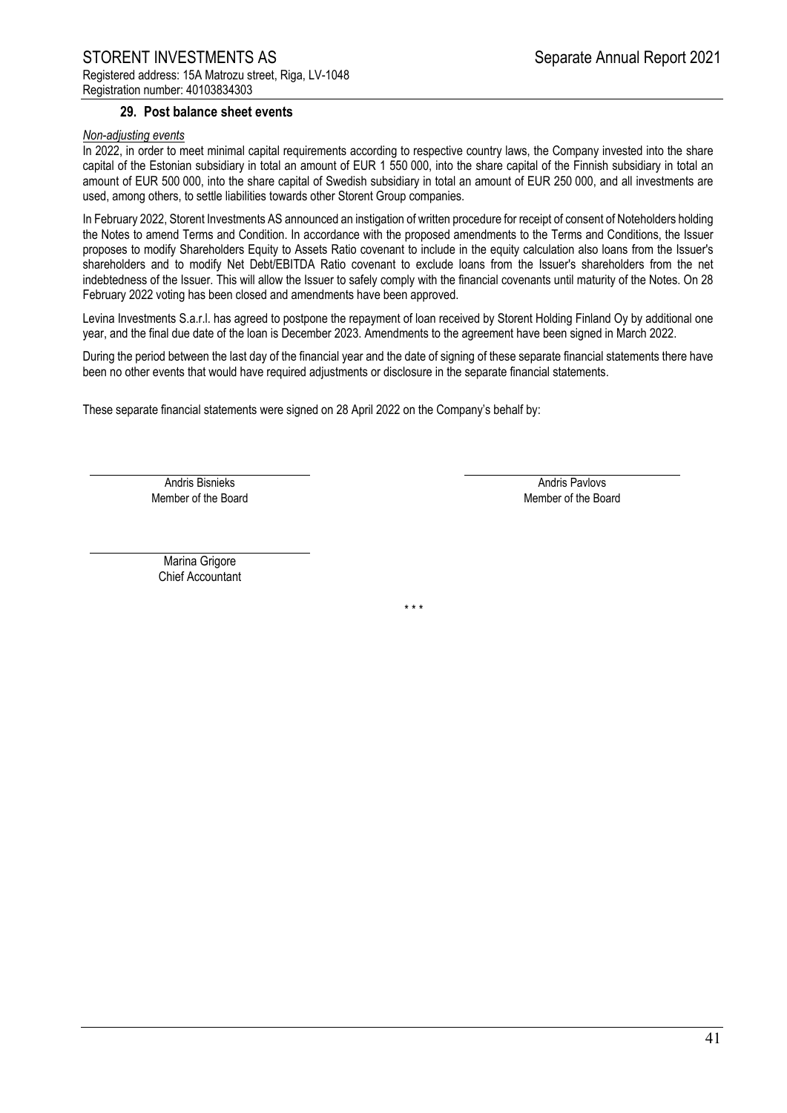## **29. Post balance sheet events**

#### *Non-adjusting events*

In 2022, in order to meet minimal capital requirements according to respective country laws, the Company invested into the share capital of the Estonian subsidiary in total an amount of EUR 1 550 000, into the share capital of the Finnish subsidiary in total an amount of EUR 500 000, into the share capital of Swedish subsidiary in total an amount of EUR 250 000, and all investments are used, among others, to settle liabilities towards other Storent Group companies.

In February 2022, Storent Investments AS announced an instigation of written procedure for receipt of consent of Noteholders holding the Notes to amend Terms and Condition. In accordance with the proposed amendments to the Terms and Conditions, the Issuer proposes to modify Shareholders Equity to Assets Ratio covenant to include in the equity calculation also loans from the Issuer's shareholders and to modify Net Debt/EBITDA Ratio covenant to exclude loans from the Issuer's shareholders from the net indebtedness of the Issuer. This will allow the Issuer to safely comply with the financial covenants until maturity of the Notes. On 28 February 2022 voting has been closed and amendments have been approved.

Levina Investments S.a.r.l. has agreed to postpone the repayment of loan received by Storent Holding Finland Oy by additional one year, and the final due date of the loan is December 2023. Amendments to the agreement have been signed in March 2022.

During the period between the last day of the financial year and the date of signing of these separate financial statements there have been no other events that would have required adjustments or disclosure in the separate financial statements.

These separate financial statements were signed on 28 April 2022 on the Company's behalf by:

Andris Bisnieks **Andris Pavlovs** Andris Pavlovs **Andris Pavlovs** Member of the Board **Member of the Board** Member of the Board

Marina Grigore Chief Accountant

\* \* \*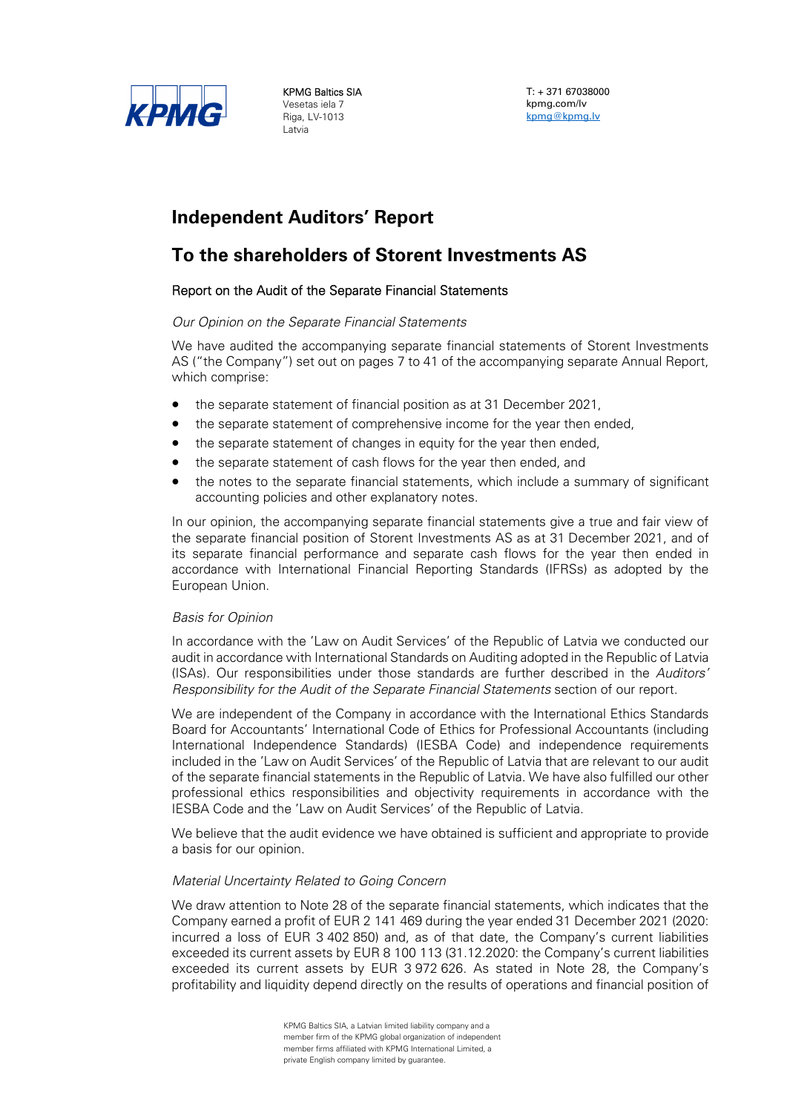

KPMG Baltics SIA Vesetas iela 7 Riga, LV-1013 Latvia

T: + 371 67038000 kpmg.com/lv kpmg@kpmg.lv

# **Independent Auditors' Report**

# **To the shareholders of Storent Investments AS**

## Report on the Audit of the Separate Financial Statements

## *Our Opinion on the Separate Financial Statements*

We have audited the accompanying separate financial statements of Storent Investments AS ("the Company") set out on pages 7 to 41 of the accompanying separate Annual Report, which comprise:

- the separate statement of financial position as at 31 December 2021,
- the separate statement of comprehensive income for the year then ended,
- the separate statement of changes in equity for the year then ended,
- the separate statement of cash flows for the year then ended, and
- the notes to the separate financial statements, which include a summary of significant accounting policies and other explanatory notes.

In our opinion, the accompanying separate financial statements give a true and fair view of the separate financial position of Storent Investments AS as at 31 December 2021, and of its separate financial performance and separate cash flows for the year then ended in accordance with International Financial Reporting Standards (IFRSs) as adopted by the European Union.

## *Basis for Opinion*

In accordance with the 'Law on Audit Services' of the Republic of Latvia we conducted our audit in accordance with International Standards on Auditing adopted in the Republic of Latvia (ISAs). Our responsibilities under those standards are further described in the *Auditors' Responsibility for the Audit of the Separate Financial Statements* section of our report.

We are independent of the Company in accordance with the International Ethics Standards Board for Accountants' International Code of Ethics for Professional Accountants (including International Independence Standards) (IESBA Code) and independence requirements included in the 'Law on Audit Services' of the Republic of Latvia that are relevant to our audit of the separate financial statements in the Republic of Latvia. We have also fulfilled our other professional ethics responsibilities and objectivity requirements in accordance with the IESBA Code and the 'Law on Audit Services' of the Republic of Latvia.

We believe that the audit evidence we have obtained is sufficient and appropriate to provide a basis for our opinion.

## *Material Uncertainty Related to Going Concern*

We draw attention to Note 28 of the separate financial statements, which indicates that the Company earned a profit of EUR 2 141 469 during the year ended 31 December 2021 (2020: incurred a loss of EUR 3 402 850) and, as of that date, the Company's current liabilities exceeded its current assets by EUR 8 100 113 (31.12.2020: the Company's current liabilities exceeded its current assets by EUR 3 972 626. As stated in Note 28, the Company's profitability and liquidity depend directly on the results of operations and financial position of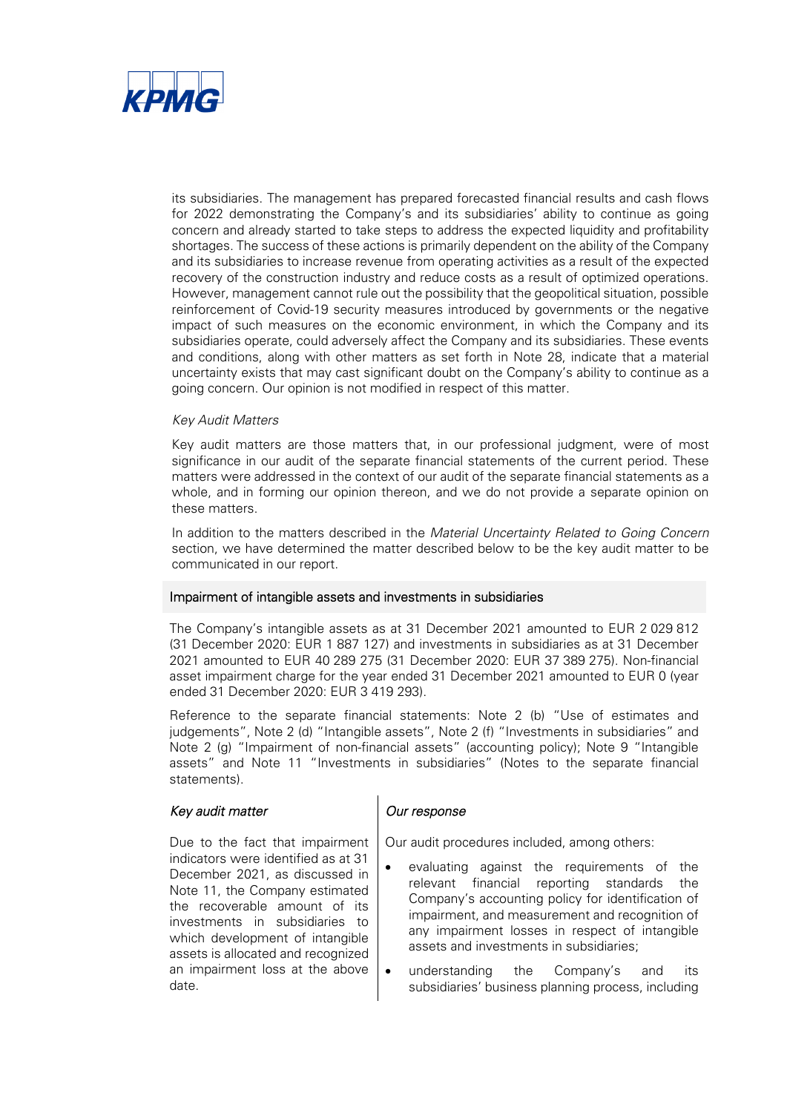

its subsidiaries. The management has prepared forecasted financial results and cash flows for 2022 demonstrating the Company's and its subsidiaries' ability to continue as going concern and already started to take steps to address the expected liquidity and profitability shortages. The success of these actions is primarily dependent on the ability of the Company and its subsidiaries to increase revenue from operating activities as a result of the expected recovery of the construction industry and reduce costs as a result of optimized operations. However, management cannot rule out the possibility that the geopolitical situation, possible reinforcement of Covid-19 security measures introduced by governments or the negative impact of such measures on the economic environment, in which the Company and its subsidiaries operate, could adversely affect the Company and its subsidiaries. These events and conditions, along with other matters as set forth in Note 28, indicate that a material uncertainty exists that may cast significant doubt on the Company's ability to continue as a going concern. Our opinion is not modified in respect of this matter.

#### *Key Audit Matters*

Key audit matters are those matters that, in our professional judgment, were of most significance in our audit of the separate financial statements of the current period. These matters were addressed in the context of our audit of the separate financial statements as a whole, and in forming our opinion thereon, and we do not provide a separate opinion on these matters.

In addition to the matters described in the *Material Uncertainty Related to Going Concern* section, we have determined the matter described below to be the key audit matter to be communicated in our report.

#### Impairment of intangible assets and investments in subsidiaries

The Company's intangible assets as at 31 December 2021 amounted to EUR 2 029 812 (31 December 2020: EUR 1 887 127) and investments in subsidiaries as at 31 December 2021 amounted to EUR 40 289 275 (31 December 2020: EUR 37 389 275). Non-financial asset impairment charge for the year ended 31 December 2021 amounted to EUR 0 (year ended 31 December 2020: EUR 3 419 293).

Reference to the separate financial statements: Note 2 (b) "Use of estimates and judgements", Note 2 (d) "Intangible assets", Note 2 (f) "Investments in subsidiaries" and Note 2 (g) "Impairment of non-financial assets" (accounting policy); Note 9 "Intangible assets" and Note 11 "Investments in subsidiaries" (Notes to the separate financial statements).

#### *Key audit matter*  $\vert$  *Our response*

Our audit procedures included, among others:

Due to the fact that impairment indicators were identified as at 31 December 2021, as discussed in Note 11, the Company estimated the recoverable amount of its investments in subsidiaries to which development of intangible assets is allocated and recognized an impairment loss at the above date.

- evaluating against the requirements of the relevant financial reporting standards the Company's accounting policy for identification of impairment, and measurement and recognition of any impairment losses in respect of intangible assets and investments in subsidiaries;
- understanding the Company's and its subsidiaries' business planning process, including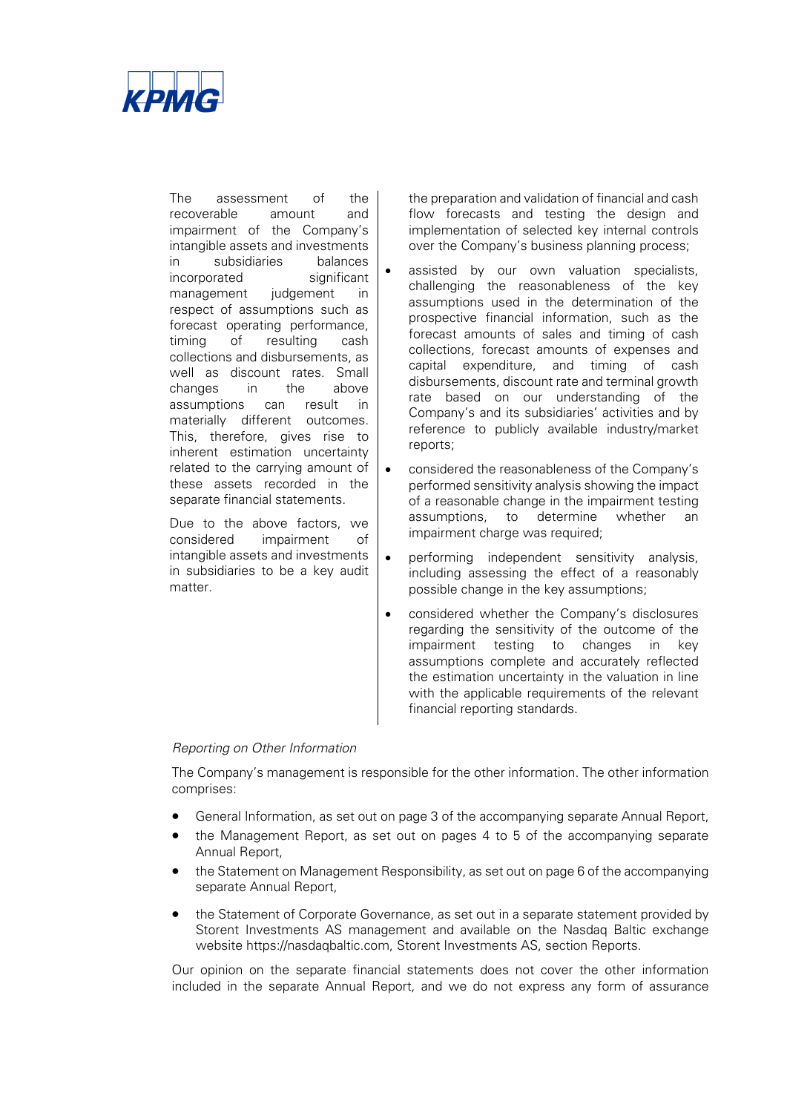

The assessment of the recoverable amount and impairment of the Company's intangible assets and investments in subsidiaries balances incorporated significant management judgement in respect of assumptions such as forecast operating performance, timing of resulting cash collections and disbursements, as well as discount rates. Small changes in the above assumptions can result in materially different outcomes. This, therefore, gives rise to inherent estimation uncertainty related to the carrying amount of these assets recorded in the separate financial statements.

Due to the above factors, we considered impairment of intangible assets and investments in subsidiaries to be a key audit matter.

the preparation and validation of financial and cash flow forecasts and testing the design and implementation of selected key internal controls over the Company's business planning process;

- assisted by our own valuation specialists, challenging the reasonableness of the key assumptions used in the determination of the prospective financial information, such as the forecast amounts of sales and timing of cash collections, forecast amounts of expenses and capital expenditure, and timing of cash disbursements, discount rate and terminal growth rate based on our understanding of the Company's and its subsidiaries' activities and by reference to publicly available industry/market reports;
- considered the reasonableness of the Company's performed sensitivity analysis showing the impact of a reasonable change in the impairment testing assumptions, to determine whether an impairment charge was required;
- performing independent sensitivity analysis, including assessing the effect of a reasonably possible change in the key assumptions;
- considered whether the Company's disclosures regarding the sensitivity of the outcome of the impairment testing to changes in key assumptions complete and accurately reflected the estimation uncertainty in the valuation in line with the applicable requirements of the relevant financial reporting standards.

#### *Reporting on Other Information*

The Company's management is responsible for the other information. The other information comprises:

- General Information, as set out on page 3 of the accompanying separate Annual Report,
- the Management Report, as set out on pages 4 to 5 of the accompanying separate Annual Report,
- the Statement on Management Responsibility, as set out on page 6 of the accompanying separate Annual Report,
- the Statement of Corporate Governance, as set out in a separate statement provided by Storent Investments AS management and available on the Nasdaq Baltic exchange website https://nasdaqbaltic.com, Storent Investments AS, section Reports.

Our opinion on the separate financial statements does not cover the other information included in the separate Annual Report, and we do not express any form of assurance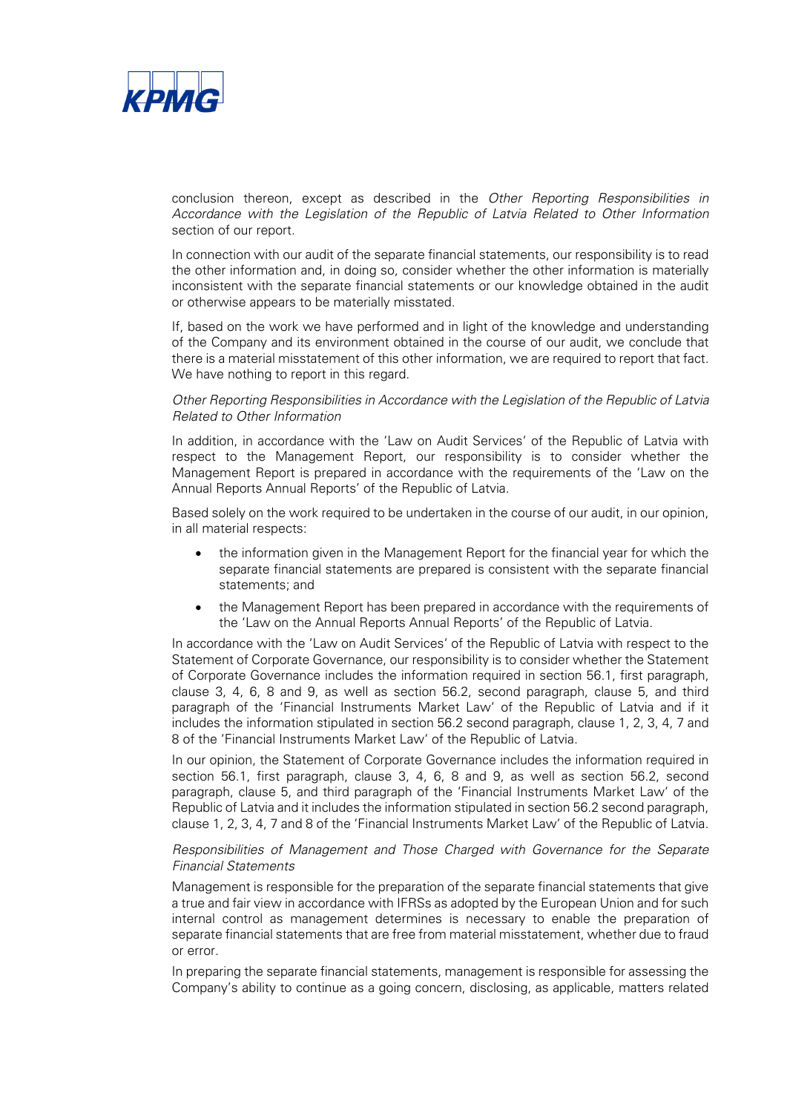

conclusion thereon, except as described in the *Other Reporting Responsibilities in Accordance with the Legislation of the Republic of Latvia Related to Other Information*  section of our report.

In connection with our audit of the separate financial statements, our responsibility is to read the other information and, in doing so, consider whether the other information is materially inconsistent with the separate financial statements or our knowledge obtained in the audit or otherwise appears to be materially misstated.

If, based on the work we have performed and in light of the knowledge and understanding of the Company and its environment obtained in the course of our audit, we conclude that there is a material misstatement of this other information, we are required to report that fact. We have nothing to report in this regard.

#### *Other Reporting Responsibilities in Accordance with the Legislation of the Republic of Latvia Related to Other Information*

In addition, in accordance with the 'Law on Audit Services' of the Republic of Latvia with respect to the Management Report, our responsibility is to consider whether the Management Report is prepared in accordance with the requirements of the 'Law on the Annual Reports Annual Reports' of the Republic of Latvia.

Based solely on the work required to be undertaken in the course of our audit, in our opinion, in all material respects:

- the information given in the Management Report for the financial year for which the separate financial statements are prepared is consistent with the separate financial statements; and
- the Management Report has been prepared in accordance with the requirements of the 'Law on the Annual Reports Annual Reports' of the Republic of Latvia.

In accordance with the 'Law on Audit Services' of the Republic of Latvia with respect to the Statement of Corporate Governance, our responsibility is to consider whether the Statement of Corporate Governance includes the information required in section 56.1, first paragraph, clause 3, 4, 6, 8 and 9, as well as section 56.2, second paragraph, clause 5, and third paragraph of the 'Financial Instruments Market Law' of the Republic of Latvia and if it includes the information stipulated in section 56.2 second paragraph, clause 1, 2, 3, 4, 7 and 8 of the 'Financial Instruments Market Law' of the Republic of Latvia.

In our opinion, the Statement of Corporate Governance includes the information required in section 56.1, first paragraph, clause 3, 4, 6, 8 and 9, as well as section 56.2, second paragraph, clause 5, and third paragraph of the 'Financial Instruments Market Law' of the Republic of Latvia and it includes the information stipulated in section 56.2 second paragraph, clause 1, 2, 3, 4, 7 and 8 of the 'Financial Instruments Market Law' of the Republic of Latvia.

#### *Responsibilities of Management and Those Charged with Governance for the Separate Financial Statements*

Management is responsible for the preparation of the separate financial statements that give a true and fair view in accordance with IFRSs as adopted by the European Union and for such internal control as management determines is necessary to enable the preparation of separate financial statements that are free from material misstatement, whether due to fraud or error.

In preparing the separate financial statements, management is responsible for assessing the Company's ability to continue as a going concern, disclosing, as applicable, matters related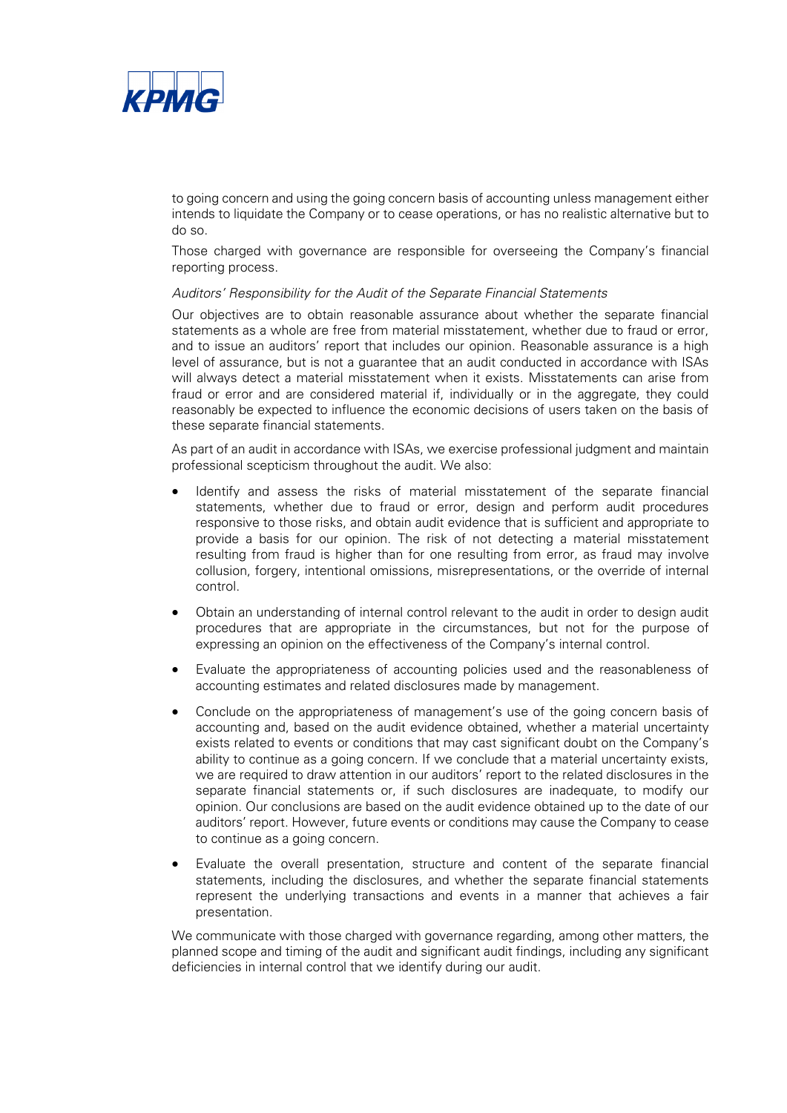

to going concern and using the going concern basis of accounting unless management either intends to liquidate the Company or to cease operations, or has no realistic alternative but to do so.

Those charged with governance are responsible for overseeing the Company's financial reporting process.

#### *Auditors' Responsibility for the Audit of the Separate Financial Statements*

Our objectives are to obtain reasonable assurance about whether the separate financial statements as a whole are free from material misstatement, whether due to fraud or error, and to issue an auditors' report that includes our opinion. Reasonable assurance is a high level of assurance, but is not a guarantee that an audit conducted in accordance with ISAs will always detect a material misstatement when it exists. Misstatements can arise from fraud or error and are considered material if, individually or in the aggregate, they could reasonably be expected to influence the economic decisions of users taken on the basis of these separate financial statements.

As part of an audit in accordance with ISAs, we exercise professional judgment and maintain professional scepticism throughout the audit. We also:

- Identify and assess the risks of material misstatement of the separate financial statements, whether due to fraud or error, design and perform audit procedures responsive to those risks, and obtain audit evidence that is sufficient and appropriate to provide a basis for our opinion. The risk of not detecting a material misstatement resulting from fraud is higher than for one resulting from error, as fraud may involve collusion, forgery, intentional omissions, misrepresentations, or the override of internal control.
- Obtain an understanding of internal control relevant to the audit in order to design audit procedures that are appropriate in the circumstances, but not for the purpose of expressing an opinion on the effectiveness of the Company's internal control.
- Evaluate the appropriateness of accounting policies used and the reasonableness of accounting estimates and related disclosures made by management.
- Conclude on the appropriateness of management's use of the going concern basis of accounting and, based on the audit evidence obtained, whether a material uncertainty exists related to events or conditions that may cast significant doubt on the Company's ability to continue as a going concern. If we conclude that a material uncertainty exists, we are required to draw attention in our auditors' report to the related disclosures in the separate financial statements or, if such disclosures are inadequate, to modify our opinion. Our conclusions are based on the audit evidence obtained up to the date of our auditors' report. However, future events or conditions may cause the Company to cease to continue as a going concern.
- Evaluate the overall presentation, structure and content of the separate financial statements, including the disclosures, and whether the separate financial statements represent the underlying transactions and events in a manner that achieves a fair presentation.

We communicate with those charged with governance regarding, among other matters, the planned scope and timing of the audit and significant audit findings, including any significant deficiencies in internal control that we identify during our audit.